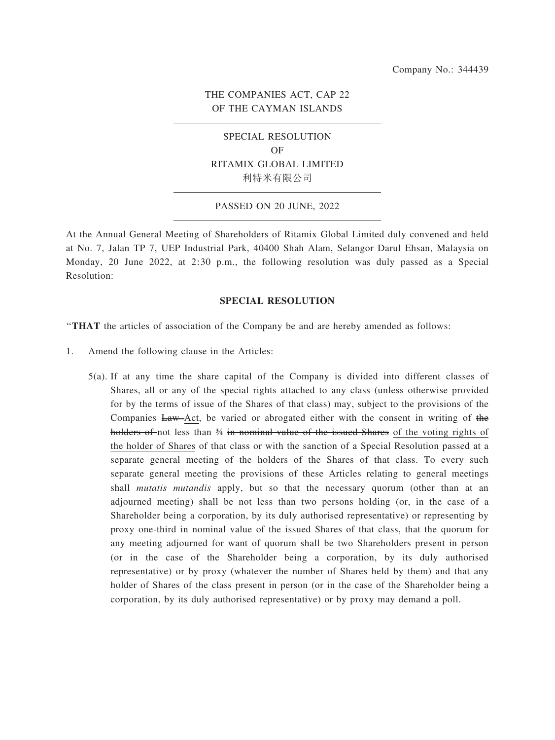# THE COMPANIES ACT, CAP 22 OF THE CAYMAN ISLANDS

# SPECIAL RESOLUTION OF RITAMIX GLOBAL LIMITED 利特米有限公司

#### PASSED ON 20 JUNE, 2022

At the Annual General Meeting of Shareholders of Ritamix Global Limited duly convened and held at No. 7, Jalan TP 7, UEP Industrial Park, 40400 Shah Alam, Selangor Darul Ehsan, Malaysia on Monday, 20 June 2022, at 2:30 p.m., the following resolution was duly passed as a Special Resolution:

#### SPECIAL RESOLUTION

''THAT the articles of association of the Company be and are hereby amended as follows:

- 1. Amend the following clause in the Articles:
	- 5(a). If at any time the share capital of the Company is divided into different classes of Shares, all or any of the special rights attached to any class (unless otherwise provided for by the terms of issue of the Shares of that class) may, subject to the provisions of the Companies Law-Act, be varied or abrogated either with the consent in writing of the holders of not less than 34 in nominal value of the issued Shares of the voting rights of the holder of Shares of that class or with the sanction of a Special Resolution passed at a separate general meeting of the holders of the Shares of that class. To every such separate general meeting the provisions of these Articles relating to general meetings shall *mutatis mutandis* apply, but so that the necessary quorum (other than at an adjourned meeting) shall be not less than two persons holding (or, in the case of a Shareholder being a corporation, by its duly authorised representative) or representing by proxy one-third in nominal value of the issued Shares of that class, that the quorum for any meeting adjourned for want of quorum shall be two Shareholders present in person (or in the case of the Shareholder being a corporation, by its duly authorised representative) or by proxy (whatever the number of Shares held by them) and that any holder of Shares of the class present in person (or in the case of the Shareholder being a corporation, by its duly authorised representative) or by proxy may demand a poll.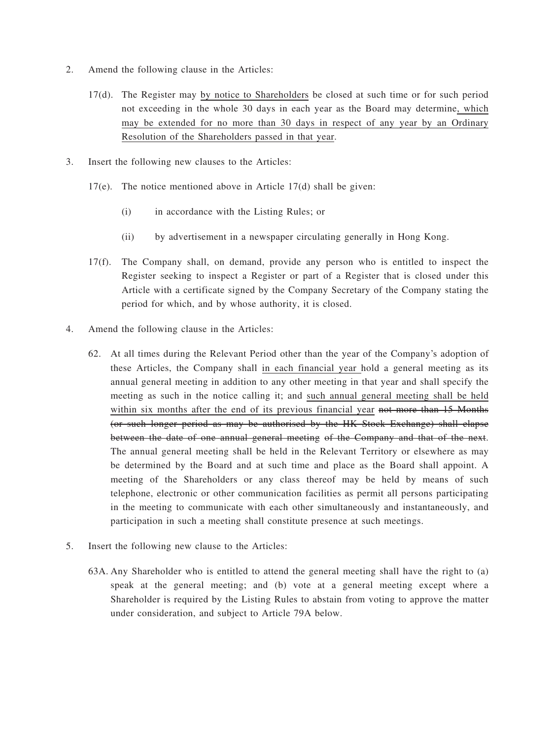- 2. Amend the following clause in the Articles:
	- 17(d). The Register may by notice to Shareholders be closed at such time or for such period not exceeding in the whole 30 days in each year as the Board may determine, which may be extended for no more than 30 days in respect of any year by an Ordinary Resolution of the Shareholders passed in that year.
- 3. Insert the following new clauses to the Articles:
	- 17(e). The notice mentioned above in Article 17(d) shall be given:
		- (i) in accordance with the Listing Rules; or
		- (ii) by advertisement in a newspaper circulating generally in Hong Kong.
	- 17(f). The Company shall, on demand, provide any person who is entitled to inspect the Register seeking to inspect a Register or part of a Register that is closed under this Article with a certificate signed by the Company Secretary of the Company stating the period for which, and by whose authority, it is closed.
- 4. Amend the following clause in the Articles:
	- 62. At all times during the Relevant Period other than the year of the Company's adoption of these Articles, the Company shall in each financial year hold a general meeting as its annual general meeting in addition to any other meeting in that year and shall specify the meeting as such in the notice calling it; and such annual general meeting shall be held within six months after the end of its previous financial year not more than 15 Months (or such longer period as may be authorised by the HK Stock Exchange) shall elapse between the date of one annual general meeting of the Company and that of the next. The annual general meeting shall be held in the Relevant Territory or elsewhere as may be determined by the Board and at such time and place as the Board shall appoint. A meeting of the Shareholders or any class thereof may be held by means of such telephone, electronic or other communication facilities as permit all persons participating in the meeting to communicate with each other simultaneously and instantaneously, and participation in such a meeting shall constitute presence at such meetings.
- 5. Insert the following new clause to the Articles:
	- 63A. Any Shareholder who is entitled to attend the general meeting shall have the right to (a) speak at the general meeting; and (b) vote at a general meeting except where a Shareholder is required by the Listing Rules to abstain from voting to approve the matter under consideration, and subject to Article 79A below.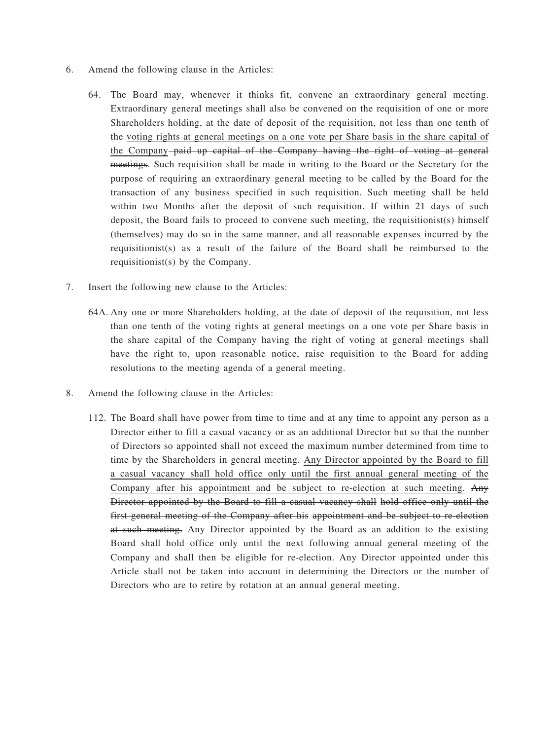- 6. Amend the following clause in the Articles:
	- 64. The Board may, whenever it thinks fit, convene an extraordinary general meeting. Extraordinary general meetings shall also be convened on the requisition of one or more Shareholders holding, at the date of deposit of the requisition, not less than one tenth of the voting rights at general meetings on a one vote per Share basis in the share capital of the Company-paid up capital of the Company having the right of voting at general meetings. Such requisition shall be made in writing to the Board or the Secretary for the purpose of requiring an extraordinary general meeting to be called by the Board for the transaction of any business specified in such requisition. Such meeting shall be held within two Months after the deposit of such requisition. If within 21 days of such deposit, the Board fails to proceed to convene such meeting, the requisitionist(s) himself (themselves) may do so in the same manner, and all reasonable expenses incurred by the requisitionist(s) as a result of the failure of the Board shall be reimbursed to the requisitionist(s) by the Company.
- 7. Insert the following new clause to the Articles:
	- 64A. Any one or more Shareholders holding, at the date of deposit of the requisition, not less than one tenth of the voting rights at general meetings on a one vote per Share basis in the share capital of the Company having the right of voting at general meetings shall have the right to, upon reasonable notice, raise requisition to the Board for adding resolutions to the meeting agenda of a general meeting.
- 8. Amend the following clause in the Articles:
	- 112. The Board shall have power from time to time and at any time to appoint any person as a Director either to fill a casual vacancy or as an additional Director but so that the number of Directors so appointed shall not exceed the maximum number determined from time to time by the Shareholders in general meeting. Any Director appointed by the Board to fill a casual vacancy shall hold office only until the first annual general meeting of the Company after his appointment and be subject to re-election at such meeting. Any Director appointed by the Board to fill a casual vacancy shall hold office only until the first general meeting of the Company after his appointment and be subject to re-election at such meeting. Any Director appointed by the Board as an addition to the existing Board shall hold office only until the next following annual general meeting of the Company and shall then be eligible for re-election. Any Director appointed under this Article shall not be taken into account in determining the Directors or the number of Directors who are to retire by rotation at an annual general meeting.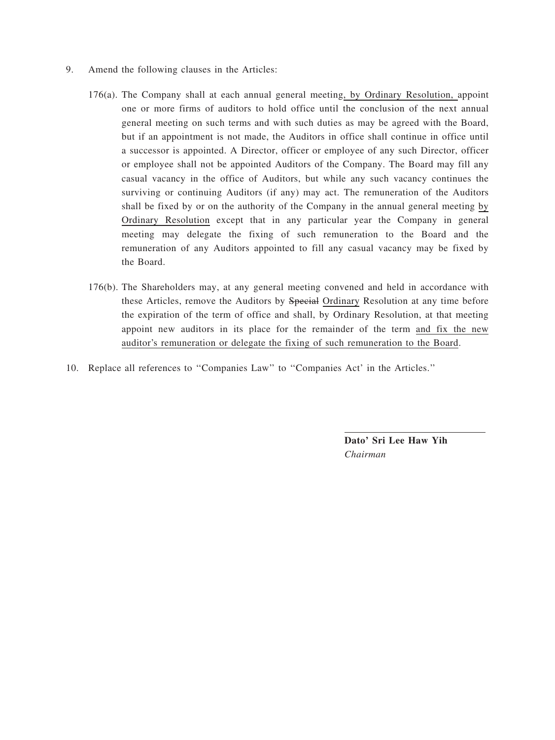- 9. Amend the following clauses in the Articles:
	- 176(a). The Company shall at each annual general meeting, by Ordinary Resolution, appoint one or more firms of auditors to hold office until the conclusion of the next annual general meeting on such terms and with such duties as may be agreed with the Board, but if an appointment is not made, the Auditors in office shall continue in office until a successor is appointed. A Director, officer or employee of any such Director, officer or employee shall not be appointed Auditors of the Company. The Board may fill any casual vacancy in the office of Auditors, but while any such vacancy continues the surviving or continuing Auditors (if any) may act. The remuneration of the Auditors shall be fixed by or on the authority of the Company in the annual general meeting by Ordinary Resolution except that in any particular year the Company in general meeting may delegate the fixing of such remuneration to the Board and the remuneration of any Auditors appointed to fill any casual vacancy may be fixed by the Board.
	- 176(b). The Shareholders may, at any general meeting convened and held in accordance with these Articles, remove the Auditors by Special Ordinary Resolution at any time before the expiration of the term of office and shall, by Ordinary Resolution, at that meeting appoint new auditors in its place for the remainder of the term and fix the new auditor's remuneration or delegate the fixing of such remuneration to the Board.
- 10. Replace all references to ''Companies Law'' to ''Companies Act' in the Articles.''

Dato' Sri Lee Haw Yih Chairman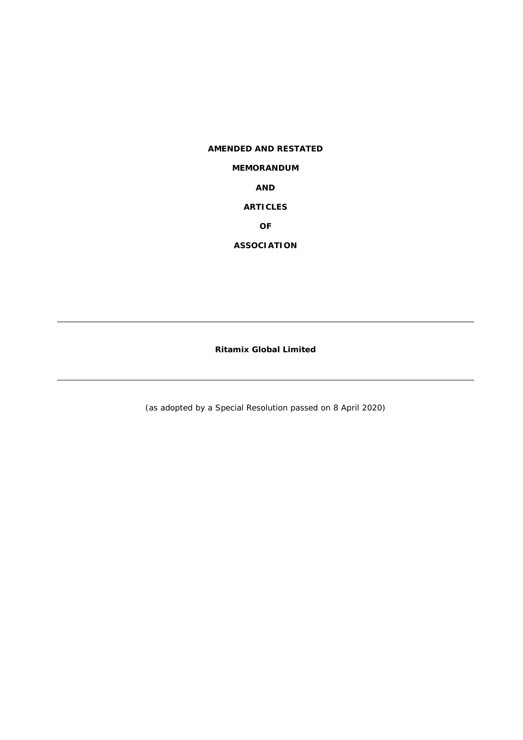# **AMENDED AND RESTATED MEMORANDUM AND ARTICLES OF ASSOCIATION**

**Ritamix Global Limited** 

(as adopted by a Special Resolution passed on 8 April 2020)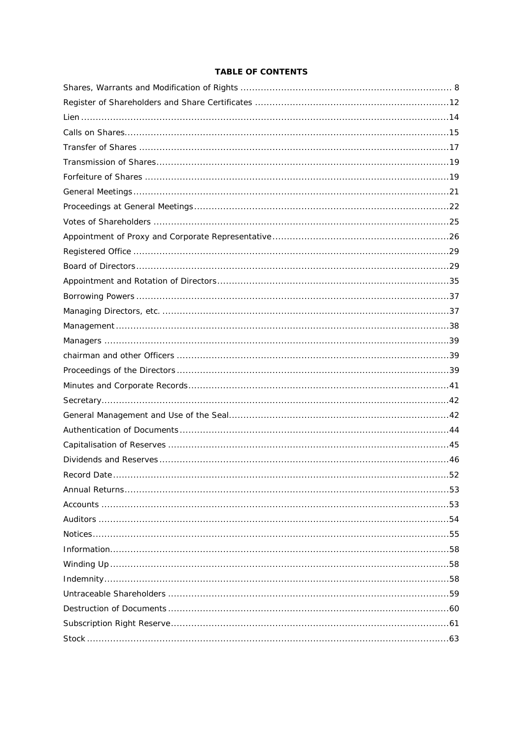## **TABLE OF CONTENTS**

| 52<br>Record Date |
|-------------------|
|                   |
|                   |
|                   |
|                   |
|                   |
|                   |
|                   |
|                   |
|                   |
|                   |
|                   |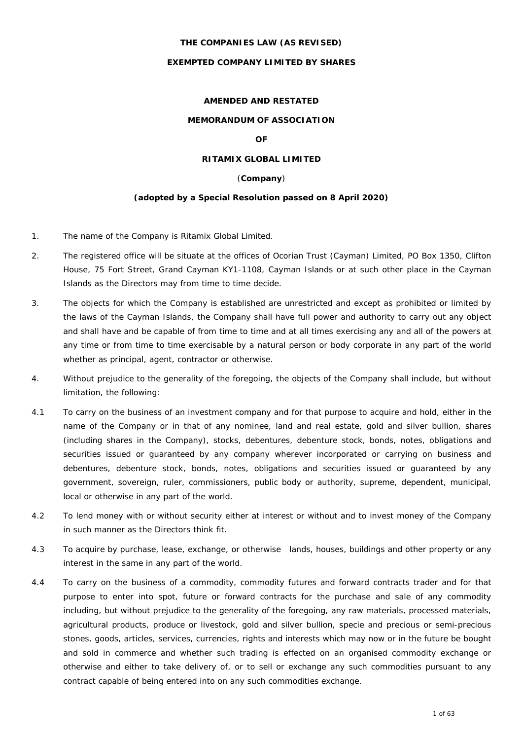## **THE COMPANIES LAW (AS REVISED)**

## **EXEMPTED COMPANY LIMITED BY SHARES**

#### **AMENDED AND RESTATED**

## **MEMORANDUM OF ASSOCIATION**

## **OF**

## **RITAMIX GLOBAL LIMITED**

#### (**Company**)

#### **(adopted by a Special Resolution passed on 8 April 2020)**

- 1. The name of the Company is Ritamix Global Limited.
- 2. The registered office will be situate at the offices of Ocorian Trust (Cayman) Limited, PO Box 1350, Clifton House, 75 Fort Street, Grand Cayman KY1-1108, Cayman Islands or at such other place in the Cayman Islands as the Directors may from time to time decide.
- 3. The objects for which the Company is established are unrestricted and except as prohibited or limited by the laws of the Cayman Islands, the Company shall have full power and authority to carry out any object and shall have and be capable of from time to time and at all times exercising any and all of the powers at any time or from time to time exercisable by a natural person or body corporate in any part of the world whether as principal, agent, contractor or otherwise.
- 4. Without prejudice to the generality of the foregoing, the objects of the Company shall include, but without limitation, the following:
- 4.1 To carry on the business of an investment company and for that purpose to acquire and hold, either in the name of the Company or in that of any nominee, land and real estate, gold and silver bullion, shares (including shares in the Company), stocks, debentures, debenture stock, bonds, notes, obligations and securities issued or guaranteed by any company wherever incorporated or carrying on business and debentures, debenture stock, bonds, notes, obligations and securities issued or guaranteed by any government, sovereign, ruler, commissioners, public body or authority, supreme, dependent, municipal, local or otherwise in any part of the world.
- 4.2 To lend money with or without security either at interest or without and to invest money of the Company in such manner as the Directors think fit.
- 4.3 To acquire by purchase, lease, exchange, or otherwise lands, houses, buildings and other property or any interest in the same in any part of the world.
- 4.4 To carry on the business of a commodity, commodity futures and forward contracts trader and for that purpose to enter into spot, future or forward contracts for the purchase and sale of any commodity including, but without prejudice to the generality of the foregoing, any raw materials, processed materials, agricultural products, produce or livestock, gold and silver bullion, specie and precious or semi-precious stones, goods, articles, services, currencies, rights and interests which may now or in the future be bought and sold in commerce and whether such trading is effected on an organised commodity exchange or otherwise and either to take delivery of, or to sell or exchange any such commodities pursuant to any contract capable of being entered into on any such commodities exchange.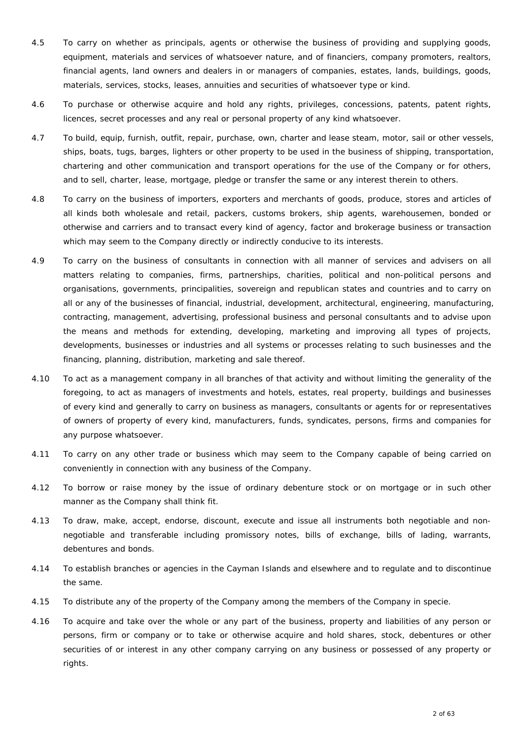- 4.5 To carry on whether as principals, agents or otherwise the business of providing and supplying goods, equipment, materials and services of whatsoever nature, and of financiers, company promoters, realtors, financial agents, land owners and dealers in or managers of companies, estates, lands, buildings, goods, materials, services, stocks, leases, annuities and securities of whatsoever type or kind.
- 4.6 To purchase or otherwise acquire and hold any rights, privileges, concessions, patents, patent rights, licences, secret processes and any real or personal property of any kind whatsoever.
- 4.7 To build, equip, furnish, outfit, repair, purchase, own, charter and lease steam, motor, sail or other vessels, ships, boats, tugs, barges, lighters or other property to be used in the business of shipping, transportation, chartering and other communication and transport operations for the use of the Company or for others, and to sell, charter, lease, mortgage, pledge or transfer the same or any interest therein to others.
- 4.8 To carry on the business of importers, exporters and merchants of goods, produce, stores and articles of all kinds both wholesale and retail, packers, customs brokers, ship agents, warehousemen, bonded or otherwise and carriers and to transact every kind of agency, factor and brokerage business or transaction which may seem to the Company directly or indirectly conducive to its interests.
- 4.9 To carry on the business of consultants in connection with all manner of services and advisers on all matters relating to companies, firms, partnerships, charities, political and non-political persons and organisations, governments, principalities, sovereign and republican states and countries and to carry on all or any of the businesses of financial, industrial, development, architectural, engineering, manufacturing, contracting, management, advertising, professional business and personal consultants and to advise upon the means and methods for extending, developing, marketing and improving all types of projects, developments, businesses or industries and all systems or processes relating to such businesses and the financing, planning, distribution, marketing and sale thereof.
- 4.10 To act as a management company in all branches of that activity and without limiting the generality of the foregoing, to act as managers of investments and hotels, estates, real property, buildings and businesses of every kind and generally to carry on business as managers, consultants or agents for or representatives of owners of property of every kind, manufacturers, funds, syndicates, persons, firms and companies for any purpose whatsoever.
- 4.11 To carry on any other trade or business which may seem to the Company capable of being carried on conveniently in connection with any business of the Company.
- 4.12 To borrow or raise money by the issue of ordinary debenture stock or on mortgage or in such other manner as the Company shall think fit.
- 4.13 To draw, make, accept, endorse, discount, execute and issue all instruments both negotiable and nonnegotiable and transferable including promissory notes, bills of exchange, bills of lading, warrants, debentures and bonds.
- 4.14 To establish branches or agencies in the Cayman Islands and elsewhere and to regulate and to discontinue the same.
- 4.15 To distribute any of the property of the Company among the members of the Company in specie.
- 4.16 To acquire and take over the whole or any part of the business, property and liabilities of any person or persons, firm or company or to take or otherwise acquire and hold shares, stock, debentures or other securities of or interest in any other company carrying on any business or possessed of any property or rights.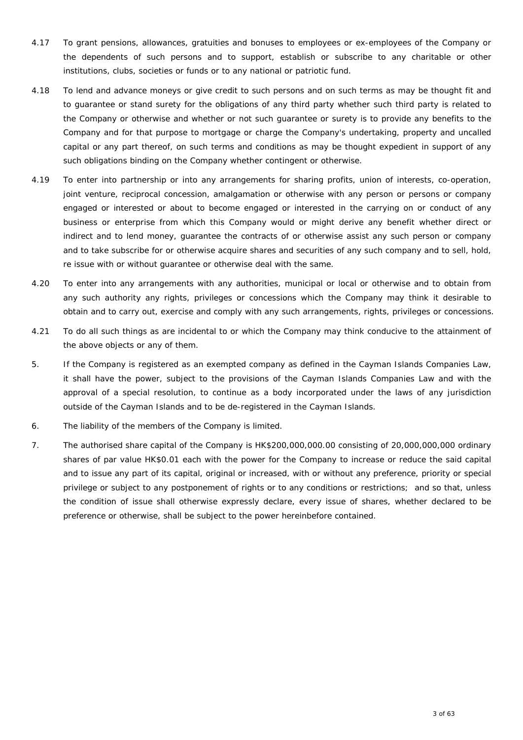- 4.17 To grant pensions, allowances, gratuities and bonuses to employees or ex-employees of the Company or the dependents of such persons and to support, establish or subscribe to any charitable or other institutions, clubs, societies or funds or to any national or patriotic fund.
- 4.18 To lend and advance moneys or give credit to such persons and on such terms as may be thought fit and to guarantee or stand surety for the obligations of any third party whether such third party is related to the Company or otherwise and whether or not such guarantee or surety is to provide any benefits to the Company and for that purpose to mortgage or charge the Company's undertaking, property and uncalled capital or any part thereof, on such terms and conditions as may be thought expedient in support of any such obligations binding on the Company whether contingent or otherwise.
- 4.19 To enter into partnership or into any arrangements for sharing profits, union of interests, co-operation, joint venture, reciprocal concession, amalgamation or otherwise with any person or persons or company engaged or interested or about to become engaged or interested in the carrying on or conduct of any business or enterprise from which this Company would or might derive any benefit whether direct or indirect and to lend money, guarantee the contracts of or otherwise assist any such person or company and to take subscribe for or otherwise acquire shares and securities of any such company and to sell, hold, re issue with or without guarantee or otherwise deal with the same.
- 4.20 To enter into any arrangements with any authorities, municipal or local or otherwise and to obtain from any such authority any rights, privileges or concessions which the Company may think it desirable to obtain and to carry out, exercise and comply with any such arrangements, rights, privileges or concessions.
- 4.21 To do all such things as are incidental to or which the Company may think conducive to the attainment of the above objects or any of them.
- 5. If the Company is registered as an exempted company as defined in the Cayman Islands Companies Law, it shall have the power, subject to the provisions of the Cayman Islands Companies Law and with the approval of a special resolution, to continue as a body incorporated under the laws of any jurisdiction outside of the Cayman Islands and to be de-registered in the Cayman Islands.
- 6. The liability of the members of the Company is limited.
- 7. The authorised share capital of the Company is HK\$200,000,000.00 consisting of 20,000,000,000 ordinary shares of par value HK\$0.01 each with the power for the Company to increase or reduce the said capital and to issue any part of its capital, original or increased, with or without any preference, priority or special privilege or subject to any postponement of rights or to any conditions or restrictions; and so that, unless the condition of issue shall otherwise expressly declare, every issue of shares, whether declared to be preference or otherwise, shall be subject to the power hereinbefore contained.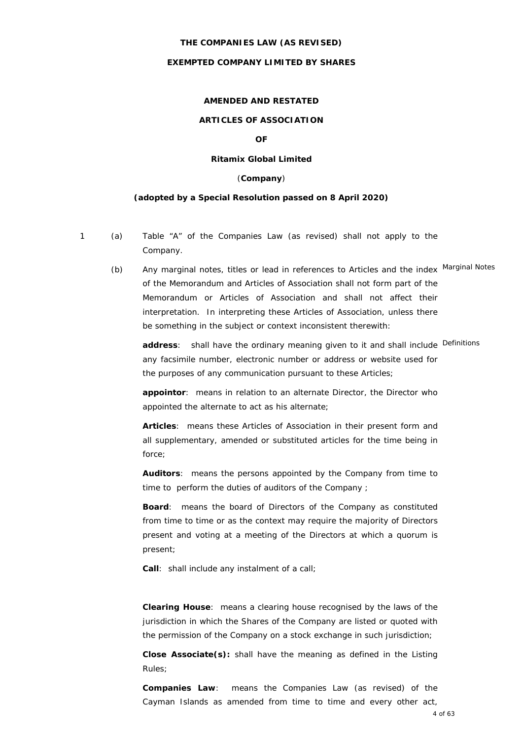#### **THE COMPANIES LAW (AS REVISED)**

## **EXEMPTED COMPANY LIMITED BY SHARES**

#### **AMENDED AND RESTATED**

## **ARTICLES OF ASSOCIATION**

## **OF**

## **Ritamix Global Limited**

#### (**Company**)

#### **(adopted by a Special Resolution passed on 8 April 2020)**

- 
- 1 (a) Table "A" of the Companies Law (as revised) shall not apply to the Company.
	- (b) Any marginal notes, titles or lead in references to Articles and the index Marginal Notes of the Memorandum and Articles of Association shall not form part of the Memorandum or Articles of Association and shall not affect their interpretation. In interpreting these Articles of Association, unless there be something in the subject or context inconsistent therewith:

address: shall have the ordinary meaning given to it and shall include Definitions any facsimile number, electronic number or address or website used for the purposes of any communication pursuant to these Articles;

**appointor**: means in relation to an alternate Director, the Director who appointed the alternate to act as his alternate;

**Articles**: means these Articles of Association in their present form and all supplementary, amended or substituted articles for the time being in force;

**Auditors**: means the persons appointed by the Company from time to time to perform the duties of auditors of the Company ;

**Board**: means the board of Directors of the Company as constituted from time to time or as the context may require the majority of Directors present and voting at a meeting of the Directors at which a quorum is present;

**Call**: shall include any instalment of a call;

**Clearing House**: means a clearing house recognised by the laws of the jurisdiction in which the Shares of the Company are listed or quoted with the permission of the Company on a stock exchange in such jurisdiction;

**Close Associate(s):** shall have the meaning as defined in the Listing Rules;

**Companies Law**: means the Companies Law (as revised) of the Cayman Islands as amended from time to time and every other act,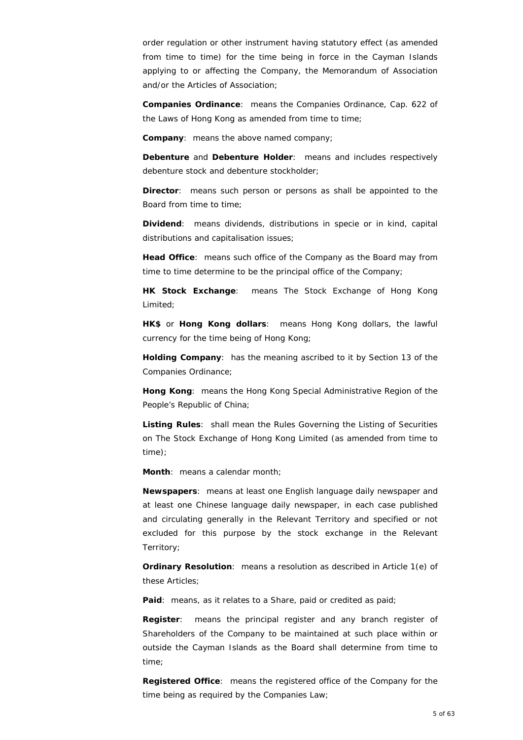order regulation or other instrument having statutory effect (as amended from time to time) for the time being in force in the Cayman Islands applying to or affecting the Company, the Memorandum of Association and/or the Articles of Association;

**Companies Ordinance**: means the Companies Ordinance, Cap. 622 of the Laws of Hong Kong as amended from time to time;

**Company**: means the above named company;

**Debenture** and **Debenture Holder**: means and includes respectively debenture stock and debenture stockholder;

**Director**: means such person or persons as shall be appointed to the Board from time to time;

**Dividend**: means dividends, distributions in specie or in kind, capital distributions and capitalisation issues;

**Head Office**: means such office of the Company as the Board may from time to time determine to be the principal office of the Company;

**HK Stock Exchange**: means The Stock Exchange of Hong Kong Limited;

**HK\$** or **Hong Kong dollars**: means Hong Kong dollars, the lawful currency for the time being of Hong Kong;

**Holding Company**: has the meaning ascribed to it by Section 13 of the Companies Ordinance;

**Hong Kong**: means the Hong Kong Special Administrative Region of the People's Republic of China;

**Listing Rules**: shall mean the Rules Governing the Listing of Securities on The Stock Exchange of Hong Kong Limited (as amended from time to time);

**Month**: means a calendar month;

**Newspapers**: means at least one English language daily newspaper and at least one Chinese language daily newspaper, in each case published and circulating generally in the Relevant Territory and specified or not excluded for this purpose by the stock exchange in the Relevant Territory;

**Ordinary Resolution**: means a resolution as described in Article 1(e) of these Articles;

**Paid**: means, as it relates to a Share, paid or credited as paid;

**Register**: means the principal register and any branch register of Shareholders of the Company to be maintained at such place within or outside the Cayman Islands as the Board shall determine from time to time;

**Registered Office**: means the registered office of the Company for the time being as required by the Companies Law;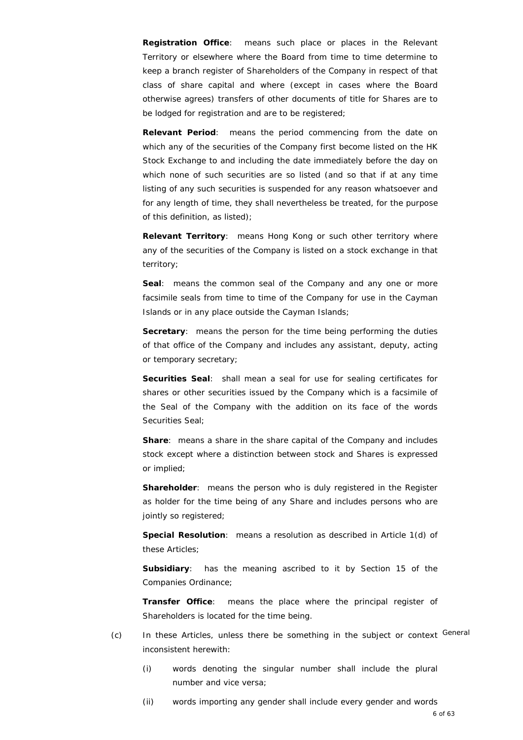**Registration Office**: means such place or places in the Relevant Territory or elsewhere where the Board from time to time determine to keep a branch register of Shareholders of the Company in respect of that class of share capital and where (except in cases where the Board otherwise agrees) transfers of other documents of title for Shares are to be lodged for registration and are to be registered;

**Relevant Period**: means the period commencing from the date on which any of the securities of the Company first become listed on the HK Stock Exchange to and including the date immediately before the day on which none of such securities are so listed (and so that if at any time listing of any such securities is suspended for any reason whatsoever and for any length of time, they shall nevertheless be treated, for the purpose of this definition, as listed);

**Relevant Territory**: means Hong Kong or such other territory where any of the securities of the Company is listed on a stock exchange in that territory;

**Seal**: means the common seal of the Company and any one or more facsimile seals from time to time of the Company for use in the Cayman Islands or in any place outside the Cayman Islands;

**Secretary:** means the person for the time being performing the duties of that office of the Company and includes any assistant, deputy, acting or temporary secretary;

**Securities Seal**: shall mean a seal for use for sealing certificates for shares or other securities issued by the Company which is a facsimile of the Seal of the Company with the addition on its face of the words Securities Seal;

**Share**: means a share in the share capital of the Company and includes stock except where a distinction between stock and Shares is expressed or implied;

**Shareholder**: means the person who is duly registered in the Register as holder for the time being of any Share and includes persons who are jointly so registered;

**Special Resolution**: means a resolution as described in Article 1(d) of these Articles;

**Subsidiary**: has the meaning ascribed to it by Section 15 of the Companies Ordinance;

**Transfer Office**: means the place where the principal register of Shareholders is located for the time being.

- (c) In these Articles, unless there be something in the subject or context General inconsistent herewith:
	- (i) words denoting the singular number shall include the plural number and vice versa;
	- (ii) words importing any gender shall include every gender and words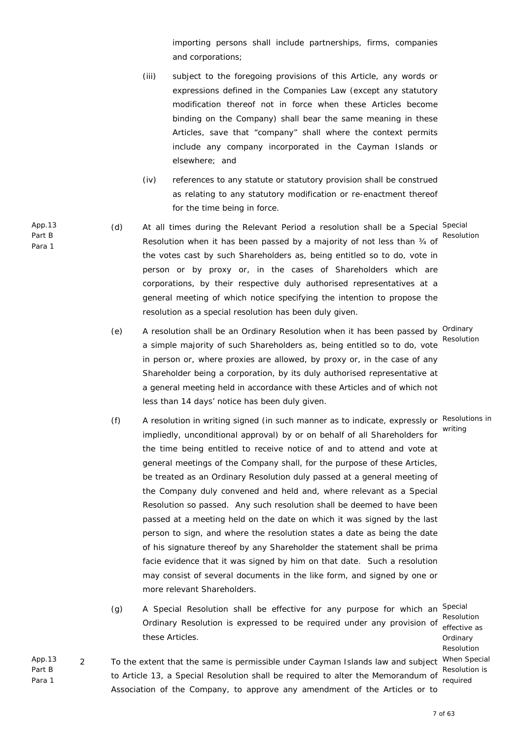importing persons shall include partnerships, firms, companies and corporations;

- (iii) subject to the foregoing provisions of this Article, any words or expressions defined in the Companies Law (except any statutory modification thereof not in force when these Articles become binding on the Company) shall bear the same meaning in these Articles, save that "company" shall where the context permits include any company incorporated in the Cayman Islands or elsewhere; and
- (iv) references to any statute or statutory provision shall be construed as relating to any statutory modification or re-enactment thereof for the time being in force.
- (d) At all times during the Relevant Period a resolution shall be a Special Special Resolution when it has been passed by a majority of not less than 34 of the votes cast by such Shareholders as, being entitled so to do, vote in person or by proxy or, in the cases of Shareholders which are corporations, by their respective duly authorised representatives at a general meeting of which notice specifying the intention to propose the resolution as a special resolution has been duly given. Resolution
- (e) A resolution shall be an Ordinary Resolution when it has been passed by <sup>Ordinary</sup> a simple majority of such Shareholders as, being entitled so to do, vote in person or, where proxies are allowed, by proxy or, in the case of any Shareholder being a corporation, by its duly authorised representative at a general meeting held in accordance with these Articles and of which not less than 14 days' notice has been duly given. Resolution
- (f) A resolution in writing signed (in such manner as to indicate, expressly or Resolutions in impliedly, unconditional approval) by or on behalf of all Shareholders for the time being entitled to receive notice of and to attend and vote at general meetings of the Company shall, for the purpose of these Articles, be treated as an Ordinary Resolution duly passed at a general meeting of the Company duly convened and held and, where relevant as a Special Resolution so passed. Any such resolution shall be deemed to have been passed at a meeting held on the date on which it was signed by the last person to sign, and where the resolution states a date as being the date of his signature thereof by any Shareholder the statement shall be prima facie evidence that it was signed by him on that date. Such a resolution may consist of several documents in the like form, and signed by one or more relevant Shareholders. writing
- (g) A Special Resolution shall be effective for any purpose for which an <sup>Special</sup> Resolution<br>Ordinary Resolution is expressed to be required under any provision of effective ca these Articles.

effective as Ordinary Resolution Resolution is required

App.13 Part B Para 1 2 To the extent that the same is permissible under Cayman Islands law and subject When Special to Article 13, a Special Resolution shall be required to alter the Memorandum of Association of the Company, to approve any amendment of the Articles or to

App.13 Part B Para 1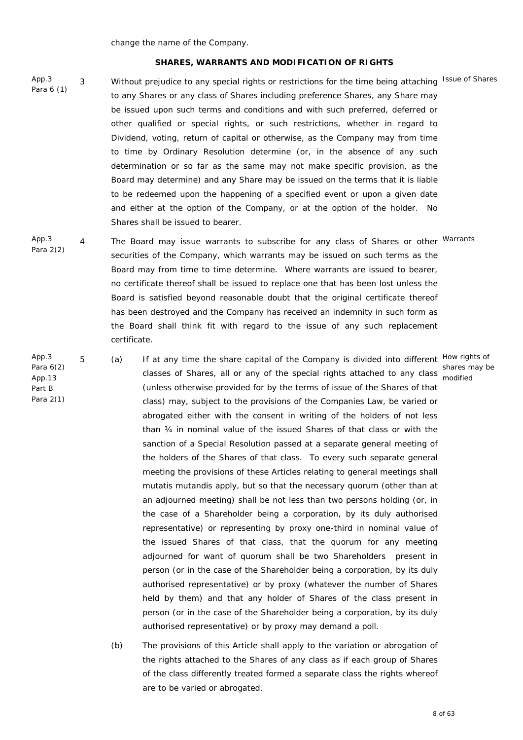change the name of the Company.

#### **SHARES, WARRANTS AND MODIFICATION OF RIGHTS**

App.3 Para 6 (1)

App.3

App.13 Part B

3 Without prejudice to any special rights or restrictions for the time being attaching Issue of Shares to any Shares or any class of Shares including preference Shares, any Share may be issued upon such terms and conditions and with such preferred, deferred or other qualified or special rights, or such restrictions, whether in regard to Dividend, voting, return of capital or otherwise, as the Company may from time to time by Ordinary Resolution determine (or, in the absence of any such determination or so far as the same may not make specific provision, as the Board may determine) and any Share may be issued on the terms that it is liable to be redeemed upon the happening of a specified event or upon a given date and either at the option of the Company, or at the option of the holder. No Shares shall be issued to bearer.

- App.3 Para 2(2) 4 The Board may issue warrants to subscribe for any class of Shares or other Warrants securities of the Company, which warrants may be issued on such terms as the Board may from time to time determine. Where warrants are issued to bearer, no certificate thereof shall be issued to replace one that has been lost unless the Board is satisfied beyond reasonable doubt that the original certificate thereof has been destroyed and the Company has received an indemnity in such form as the Board shall think fit with regard to the issue of any such replacement certificate.
- Para 6(2) Para 2(1) 5 (a) If at any time the share capital of the Company is divided into different How rights of classes of Shares, all or any of the special rights attached to any class modified (unless otherwise provided for by the terms of issue of the Shares of that class) may, subject to the provisions of the Companies Law, be varied or abrogated either with the consent in writing of the holders of not less than ¾ in nominal value of the issued Shares of that class or with the sanction of a Special Resolution passed at a separate general meeting of the holders of the Shares of that class. To every such separate general meeting the provisions of these Articles relating to general meetings shall *mutatis mutandis* apply, but so that the necessary quorum (other than at an adjourned meeting) shall be not less than two persons holding (or, in the case of a Shareholder being a corporation, by its duly authorised representative) or representing by proxy one-third in nominal value of the issued Shares of that class, that the quorum for any meeting adjourned for want of quorum shall be two Shareholders present in person (or in the case of the Shareholder being a corporation, by its duly authorised representative) or by proxy (whatever the number of Shares held by them) and that any holder of Shares of the class present in person (or in the case of the Shareholder being a corporation, by its duly authorised representative) or by proxy may demand a poll.
	- (b) The provisions of this Article shall apply to the variation or abrogation of the rights attached to the Shares of any class as if each group of Shares of the class differently treated formed a separate class the rights whereof are to be varied or abrogated.

shares may be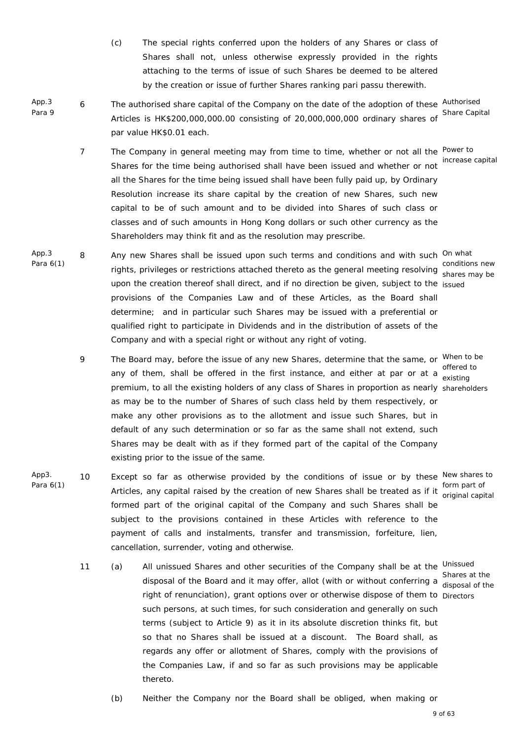- (c) The special rights conferred upon the holders of any Shares or class of Shares shall not, unless otherwise expressly provided in the rights attaching to the terms of issue of such Shares be deemed to be altered by the creation or issue of further Shares ranking *pari passu* therewith.
- App.3 Para 9 6 The authorised share capital of the Company on the date of the adoption of these Authorised Articles is HK\$200,000,000.00 consisting of 20,000,000,000 ordinary shares of Share Capital par value HK\$0.01 each.
	- 7 The Company in general meeting may from time to time, whether or not all the <sup>Power to</sup> Shares for the time being authorised shall have been issued and whether or not all the Shares for the time being issued shall have been fully paid up, by Ordinary Resolution increase its share capital by the creation of new Shares, such new capital to be of such amount and to be divided into Shares of such class or classes and of such amounts in Hong Kong dollars or such other currency as the Shareholders may think fit and as the resolution may prescribe. increase capital
- App.3 Para 6(1) 8 Any new Shares shall be issued upon such terms and conditions and with such <sup>On what</sup> conditions new<br>
rights, privileges or restrictions attached thereto as the general meeting resolving aboree may be upon the creation thereof shall direct, and if no direction be given, subject to the issued provisions of the Companies Law and of these Articles, as the Board shall determine; and in particular such Shares may be issued with a preferential or qualified right to participate in Dividends and in the distribution of assets of the Company and with a special right or without any right of voting.
	- 9 The Board may, before the issue of any new Shares, determine that the same, or <sup>When to be</sup> any of them, shall be offered in the first instance, and either at par or at a  $\frac{1}{\text{existing}}$ premium, to all the existing holders of any class of Shares in proportion as nearly shareholders as may be to the number of Shares of such class held by them respectively, or make any other provisions as to the allotment and issue such Shares, but in default of any such determination or so far as the same shall not extend, such Shares may be dealt with as if they formed part of the capital of the Company existing prior to the issue of the same.
- App3. Para 6(1) 10 Except so far as otherwise provided by the conditions of issue or by these New shares to form part of<br>Articles, any capital raised by the creation of new Shares shall be treated as if it exiginal sonit formed part of the original capital of the Company and such Shares shall be subject to the provisions contained in these Articles with reference to the payment of calls and instalments, transfer and transmission, forfeiture, lien, cancellation, surrender, voting and otherwise.
	- 11 (a) All unissued Shares and other securities of the Company shall be at the Unissued Shares at the<br>disposal of the Board and it may offer, allot (with or without conferring a disposal of the right of renunciation), grant options over or otherwise dispose of them to Directors such persons, at such times, for such consideration and generally on such terms (subject to Article 9) as it in its absolute discretion thinks fit, but so that no Shares shall be issued at a discount. The Board shall, as regards any offer or allotment of Shares, comply with the provisions of the Companies Law, if and so far as such provisions may be applicable thereto.
		- (b) Neither the Company nor the Board shall be obliged, when making or

shares may be

offered to

original capital

disposal of the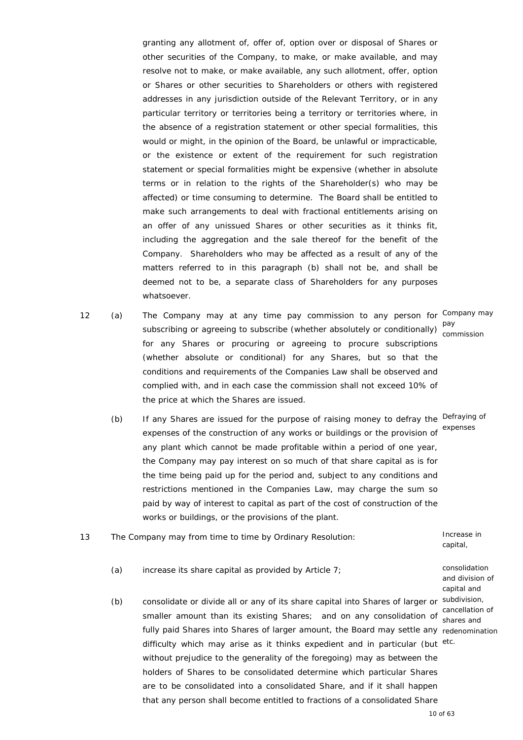granting any allotment of, offer of, option over or disposal of Shares or other securities of the Company, to make, or make available, and may resolve not to make, or make available, any such allotment, offer, option or Shares or other securities to Shareholders or others with registered addresses in any jurisdiction outside of the Relevant Territory, or in any particular territory or territories being a territory or territories where, in the absence of a registration statement or other special formalities, this would or might, in the opinion of the Board, be unlawful or impracticable, or the existence or extent of the requirement for such registration statement or special formalities might be expensive (whether in absolute terms or in relation to the rights of the Shareholder(s) who may be affected) or time consuming to determine. The Board shall be entitled to make such arrangements to deal with fractional entitlements arising on an offer of any unissued Shares or other securities as it thinks fit, including the aggregation and the sale thereof for the benefit of the Company. Shareholders who may be affected as a result of any of the matters referred to in this paragraph (b) shall not be, and shall be deemed not to be, a separate class of Shareholders for any purposes whatsoever.

12 (a) The Company may at any time pay commission to any person for Company may pay<br>subscribing or agreeing to subscribe (whether absolutely or conditionally) <sub>com</sub> for any Shares or procuring or agreeing to procure subscriptions (whether absolute or conditional) for any Shares, but so that the conditions and requirements of the Companies Law shall be observed and complied with, and in each case the commission shall not exceed 10% of the price at which the Shares are issued. commission

> any plant which cannot be made profitable within a period of one year, the Company may pay interest on so much of that share capital as is for the time being paid up for the period and, subject to any conditions and restrictions mentioned in the Companies Law, may charge the sum so paid by way of interest to capital as part of the cost of construction of the

(b) If any Shares are issued for the purpose of raising money to defray the Defraying of expenses of the construction of any works or buildings or the provision of expenses

- 13 The Company may from time to time by Ordinary Resolution: Increase in
	- (a) increase its share capital as provided by Article 7; consolidation

works or buildings, or the provisions of the plant.

(b) consolidate or divide all or any of its share capital into Shares of larger or subdivision, smaller amount than its existing Shares; and on any consolidation of cancellation of fully paid Shares into Shares of larger amount, the Board may settle any redenomination difficulty which may arise as it thinks expedient and in particular (but etc. without prejudice to the generality of the foregoing) may as between the holders of Shares to be consolidated determine which particular Shares are to be consolidated into a consolidated Share, and if it shall happen that any person shall become entitled to fractions of a consolidated Share

and division of capital and shares and

capital,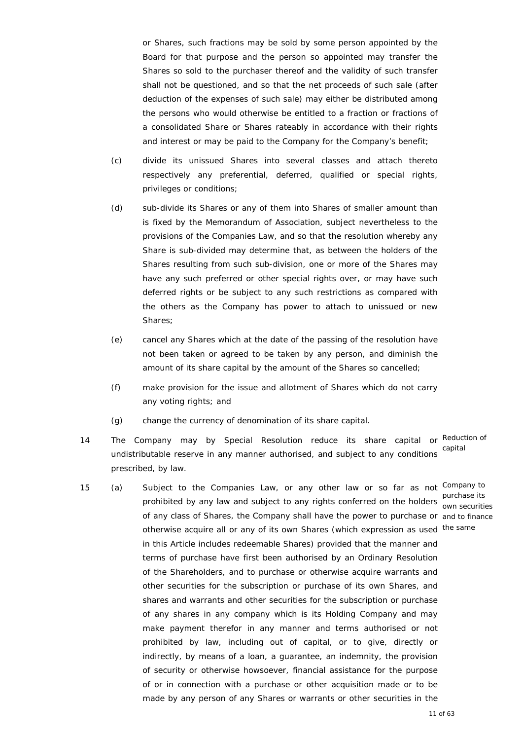or Shares, such fractions may be sold by some person appointed by the Board for that purpose and the person so appointed may transfer the Shares so sold to the purchaser thereof and the validity of such transfer shall not be questioned, and so that the net proceeds of such sale (after deduction of the expenses of such sale) may either be distributed among the persons who would otherwise be entitled to a fraction or fractions of a consolidated Share or Shares rateably in accordance with their rights and interest or may be paid to the Company for the Company's benefit;

- (c) divide its unissued Shares into several classes and attach thereto respectively any preferential, deferred, qualified or special rights, privileges or conditions;
- (d) sub-divide its Shares or any of them into Shares of smaller amount than is fixed by the Memorandum of Association, subject nevertheless to the provisions of the Companies Law, and so that the resolution whereby any Share is sub-divided may determine that, as between the holders of the Shares resulting from such sub-division, one or more of the Shares may have any such preferred or other special rights over, or may have such deferred rights or be subject to any such restrictions as compared with the others as the Company has power to attach to unissued or new Shares;
- (e) cancel any Shares which at the date of the passing of the resolution have not been taken or agreed to be taken by any person, and diminish the amount of its share capital by the amount of the Shares so cancelled;
- (f) make provision for the issue and allotment of Shares which do not carry any voting rights; and
- (g) change the currency of denomination of its share capital.
- 14 The Company may by Special Resolution reduce its share capital or Reduction of undistributable reserve in any manner authorised, and subject to any conditions prescribed, by law. capital
- 15 (a) Subject to the Companies Law, or any other law or so far as not Company to purchase its<br>prohibited by any law and subject to any rights conferred on the holders aux consitions of any class of Shares, the Company shall have the power to purchase or and to finance otherwise acquire all or any of its own Shares (which expression as used the same in this Article includes redeemable Shares) provided that the manner and terms of purchase have first been authorised by an Ordinary Resolution of the Shareholders, and to purchase or otherwise acquire warrants and other securities for the subscription or purchase of its own Shares, and shares and warrants and other securities for the subscription or purchase of any shares in any company which is its Holding Company and may make payment therefor in any manner and terms authorised or not prohibited by law, including out of capital, or to give, directly or indirectly, by means of a loan, a guarantee, an indemnity, the provision of security or otherwise howsoever, financial assistance for the purpose of or in connection with a purchase or other acquisition made or to be made by any person of any Shares or warrants or other securities in the

own securities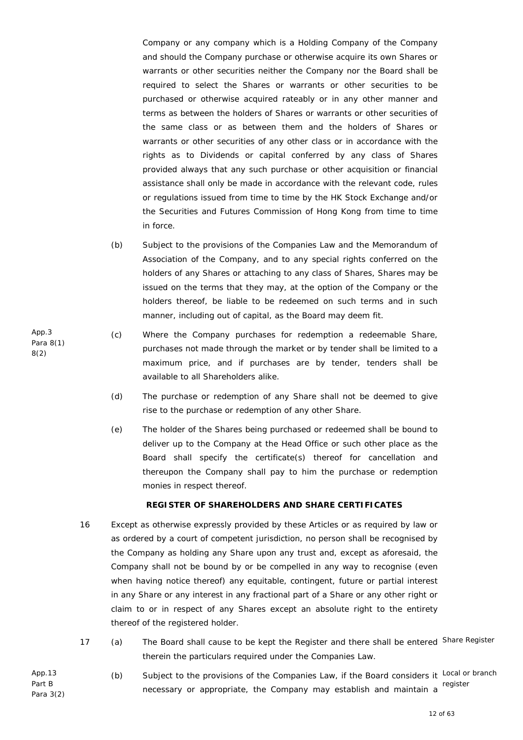Company or any company which is a Holding Company of the Company and should the Company purchase or otherwise acquire its own Shares or warrants or other securities neither the Company nor the Board shall be required to select the Shares or warrants or other securities to be purchased or otherwise acquired rateably or in any other manner and terms as between the holders of Shares or warrants or other securities of the same class or as between them and the holders of Shares or warrants or other securities of any other class or in accordance with the rights as to Dividends or capital conferred by any class of Shares provided always that any such purchase or other acquisition or financial assistance shall only be made in accordance with the relevant code, rules or regulations issued from time to time by the HK Stock Exchange and/or the Securities and Futures Commission of Hong Kong from time to time in force.

- (b) Subject to the provisions of the Companies Law and the Memorandum of Association of the Company, and to any special rights conferred on the holders of any Shares or attaching to any class of Shares, Shares may be issued on the terms that they may, at the option of the Company or the holders thereof, be liable to be redeemed on such terms and in such manner, including out of capital, as the Board may deem fit.
- (c) Where the Company purchases for redemption a redeemable Share, purchases not made through the market or by tender shall be limited to a maximum price, and if purchases are by tender, tenders shall be available to all Shareholders alike.
	- (d) The purchase or redemption of any Share shall not be deemed to give rise to the purchase or redemption of any other Share.
	- (e) The holder of the Shares being purchased or redeemed shall be bound to deliver up to the Company at the Head Office or such other place as the Board shall specify the certificate(s) thereof for cancellation and thereupon the Company shall pay to him the purchase or redemption monies in respect thereof.

# **REGISTER OF SHAREHOLDERS AND SHARE CERTIFICATES**

- 16 Except as otherwise expressly provided by these Articles or as required by law or as ordered by a court of competent jurisdiction, no person shall be recognised by the Company as holding any Share upon any trust and, except as aforesaid, the Company shall not be bound by or be compelled in any way to recognise (even when having notice thereof) any equitable, contingent, future or partial interest in any Share or any interest in any fractional part of a Share or any other right or claim to or in respect of any Shares except an absolute right to the entirety thereof of the registered holder.
- 17 (a) The Board shall cause to be kept the Register and there shall be entered Share Register therein the particulars required under the Companies Law.
- App.13 Part B Para 3(2) (b) Subject to the provisions of the Companies Law, if the Board considers it Local or branch necessary or appropriate, the Company may establish and maintain a register

App.3 Para 8(1) 8(2)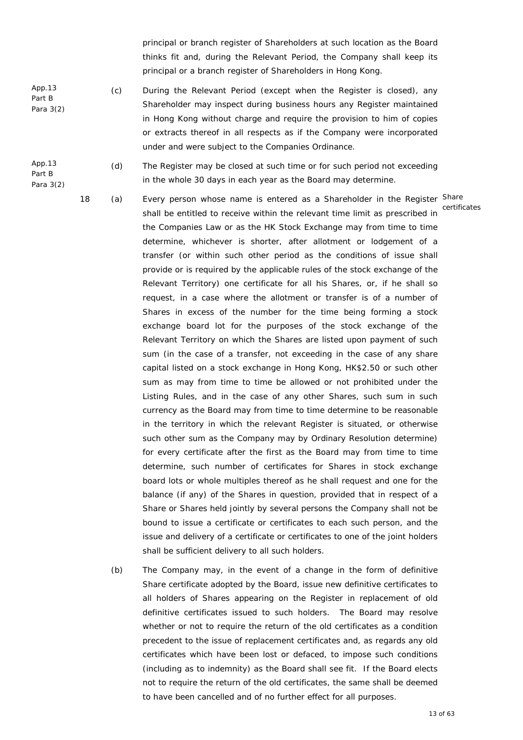principal or branch register of Shareholders at such location as the Board thinks fit and, during the Relevant Period, the Company shall keep its principal or a branch register of Shareholders in Hong Kong.

- App.13 Part B Para 3(2) (c) During the Relevant Period (except when the Register is closed), any Shareholder may inspect during business hours any Register maintained in Hong Kong without charge and require the provision to him of copies or extracts thereof in all respects as if the Company were incorporated under and were subject to the Companies Ordinance.
- App.13 Part B Para 3(2) (d) The Register may be closed at such time or for such period not exceeding in the whole 30 days in each year as the Board may determine.
	-

18 (a) Every person whose name is entered as a Shareholder in the Register Share shall be entitled to receive within the relevant time limit as prescribed in the Companies Law or as the HK Stock Exchange may from time to time determine, whichever is shorter, after allotment or lodgement of a transfer (or within such other period as the conditions of issue shall provide or is required by the applicable rules of the stock exchange of the Relevant Territory) one certificate for all his Shares, or, if he shall so request, in a case where the allotment or transfer is of a number of Shares in excess of the number for the time being forming a stock exchange board lot for the purposes of the stock exchange of the Relevant Territory on which the Shares are listed upon payment of such sum (in the case of a transfer, not exceeding in the case of any share capital listed on a stock exchange in Hong Kong, HK\$2.50 or such other sum as may from time to time be allowed or not prohibited under the Listing Rules, and in the case of any other Shares, such sum in such currency as the Board may from time to time determine to be reasonable in the territory in which the relevant Register is situated, or otherwise such other sum as the Company may by Ordinary Resolution determine) for every certificate after the first as the Board may from time to time determine, such number of certificates for Shares in stock exchange board lots or whole multiples thereof as he shall request and one for the balance (if any) of the Shares in question, provided that in respect of a Share or Shares held jointly by several persons the Company shall not be bound to issue a certificate or certificates to each such person, and the issue and delivery of a certificate or certificates to one of the joint holders shall be sufficient delivery to all such holders. certificates

 (b) The Company may, in the event of a change in the form of definitive Share certificate adopted by the Board, issue new definitive certificates to all holders of Shares appearing on the Register in replacement of old definitive certificates issued to such holders. The Board may resolve whether or not to require the return of the old certificates as a condition precedent to the issue of replacement certificates and, as regards any old certificates which have been lost or defaced, to impose such conditions (including as to indemnity) as the Board shall see fit. If the Board elects not to require the return of the old certificates, the same shall be deemed to have been cancelled and of no further effect for all purposes.

13 of 63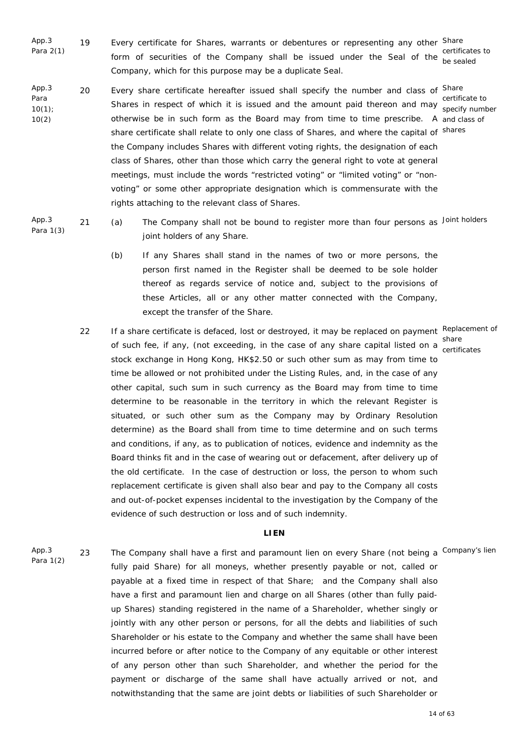- App.3 Para 2(1) 19 Every certificate for Shares, warrants or debentures or representing any other Share form of securities of the Company shall be issued under the Seal of the besealed Company, which for this purpose may be a duplicate Seal. certificates to
- App.3 Para 10(1); 10(2) 20 Every share certificate hereafter issued shall specify the number and class of <sup>Share</sup> certificate to<br>Shares in respect of which it is issued and the amount paid thereon and may otherwise be in such form as the Board may from time to time prescribe. A and class of share certificate shall relate to only one class of Shares, and where the capital of shares the Company includes Shares with different voting rights, the designation of each class of Shares, other than those which carry the general right to vote at general meetings, must include the words "restricted voting" or "limited voting" or "nonvoting" or some other appropriate designation which is commensurate with the rights attaching to the relevant class of Shares. specify number

App.3 Para 1(3)

- 21 (a) The Company shall not be bound to register more than four persons as Joint holders joint holders of any Share.
	- (b) If any Shares shall stand in the names of two or more persons, the person first named in the Register shall be deemed to be sole holder thereof as regards service of notice and, subject to the provisions of these Articles, all or any other matter connected with the Company, except the transfer of the Share.
- 22 If a share certificate is defaced, lost or destroyed, it may be replaced on payment Replacement of share<br>of such fee, if any, (not exceeding, in the case of any share capital listed on a sortific stock exchange in Hong Kong, HK\$2.50 or such other sum as may from time to time be allowed or not prohibited under the Listing Rules, and, in the case of any other capital, such sum in such currency as the Board may from time to time determine to be reasonable in the territory in which the relevant Register is situated, or such other sum as the Company may by Ordinary Resolution determine) as the Board shall from time to time determine and on such terms and conditions, if any, as to publication of notices, evidence and indemnity as the Board thinks fit and in the case of wearing out or defacement, after delivery up of the old certificate. In the case of destruction or loss, the person to whom such replacement certificate is given shall also bear and pay to the Company all costs and out-of-pocket expenses incidental to the investigation by the Company of the evidence of such destruction or loss and of such indemnity. certificates

#### **LIEN**

App.3 Para 1(2) 23 The Company shall have a first and paramount lien on every Share (not being a <sup>Company's lien</sup> fully paid Share) for all moneys, whether presently payable or not, called or payable at a fixed time in respect of that Share; and the Company shall also have a first and paramount lien and charge on all Shares (other than fully paidup Shares) standing registered in the name of a Shareholder, whether singly or jointly with any other person or persons, for all the debts and liabilities of such Shareholder or his estate to the Company and whether the same shall have been incurred before or after notice to the Company of any equitable or other interest of any person other than such Shareholder, and whether the period for the payment or discharge of the same shall have actually arrived or not, and notwithstanding that the same are joint debts or liabilities of such Shareholder or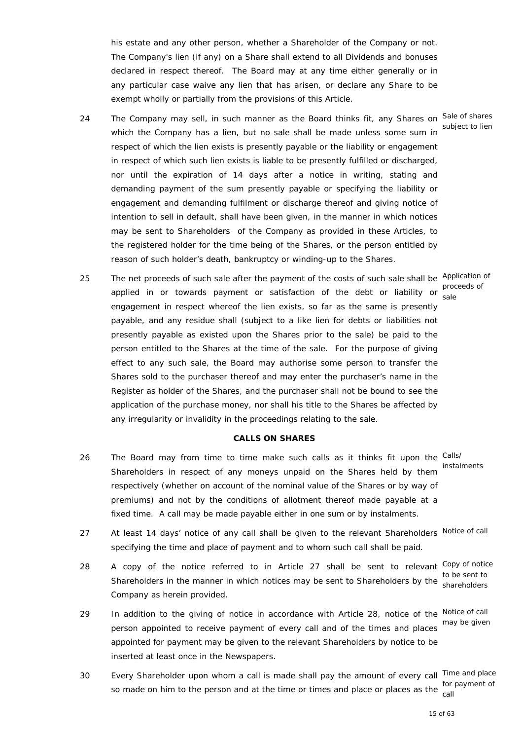his estate and any other person, whether a Shareholder of the Company or not. The Company's lien (if any) on a Share shall extend to all Dividends and bonuses declared in respect thereof. The Board may at any time either generally or in any particular case waive any lien that has arisen, or declare any Share to be exempt wholly or partially from the provisions of this Article.

- 24 The Company may sell, in such manner as the Board thinks fit, any Shares on Sale of shares which the Company has a lien, but no sale shall be made unless some sum in subject to lien respect of which the lien exists is presently payable or the liability or engagement in respect of which such lien exists is liable to be presently fulfilled or discharged, nor until the expiration of 14 days after a notice in writing, stating and demanding payment of the sum presently payable or specifying the liability or engagement and demanding fulfilment or discharge thereof and giving notice of intention to sell in default, shall have been given, in the manner in which notices may be sent to Shareholders of the Company as provided in these Articles, to the registered holder for the time being of the Shares, or the person entitled by reason of such holder's death, bankruptcy or winding-up to the Shares.
- 25 The net proceeds of such sale after the payment of the costs of such sale shall be Application of applied in or towards payment or satisfaction of the debt or liability or proceeds of engagement in respect whereof the lien exists, so far as the same is presently payable, and any residue shall (subject to a like lien for debts or liabilities not presently payable as existed upon the Shares prior to the sale) be paid to the person entitled to the Shares at the time of the sale. For the purpose of giving effect to any such sale, the Board may authorise some person to transfer the Shares sold to the purchaser thereof and may enter the purchaser's name in the Register as holder of the Shares, and the purchaser shall not be bound to see the application of the purchase money, nor shall his title to the Shares be affected by any irregularity or invalidity in the proceedings relating to the sale.

## **CALLS ON SHARES**

- 26 The Board may from time to time make such calls as it thinks fit upon the Calls/ Shareholders in respect of any moneys unpaid on the Shares held by them instalments respectively (whether on account of the nominal value of the Shares or by way of premiums) and not by the conditions of allotment thereof made payable at a fixed time. A call may be made payable either in one sum or by instalments.
- 27 At least 14 days' notice of any call shall be given to the relevant Shareholders Notice of call specifying the time and place of payment and to whom such call shall be paid.
- 28 A copy of the notice referred to in Article 27 shall be sent to relevant Copy of notice to be sent to<br>Shareholders in the manner in which notices may be sent to Shareholders by the charabelders Company as herein provided. shareholders
- 29 In addition to the giving of notice in accordance with Article 28, notice of the Notice of call person appointed to receive payment of every call and of the times and places appointed for payment may be given to the relevant Shareholders by notice to be inserted at least once in the Newspapers. may be given
- 30 Every Shareholder upon whom a call is made shall pay the amount of every call Time and place so made on him to the person and at the time or times and place or places as the soul call

sale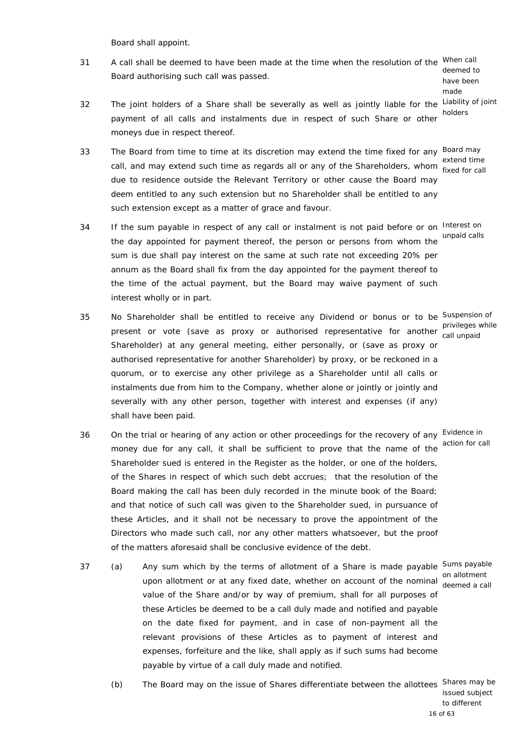Board shall appoint.

31 A call shall be deemed to have been made at the time when the resolution of the When call Board authorising such call was passed.

deemed to have been made holders

- 32 The joint holders of a Share shall be severally as well as jointly liable for the Liability of joint payment of all calls and instalments due in respect of such Share or other moneys due in respect thereof.
- 33 The Board from time to time at its discretion may extend the time fixed for any <sup>Board may</sup> extend time<br>call, and may extend such time as regards all or any of the Shareholders, whom fixed for call due to residence outside the Relevant Territory or other cause the Board may deem entitled to any such extension but no Shareholder shall be entitled to any such extension except as a matter of grace and favour. fixed for call
- 34 If the sum payable in respect of any call or instalment is not paid before or on Interest on the day appointed for payment thereof, the person or persons from whom the unpaid calls sum is due shall pay interest on the same at such rate not exceeding 20% per annum as the Board shall fix from the day appointed for the payment thereof to the time of the actual payment, but the Board may waive payment of such interest wholly or in part.
- 35 No Shareholder shall be entitled to receive any Dividend or bonus or to be Suspension of privileges while<br>present or vote (save as proxy or authorised representative for another call unneid Shareholder) at any general meeting, either personally, or (save as proxy or authorised representative for another Shareholder) by proxy, or be reckoned in a quorum, or to exercise any other privilege as a Shareholder until all calls or instalments due from him to the Company, whether alone or jointly or jointly and severally with any other person, together with interest and expenses (if any) shall have been paid.
- 36 On the trial or hearing of any action or other proceedings for the recovery of any Evidence in money due for any call, it shall be sufficient to prove that the name of the Shareholder sued is entered in the Register as the holder, or one of the holders, of the Shares in respect of which such debt accrues; that the resolution of the Board making the call has been duly recorded in the minute book of the Board; and that notice of such call was given to the Shareholder sued, in pursuance of these Articles, and it shall not be necessary to prove the appointment of the Directors who made such call, nor any other matters whatsoever, but the proof of the matters aforesaid shall be conclusive evidence of the debt.
- 37 (a) Any sum which by the terms of allotment of a Share is made payable Sums payable upon allotment or at any fixed date, whether on account of the nominal degree on allotment value of the Share and/or by way of premium, shall for all purposes of these Articles be deemed to be a call duly made and notified and payable on the date fixed for payment, and in case of non-payment all the relevant provisions of these Articles as to payment of interest and expenses, forfeiture and the like, shall apply as if such sums had become payable by virtue of a call duly made and notified.

deemed a call

 (b) The Board may on the issue of Shares differentiate between the allottees Shares may be issued subject

to different

call unpaid

action for call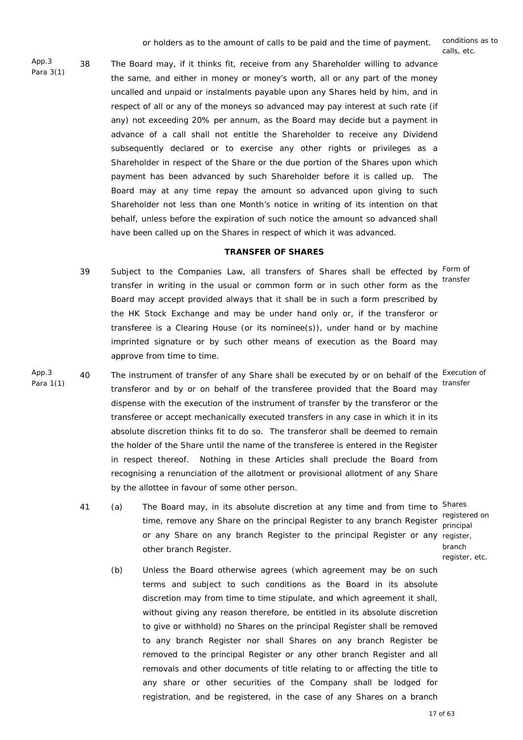calls, etc.

App.3 Para 3(1) 38 The Board may, if it thinks fit, receive from any Shareholder willing to advance the same, and either in money or money's worth, all or any part of the money uncalled and unpaid or instalments payable upon any Shares held by him, and in respect of all or any of the moneys so advanced may pay interest at such rate (if any) not exceeding 20% per annum, as the Board may decide but a payment in advance of a call shall not entitle the Shareholder to receive any Dividend subsequently declared or to exercise any other rights or privileges as a Shareholder in respect of the Share or the due portion of the Shares upon which payment has been advanced by such Shareholder before it is called up. The Board may at any time repay the amount so advanced upon giving to such Shareholder not less than one Month's notice in writing of its intention on that behalf, unless before the expiration of such notice the amount so advanced shall have been called up on the Shares in respect of which it was advanced.

#### **TRANSFER OF SHARES**

- 39 Subject to the Companies Law, all transfers of Shares shall be effected by Form of transfer in writing in the usual or common form or in such other form as the Board may accept provided always that it shall be in such a form prescribed by the HK Stock Exchange and may be under hand only or, if the transferor or transferee is a Clearing House (or its nominee(s)), under hand or by machine imprinted signature or by such other means of execution as the Board may approve from time to time. transfer
- App.3 Para 1(1) 40 The instrument of transfer of any Share shall be executed by or on behalf of the Execution of transferor and by or on behalf of the transferee provided that the Board may dispense with the execution of the instrument of transfer by the transferor or the transferee or accept mechanically executed transfers in any case in which it in its absolute discretion thinks fit to do so. The transferor shall be deemed to remain the holder of the Share until the name of the transferee is entered in the Register in respect thereof. Nothing in these Articles shall preclude the Board from recognising a renunciation of the allotment or provisional allotment of any Share by the allottee in favour of some other person. transfer
	- 41 (a) The Board may, in its absolute discretion at any time and from time to Shares time, remove any Share on the principal Register to any branch Register or any Share on any branch Register to the principal Register or any register, other branch Register.
		- registered on principal branch register, etc.
		- (b) Unless the Board otherwise agrees (which agreement may be on such terms and subject to such conditions as the Board in its absolute discretion may from time to time stipulate, and which agreement it shall, without giving any reason therefore, be entitled in its absolute discretion to give or withhold) no Shares on the principal Register shall be removed to any branch Register nor shall Shares on any branch Register be removed to the principal Register or any other branch Register and all removals and other documents of title relating to or affecting the title to any share or other securities of the Company shall be lodged for registration, and be registered, in the case of any Shares on a branch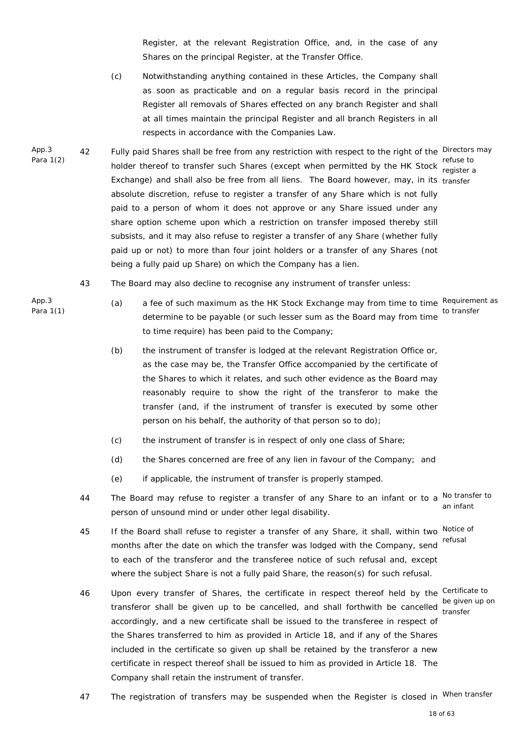Register, at the relevant Registration Office, and, in the case of any Shares on the principal Register, at the Transfer Office.

- (c) Notwithstanding anything contained in these Articles, the Company shall as soon as practicable and on a regular basis record in the principal Register all removals of Shares effected on any branch Register and shall at all times maintain the principal Register and all branch Registers in all respects in accordance with the Companies Law.
- App.3 Para 1(2) 42 Fully paid Shares shall be free from any restriction with respect to the right of the Directors may refuse to<br>holder thereof to transfer such Shares (except when permitted by the HK Stock register of Exchange) and shall also be free from all liens. The Board however, may, in its transfer absolute discretion, refuse to register a transfer of any Share which is not fully paid to a person of whom it does not approve or any Share issued under any share option scheme upon which a restriction on transfer imposed thereby still subsists, and it may also refuse to register a transfer of any Share (whether fully paid up or not) to more than four joint holders or a transfer of any Shares (not being a fully paid up Share) on which the Company has a lien.

register a

- 43 The Board may also decline to recognise any instrument of transfer unless:
- (a) a fee of such maximum as the HK Stock Exchange may from time to time Requirement as determine to be payable (or such lesser sum as the Board may from time to time require) has been paid to the Company; to transfer
	- (b) the instrument of transfer is lodged at the relevant Registration Office or, as the case may be, the Transfer Office accompanied by the certificate of the Shares to which it relates, and such other evidence as the Board may reasonably require to show the right of the transferor to make the transfer (and, if the instrument of transfer is executed by some other person on his behalf, the authority of that person so to do);
	- (c) the instrument of transfer is in respect of only one class of Share;
	- (d) the Shares concerned are free of any lien in favour of the Company; and
	- (e) if applicable, the instrument of transfer is properly stamped.
- 44 The Board may refuse to register a transfer of any Share to an infant or to a <sup>No transfer to</sup> person of unsound mind or under other legal disability. an infant
- 45 If the Board shall refuse to register a transfer of any Share, it shall, within two Notice of months after the date on which the transfer was lodged with the Company, send refusal to each of the transferor and the transferee notice of such refusal and, except where the subject Share is not a fully paid Share, the reason(s) for such refusal.
- 46 Upon every transfer of Shares, the certificate in respect thereof held by the Certificate to transferor shall be given up to be cancelled, and shall forthwith be cancelled transfer accordingly, and a new certificate shall be issued to the transferee in respect of the Shares transferred to him as provided in Article 18, and if any of the Shares included in the certificate so given up shall be retained by the transferor a new certificate in respect thereof shall be issued to him as provided in Article 18. The Company shall retain the instrument of transfer. transfer
- 47 The registration of transfers may be suspended when the Register is closed in <sup>When transfer</sup>

App.3 Para 1(1)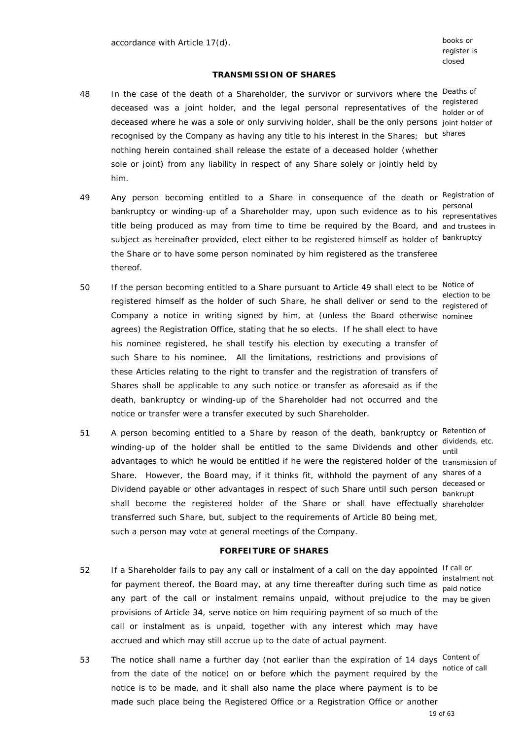register is closed

## **TRANSMISSION OF SHARES**

- 48 In the case of the death of a Shareholder, the survivor or survivors where the Deaths of registered<br>deceased was a joint holder, and the legal personal representatives of the bolder or a deceased where he was a sole or only surviving holder, shall be the only persons joint holder of recognised by the Company as having any title to his interest in the Shares; but shares nothing herein contained shall release the estate of a deceased holder (whether sole or joint) from any liability in respect of any Share solely or jointly held by him.
- 49 Any person becoming entitled to a Share in consequence of the death or Registration of bankruptcy or winding-up of a Shareholder may, upon such evidence as to his personal title being produced as may from time to time be required by the Board, and and trustees in subject as hereinafter provided, elect either to be registered himself as holder of <sup>bankruptcy</sup> the Share or to have some person nominated by him registered as the transferee thereof.
- 50 If the person becoming entitled to a Share pursuant to Article 49 shall elect to be Notice of election to be<br>registered himself as the holder of such Share, he shall deliver or send to the registered of Company a notice in writing signed by him, at (unless the Board otherwise nominee agrees) the Registration Office, stating that he so elects. If he shall elect to have his nominee registered, he shall testify his election by executing a transfer of such Share to his nominee. All the limitations, restrictions and provisions of these Articles relating to the right to transfer and the registration of transfers of Shares shall be applicable to any such notice or transfer as aforesaid as if the death, bankruptcy or winding-up of the Shareholder had not occurred and the
- 51 A person becoming entitled to a Share by reason of the death, bankruptcy or Retention of dividends, etc.<br>winding-up of the holder shall be entitled to the same Dividends and other while advantages to which he would be entitled if he were the registered holder of the transmission of Share. However, the Board may, if it thinks fit, withhold the payment of any shares of a Dividend payable or other advantages in respect of such Share until such person deceased or shall become the registered holder of the Share or shall have effectually shareholder transferred such Share, but, subject to the requirements of Article 80 being met, such a person may vote at general meetings of the Company.

notice or transfer were a transfer executed by such Shareholder.

#### **FORFEITURE OF SHARES**

- 52 If a Shareholder fails to pay any call or instalment of a call on the day appointed If call or for payment thereof, the Board may, at any time thereafter during such time as not not instalment not any part of the call or instalment remains unpaid, without prejudice to the may be given provisions of Article 34, serve notice on him requiring payment of so much of the call or instalment as is unpaid, together with any interest which may have accrued and which may still accrue up to the date of actual payment.
- 53 The notice shall name a further day (not earlier than the expiration of 14 days Content of from the date of the notice) on or before which the payment required by the notice of call notice is to be made, and it shall also name the place where payment is to be made such place being the Registered Office or a Registration Office or another

holder or of

representatives

registered of

until bankrupt

paid notice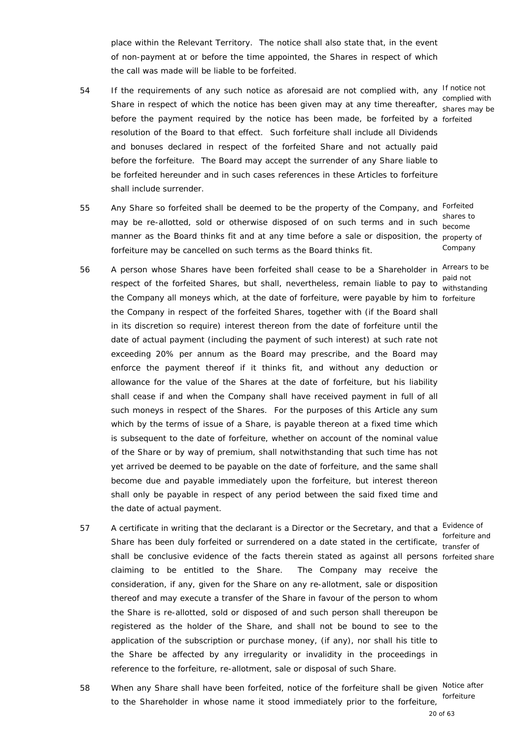place within the Relevant Territory. The notice shall also state that, in the event of non-payment at or before the time appointed, the Shares in respect of which the call was made will be liable to be forfeited.

- 54 If the requirements of any such notice as aforesaid are not complied with, any If notice not complied with<br>Share in respect of which the notice has been given may at any time thereafter, shares may be before the payment required by the notice has been made, be forfeited by a forfeited resolution of the Board to that effect. Such forfeiture shall include all Dividends and bonuses declared in respect of the forfeited Share and not actually paid before the forfeiture. The Board may accept the surrender of any Share liable to be forfeited hereunder and in such cases references in these Articles to forfeiture shall include surrender.
- 55 Any Share so forfeited shall be deemed to be the property of the Company, and Forfeited may be re-allotted, sold or otherwise disposed of on such terms and in such become manner as the Board thinks fit and at any time before a sale or disposition, the property of forfeiture may be cancelled on such terms as the Board thinks fit.
- 56 A person whose Shares have been forfeited shall cease to be a Shareholder in Arrears to be paid not<br>respect of the forfeited Shares, but shall, nevertheless, remain liable to pay to withoton the Company all moneys which, at the date of forfeiture, were payable by him to forfeiture the Company in respect of the forfeited Shares, together with (if the Board shall in its discretion so require) interest thereon from the date of forfeiture until the date of actual payment (including the payment of such interest) at such rate not exceeding 20% per annum as the Board may prescribe, and the Board may enforce the payment thereof if it thinks fit, and without any deduction or allowance for the value of the Shares at the date of forfeiture, but his liability shall cease if and when the Company shall have received payment in full of all such moneys in respect of the Shares. For the purposes of this Article any sum which by the terms of issue of a Share, is payable thereon at a fixed time which is subsequent to the date of forfeiture, whether on account of the nominal value of the Share or by way of premium, shall notwithstanding that such time has not yet arrived be deemed to be payable on the date of forfeiture, and the same shall become due and payable immediately upon the forfeiture, but interest thereon shall only be payable in respect of any period between the said fixed time and the date of actual payment.
- 57 A certificate in writing that the declarant is a Director or the Secretary, and that a Evidence of Share has been duly forfeited or surrendered on a date stated in the certificate, transfer of shall be conclusive evidence of the facts therein stated as against all persons forfeited share claiming to be entitled to the Share. The Company may receive the consideration, if any, given for the Share on any re-allotment, sale or disposition thereof and may execute a transfer of the Share in favour of the person to whom the Share is re-allotted, sold or disposed of and such person shall thereupon be registered as the holder of the Share, and shall not be bound to see to the application of the subscription or purchase money, (if any), nor shall his title to the Share be affected by any irregularity or invalidity in the proceedings in reference to the forfeiture, re-allotment, sale or disposal of such Share.
- 58 When any Share shall have been forfeited, notice of the forfeiture shall be given Notice after to the Shareholder in whose name it stood immediately prior to the forfeiture, forfeiture

shares may be

shares to Company

withstanding

forfeiture and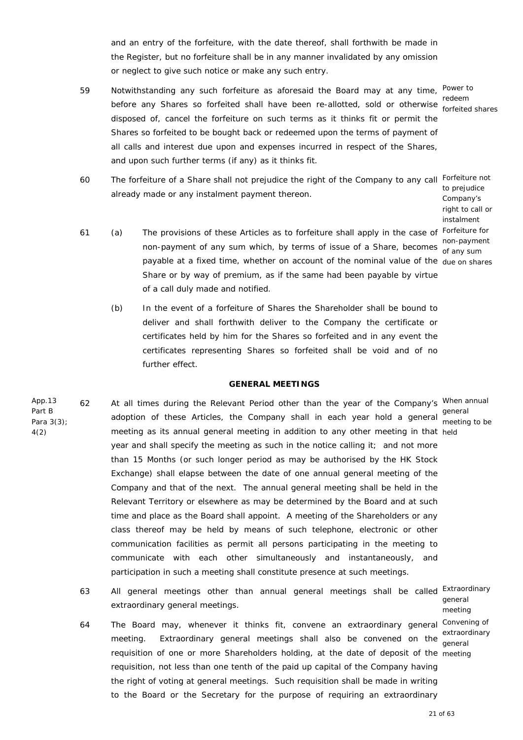and an entry of the forfeiture, with the date thereof, shall forthwith be made in the Register, but no forfeiture shall be in any manner invalidated by any omission or neglect to give such notice or make any such entry.

- 59 Notwithstanding any such forfeiture as aforesaid the Board may at any time, Power to redeem<br>before any Shares so forfeited shall have been re-allotted, sold or otherwise <sub>ferfaites</sub> disposed of, cancel the forfeiture on such terms as it thinks fit or permit the Shares so forfeited to be bought back or redeemed upon the terms of payment of all calls and interest due upon and expenses incurred in respect of the Shares, and upon such further terms (if any) as it thinks fit.
- 60 The forfeiture of a Share shall not prejudice the right of the Company to any call Forfeiture not already made or any instalment payment thereon.
- 61 (a) The provisions of these Articles as to forfeiture shall apply in the case of Forfeiture for non-payment of any sum which, by terms of issue of a Share, becomes are non-payment payable at a fixed time, whether on account of the nominal value of the due on shares Share or by way of premium, as if the same had been payable by virtue of a call duly made and notified.
	- (b) In the event of a forfeiture of Shares the Shareholder shall be bound to deliver and shall forthwith deliver to the Company the certificate or certificates held by him for the Shares so forfeited and in any event the certificates representing Shares so forfeited shall be void and of no further effect.

## **GENERAL MEETINGS**

App.13 Para 3(3); 62 At all times during the Relevant Period other than the year of the Company's When annual general<br>adoption of these Articles, the Company shall in each year hold a general <sub>meating</sub> meeting as its annual general meeting in addition to any other meeting in that held year and shall specify the meeting as such in the notice calling it; and not more than 15 Months (or such longer period as may be authorised by the HK Stock Exchange) shall elapse between the date of one annual general meeting of the Company and that of the next. The annual general meeting shall be held in the Relevant Territory or elsewhere as may be determined by the Board and at such time and place as the Board shall appoint. A meeting of the Shareholders or any class thereof may be held by means of such telephone, electronic or other communication facilities as permit all persons participating in the meeting to communicate with each other simultaneously and instantaneously, and participation in such a meeting shall constitute presence at such meetings. meeting to be

Part B

4(2)

63 All general meetings other than annual general meetings shall be called Extraordinary extraordinary general meetings. general

64 The Board may, whenever it thinks fit, convene an extraordinary general Convening of meeting. Extraordinary general meetings shall also be convened on the requisition of one or more Shareholders holding, at the date of deposit of the meeting requisition, not less than one tenth of the paid up capital of the Company having the right of voting at general meetings. Such requisition shall be made in writing to the Board or the Secretary for the purpose of requiring an extraordinary

meeting extraordinary general

21 of 63

forfeited shares

to prejudice Company's right to call or instalment of any sum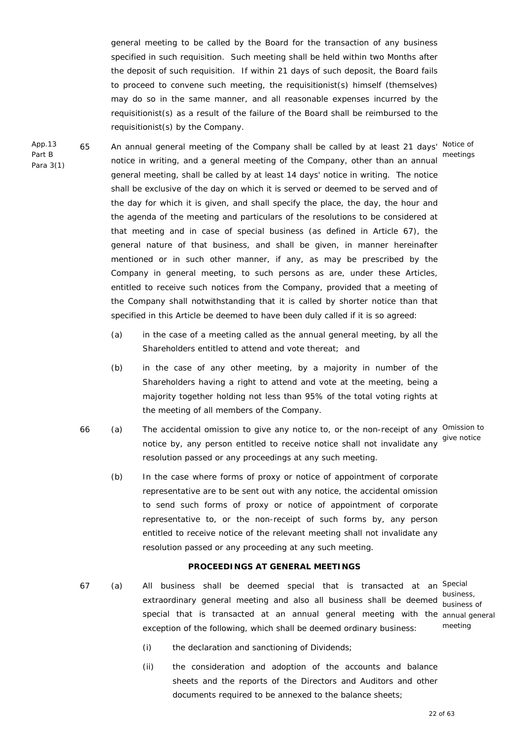general meeting to be called by the Board for the transaction of any business specified in such requisition. Such meeting shall be held within two Months after the deposit of such requisition. If within 21 days of such deposit, the Board fails to proceed to convene such meeting, the requisitionist(s) himself (themselves) may do so in the same manner, and all reasonable expenses incurred by the requisitionist(s) as a result of the failure of the Board shall be reimbursed to the requisitionist(s) by the Company.

- 65 An annual general meeting of the Company shall be called by at least 21 days' Notice of notice in writing, and a general meeting of the Company, other than an annual meetings general meeting, shall be called by at least 14 days' notice in writing. The notice shall be exclusive of the day on which it is served or deemed to be served and of the day for which it is given, and shall specify the place, the day, the hour and the agenda of the meeting and particulars of the resolutions to be considered at that meeting and in case of special business (as defined in Article 67), the general nature of that business, and shall be given, in manner hereinafter mentioned or in such other manner, if any, as may be prescribed by the Company in general meeting, to such persons as are, under these Articles, entitled to receive such notices from the Company, provided that a meeting of the Company shall notwithstanding that it is called by shorter notice than that specified in this Article be deemed to have been duly called if it is so agreed:
	- (a) in the case of a meeting called as the annual general meeting, by all the Shareholders entitled to attend and vote thereat; and
	- (b) in the case of any other meeting, by a majority in number of the Shareholders having a right to attend and vote at the meeting, being a majority together holding not less than 95% of the total voting rights at the meeting of all members of the Company.
	- 66 (a) The accidental omission to give any notice to, or the non-receipt of any <sup>Omission to</sup> notice by, any person entitled to receive notice shall not invalidate any resolution passed or any proceedings at any such meeting. give notice
		- (b) In the case where forms of proxy or notice of appointment of corporate representative are to be sent out with any notice, the accidental omission to send such forms of proxy or notice of appointment of corporate representative to, or the non-receipt of such forms by, any person entitled to receive notice of the relevant meeting shall not invalidate any resolution passed or any proceeding at any such meeting.

## **PROCEEDINGS AT GENERAL MEETINGS**

67 (a) All business shall be deemed special that is transacted at an <sup>Special</sup> extraordinary general meeting and also all business shall be deemed special that is transacted at an annual general meeting with the annual general exception of the following, which shall be deemed ordinary business:

business, business of meeting

- (i) the declaration and sanctioning of Dividends;
- (ii) the consideration and adoption of the accounts and balance sheets and the reports of the Directors and Auditors and other documents required to be annexed to the balance sheets;

22 of 63

App.13 Part B Para 3(1)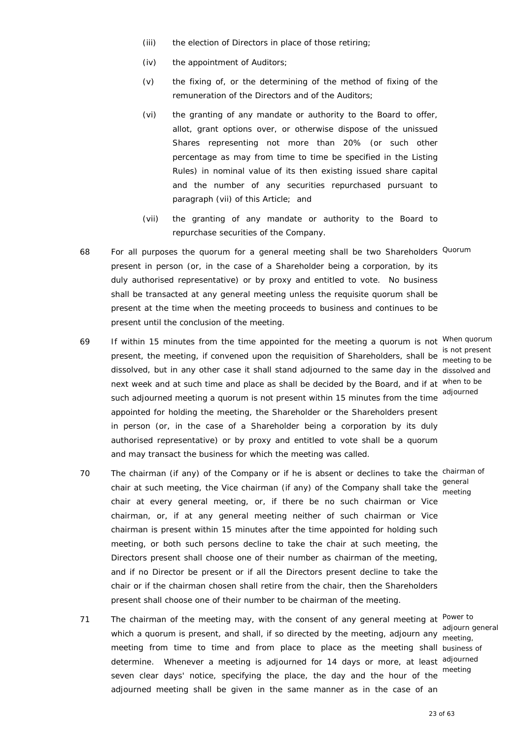- (iii) the election of Directors in place of those retiring;
- (iv) the appointment of Auditors;
- (v) the fixing of, or the determining of the method of fixing of the remuneration of the Directors and of the Auditors;
- (vi) the granting of any mandate or authority to the Board to offer, allot, grant options over, or otherwise dispose of the unissued Shares representing not more than 20% (or such other percentage as may from time to time be specified in the Listing Rules) in nominal value of its then existing issued share capital and the number of any securities repurchased pursuant to paragraph (vii) of this Article; and
- (vii) the granting of any mandate or authority to the Board to repurchase securities of the Company.
- 68 For all purposes the quorum for a general meeting shall be two Shareholders <sup>Quorum</sup> present in person (or, in the case of a Shareholder being a corporation, by its duly authorised representative) or by proxy and entitled to vote. No business shall be transacted at any general meeting unless the requisite quorum shall be present at the time when the meeting proceeds to business and continues to be present until the conclusion of the meeting.
- 69 If within 15 minutes from the time appointed for the meeting a quorum is not <sup>When quorum</sup> is not present<br>present, the meeting, if convened upon the requisition of Shareholders, shall be meeting to be dissolved, but in any other case it shall stand adjourned to the same day in the dissolved and next week and at such time and place as shall be decided by the Board, and if at when to be such adjourned meeting a quorum is not present within 15 minutes from the time adjourned appointed for holding the meeting, the Shareholder or the Shareholders present in person (or, in the case of a Shareholder being a corporation by its duly authorised representative) or by proxy and entitled to vote shall be a quorum and may transact the business for which the meeting was called.
- 70 The chairman (if any) of the Company or if he is absent or declines to take the chairman of general<br>chair at such meeting, the Vice chairman (if any) of the Company shall take the seculion chair at every general meeting, or, if there be no such chairman or Vice chairman, or, if at any general meeting neither of such chairman or Vice chairman is present within 15 minutes after the time appointed for holding such meeting, or both such persons decline to take the chair at such meeting, the Directors present shall choose one of their number as chairman of the meeting, and if no Director be present or if all the Directors present decline to take the chair or if the chairman chosen shall retire from the chair, then the Shareholders present shall choose one of their number to be chairman of the meeting.
- 71 The chairman of the meeting may, with the consent of any general meeting at <sup>Power to</sup> which a quorum is present, and shall, if so directed by the meeting, adjourn any  $\frac{m}{\text{meeting}}$ , meeting from time to time and from place to place as the meeting shall business of determine. Whenever a meeting is adjourned for 14 days or more, at least adjourned seven clear days' notice, specifying the place, the day and the hour of the adjourned meeting shall be given in the same manner as in the case of an

meeting to be

meeting

adjourn general meeting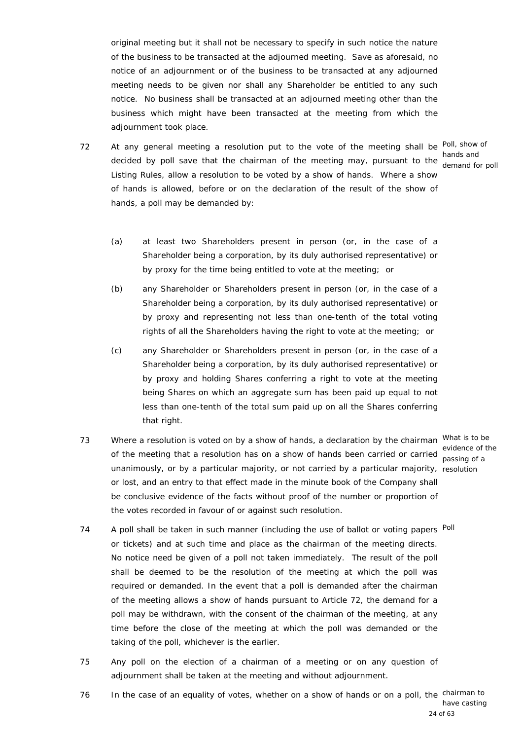original meeting but it shall not be necessary to specify in such notice the nature of the business to be transacted at the adjourned meeting. Save as aforesaid, no notice of an adjournment or of the business to be transacted at any adjourned meeting needs to be given nor shall any Shareholder be entitled to any such notice. No business shall be transacted at an adjourned meeting other than the business which might have been transacted at the meeting from which the adjournment took place.

72 At any general meeting a resolution put to the vote of the meeting shall be <sup>Poll, show of</sup> hands and<br>decided by poll save that the chairman of the meeting may, pursuant to the demand for Listing Rules, allow a resolution to be voted by a show of hands. Where a show of hands is allowed, before or on the declaration of the result of the show of hands, a poll may be demanded by:

demand for poll

- (a) at least two Shareholders present in person (or, in the case of a Shareholder being a corporation, by its duly authorised representative) or by proxy for the time being entitled to vote at the meeting; or
- (b) any Shareholder or Shareholders present in person (or, in the case of a Shareholder being a corporation, by its duly authorised representative) or by proxy and representing not less than one-tenth of the total voting rights of all the Shareholders having the right to vote at the meeting; or
- (c) any Shareholder or Shareholders present in person (or, in the case of a Shareholder being a corporation, by its duly authorised representative) or by proxy and holding Shares conferring a right to vote at the meeting being Shares on which an aggregate sum has been paid up equal to not less than one-tenth of the total sum paid up on all the Shares conferring that right.
- 73 Where a resolution is voted on by a show of hands, a declaration by the chairman What is to be evidence of the meeting that a resolution has on a show of hands been carried or carried exidence of the unanimously, or by a particular majority, or not carried by a particular majority, resolution or lost, and an entry to that effect made in the minute book of the Company shall be conclusive evidence of the facts without proof of the number or proportion of the votes recorded in favour of or against such resolution.

passing of a

- 74 A poll shall be taken in such manner (including the use of ballot or voting papers <sup>Poll</sup> or tickets) and at such time and place as the chairman of the meeting directs. No notice need be given of a poll not taken immediately. The result of the poll shall be deemed to be the resolution of the meeting at which the poll was required or demanded. In the event that a poll is demanded after the chairman of the meeting allows a show of hands pursuant to Article 72, the demand for a poll may be withdrawn, with the consent of the chairman of the meeting, at any time before the close of the meeting at which the poll was demanded or the taking of the poll, whichever is the earlier.
- 75 Any poll on the election of a chairman of a meeting or on any question of adjournment shall be taken at the meeting and without adjournment.
- 76 In the case of an equality of votes, whether on a show of hands or on a poll, the chairman to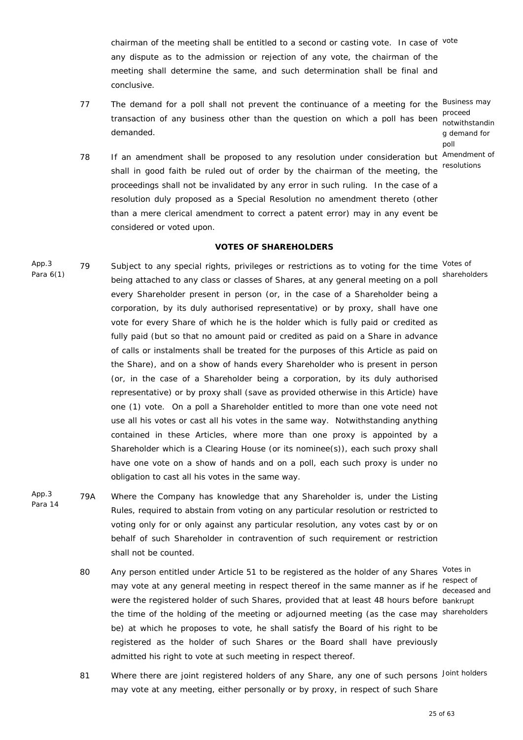chairman of the meeting shall be entitled to a second or casting vote. In case of vote any dispute as to the admission or rejection of any vote, the chairman of the meeting shall determine the same, and such determination shall be final and conclusive.

- 77 The demand for a poll shall not prevent the continuance of a meeting for the <sup>Business may</sup> proceed<br>transaction of any business other than the question on which a poll has been **potwither** demanded.
	- notwithstandin g demand for poll
- 78 If an amendment shall be proposed to any resolution under consideration but Amendment of shall in good faith be ruled out of order by the chairman of the meeting, the resolutions proceedings shall not be invalidated by any error in such ruling. In the case of a resolution duly proposed as a Special Resolution no amendment thereto (other than a mere clerical amendment to correct a patent error) may in any event be considered or voted upon.

## **VOTES OF SHAREHOLDERS**

- App.3 Para 6(1) 79 Subject to any special rights, privileges or restrictions as to voting for the time Votes of being attached to any class or classes of Shares, at any general meeting on a poll every Shareholder present in person (or, in the case of a Shareholder being a corporation, by its duly authorised representative) or by proxy, shall have one vote for every Share of which he is the holder which is fully paid or credited as fully paid (but so that no amount paid or credited as paid on a Share in advance of calls or instalments shall be treated for the purposes of this Article as paid on the Share), and on a show of hands every Shareholder who is present in person (or, in the case of a Shareholder being a corporation, by its duly authorised representative) or by proxy shall (save as provided otherwise in this Article) have one (1) vote. On a poll a Shareholder entitled to more than one vote need not use all his votes or cast all his votes in the same way. Notwithstanding anything contained in these Articles, where more than one proxy is appointed by a Shareholder which is a Clearing House (or its nominee(s)), each such proxy shall have one vote on a show of hands and on a poll, each such proxy is under no obligation to cast all his votes in the same way. shareholders
- App.3 Para 14 79A Where the Company has knowledge that any Shareholder is, under the Listing Rules, required to abstain from voting on any particular resolution or restricted to voting only for or only against any particular resolution, any votes cast by or on behalf of such Shareholder in contravention of such requirement or restriction shall not be counted.
	- 80 Any person entitled under Article 51 to be registered as the holder of any Shares Votes in may vote at any general meeting in respect thereof in the same manner as if he respect of were the registered holder of such Shares, provided that at least 48 hours before bankrupt the time of the holding of the meeting or adjourned meeting (as the case may shareholders be) at which he proposes to vote, he shall satisfy the Board of his right to be registered as the holder of such Shares or the Board shall have previously admitted his right to vote at such meeting in respect thereof.

deceased and

81 Where there are joint registered holders of any Share, any one of such persons Joint holders may vote at any meeting, either personally or by proxy, in respect of such Share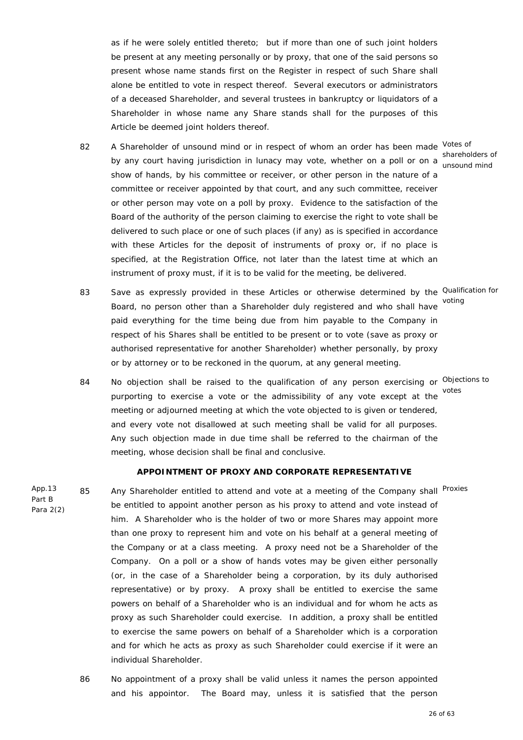as if he were solely entitled thereto; but if more than one of such joint holders be present at any meeting personally or by proxy, that one of the said persons so present whose name stands first on the Register in respect of such Share shall alone be entitled to vote in respect thereof. Several executors or administrators of a deceased Shareholder, and several trustees in bankruptcy or liquidators of a Shareholder in whose name any Share stands shall for the purposes of this Article be deemed joint holders thereof.

- 82 A Shareholder of unsound mind or in respect of whom an order has been made Votes of shareholders of<br>by any court having jurisdiction in lunacy may vote, whether on a poll or on a uncound mind show of hands, by his committee or receiver, or other person in the nature of a committee or receiver appointed by that court, and any such committee, receiver or other person may vote on a poll by proxy. Evidence to the satisfaction of the Board of the authority of the person claiming to exercise the right to vote shall be delivered to such place or one of such places (if any) as is specified in accordance with these Articles for the deposit of instruments of proxy or, if no place is specified, at the Registration Office, not later than the latest time at which an instrument of proxy must, if it is to be valid for the meeting, be delivered.
- 83 Save as expressly provided in these Articles or otherwise determined by the <sup>Qualification for</sup> Board, no person other than a Shareholder duly registered and who shall have paid everything for the time being due from him payable to the Company in respect of his Shares shall be entitled to be present or to vote (save as proxy or authorised representative for another Shareholder) whether personally, by proxy or by attorney or to be reckoned in the quorum, at any general meeting.
- 84 No objection shall be raised to the qualification of any person exercising or <sup>Objections to</sup> purporting to exercise a vote or the admissibility of any vote except at the meeting or adjourned meeting at which the vote objected to is given or tendered, and every vote not disallowed at such meeting shall be valid for all purposes. Any such objection made in due time shall be referred to the chairman of the meeting, whose decision shall be final and conclusive. votes

#### **APPOINTMENT OF PROXY AND CORPORATE REPRESENTATIVE**

App.13 Para 2(2) 85 Any Shareholder entitled to attend and vote at a meeting of the Company shall Proxies be entitled to appoint another person as his proxy to attend and vote instead of him. A Shareholder who is the holder of two or more Shares may appoint more than one proxy to represent him and vote on his behalf at a general meeting of the Company or at a class meeting. A proxy need not be a Shareholder of the Company. On a poll or a show of hands votes may be given either personally (or, in the case of a Shareholder being a corporation, by its duly authorised representative) or by proxy. A proxy shall be entitled to exercise the same powers on behalf of a Shareholder who is an individual and for whom he acts as proxy as such Shareholder could exercise. In addition, a proxy shall be entitled to exercise the same powers on behalf of a Shareholder which is a corporation and for which he acts as proxy as such Shareholder could exercise if it were an individual Shareholder.

Part B

86 No appointment of a proxy shall be valid unless it names the person appointed and his appointor. The Board may, unless it is satisfied that the person

unsound mind

voting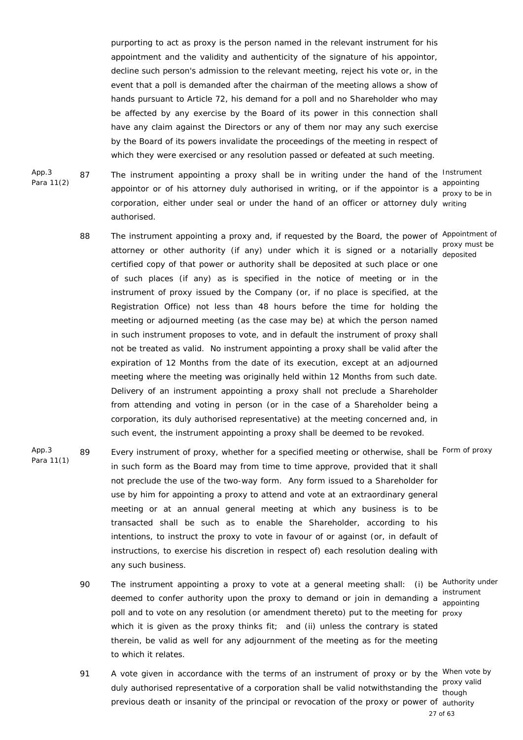purporting to act as proxy is the person named in the relevant instrument for his appointment and the validity and authenticity of the signature of his appointor, decline such person's admission to the relevant meeting, reject his vote or, in the event that a poll is demanded after the chairman of the meeting allows a show of hands pursuant to Article 72, his demand for a poll and no Shareholder who may be affected by any exercise by the Board of its power in this connection shall have any claim against the Directors or any of them nor may any such exercise by the Board of its powers invalidate the proceedings of the meeting in respect of which they were exercised or any resolution passed or defeated at such meeting.

App.3 Para 11(2)

87 The instrument appointing a proxy shall be in writing under the hand of the Instrument appointor or of his attorney duly authorised in writing, or if the appointor is a suppointing corporation, either under seal or under the hand of an officer or attorney duly writing authorised.

- 88 The instrument appointing a proxy and, if requested by the Board, the power of Appointment of attorney or other authority (if any) under which it is signed or a notarially deposited certified copy of that power or authority shall be deposited at such place or one of such places (if any) as is specified in the notice of meeting or in the instrument of proxy issued by the Company (or, if no place is specified, at the Registration Office) not less than 48 hours before the time for holding the meeting or adjourned meeting (as the case may be) at which the person named in such instrument proposes to vote, and in default the instrument of proxy shall not be treated as valid. No instrument appointing a proxy shall be valid after the expiration of 12 Months from the date of its execution, except at an adjourned meeting where the meeting was originally held within 12 Months from such date. Delivery of an instrument appointing a proxy shall not preclude a Shareholder from attending and voting in person (or in the case of a Shareholder being a corporation, its duly authorised representative) at the meeting concerned and, in such event, the instrument appointing a proxy shall be deemed to be revoked.
- App.3 Para 11(1) 89 Every instrument of proxy, whether for a specified meeting or otherwise, shall be Form of proxy in such form as the Board may from time to time approve, provided that it shall not preclude the use of the two-way form. Any form issued to a Shareholder for use by him for appointing a proxy to attend and vote at an extraordinary general meeting or at an annual general meeting at which any business is to be transacted shall be such as to enable the Shareholder, according to his intentions, to instruct the proxy to vote in favour of or against (or, in default of instructions, to exercise his discretion in respect of) each resolution dealing with any such business.
	- 90 The instrument appointing a proxy to vote at a general meeting shall: (i) be <sup>Authority under</sup> instrument<br>deemed to confer authority upon the proxy to demand or join in demanding a sensinting poll and to vote on any resolution (or amendment thereto) put to the meeting for proxy which it is given as the proxy thinks fit; and (ii) unless the contrary is stated therein, be valid as well for any adjournment of the meeting as for the meeting to which it relates.

appointing

27 of 63 91 A vote given in accordance with the terms of an instrument of proxy or by the <sup>When vote by</sup> proxy valid<br>duly authorised representative of a corporation shall be valid notwithstanding the though previous death or insanity of the principal or revocation of the proxy or power of authority though

proxy to be in

deposited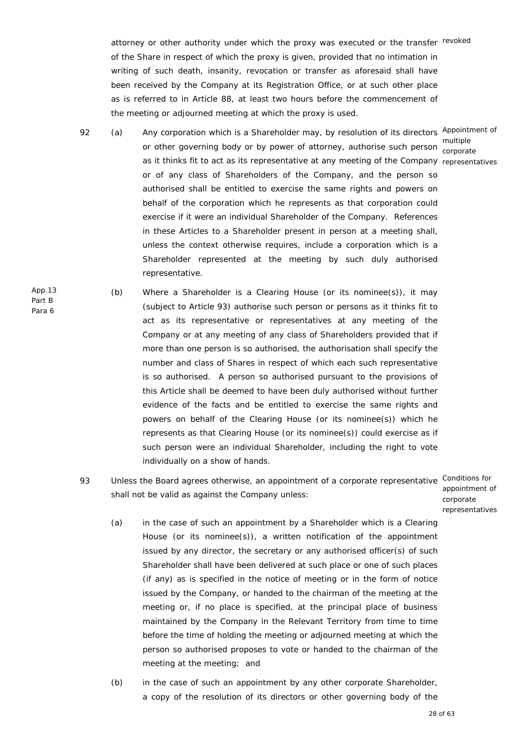attorney or other authority under which the proxy was executed or the transfer revoked of the Share in respect of which the proxy is given, provided that no intimation in writing of such death, insanity, revocation or transfer as aforesaid shall have been received by the Company at its Registration Office, or at such other place as is referred to in Article 88, at least two hours before the commencement of the meeting or adjourned meeting at which the proxy is used.

- 92 (a) Any corporation which is a Shareholder may, by resolution of its directors Appointment of multiple<br>or other governing body or by power of attorney, authorise such person servent as it thinks fit to act as its representative at any meeting of the Company representatives or of any class of Shareholders of the Company, and the person so authorised shall be entitled to exercise the same rights and powers on behalf of the corporation which he represents as that corporation could exercise if it were an individual Shareholder of the Company. References in these Articles to a Shareholder present in person at a meeting shall, unless the context otherwise requires, include a corporation which is a Shareholder represented at the meeting by such duly authorised representative. corporate
- App.13 Part B Para 6 (b) Where a Shareholder is a Clearing House (or its nominee(s)), it may (subject to Article 93) authorise such person or persons as it thinks fit to act as its representative or representatives at any meeting of the Company or at any meeting of any class of Shareholders provided that if more than one person is so authorised, the authorisation shall specify the number and class of Shares in respect of which each such representative is so authorised. A person so authorised pursuant to the provisions of this Article shall be deemed to have been duly authorised without further evidence of the facts and be entitled to exercise the same rights and powers on behalf of the Clearing House (or its nominee(s)) which he represents as that Clearing House (or its nominee(s)) could exercise as if such person were an individual Shareholder, including the right to vote individually on a show of hands.
	- 93 Unless the Board agrees otherwise, an appointment of a corporate representative Conditions for shall not be valid as against the Company unless:

appointment of corporate representatives

- (a) in the case of such an appointment by a Shareholder which is a Clearing House (or its nominee(s)), a written notification of the appointment issued by any director, the secretary or any authorised officer(s) of such Shareholder shall have been delivered at such place or one of such places (if any) as is specified in the notice of meeting or in the form of notice issued by the Company, or handed to the chairman of the meeting at the meeting or, if no place is specified, at the principal place of business maintained by the Company in the Relevant Territory from time to time before the time of holding the meeting or adjourned meeting at which the person so authorised proposes to vote or handed to the chairman of the meeting at the meeting; and
- (b) in the case of such an appointment by any other corporate Shareholder, a copy of the resolution of its directors or other governing body of the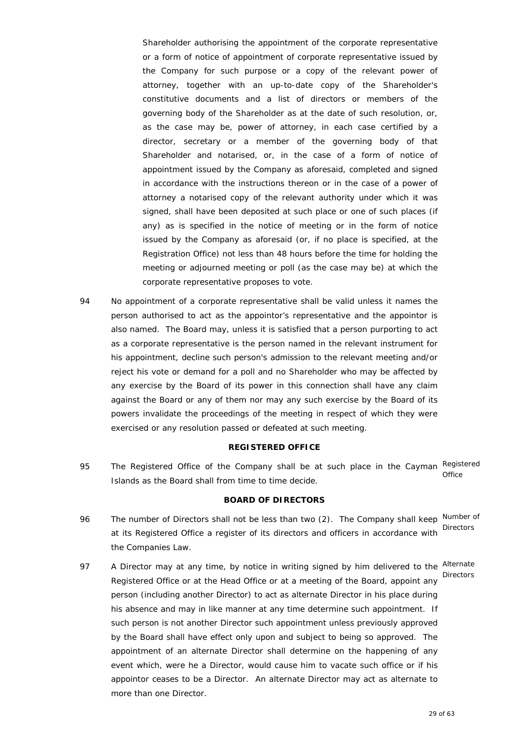Shareholder authorising the appointment of the corporate representative or a form of notice of appointment of corporate representative issued by the Company for such purpose or a copy of the relevant power of attorney, together with an up-to-date copy of the Shareholder's constitutive documents and a list of directors or members of the governing body of the Shareholder as at the date of such resolution, or, as the case may be, power of attorney, in each case certified by a director, secretary or a member of the governing body of that Shareholder and notarised, or, in the case of a form of notice of appointment issued by the Company as aforesaid, completed and signed in accordance with the instructions thereon or in the case of a power of attorney a notarised copy of the relevant authority under which it was signed, shall have been deposited at such place or one of such places (if any) as is specified in the notice of meeting or in the form of notice issued by the Company as aforesaid (or, if no place is specified, at the Registration Office) not less than 48 hours before the time for holding the meeting or adjourned meeting or poll (as the case may be) at which the corporate representative proposes to vote.

94 No appointment of a corporate representative shall be valid unless it names the person authorised to act as the appointor's representative and the appointor is also named. The Board may, unless it is satisfied that a person purporting to act as a corporate representative is the person named in the relevant instrument for his appointment, decline such person's admission to the relevant meeting and/or reject his vote or demand for a poll and no Shareholder who may be affected by any exercise by the Board of its power in this connection shall have any claim against the Board or any of them nor may any such exercise by the Board of its powers invalidate the proceedings of the meeting in respect of which they were exercised or any resolution passed or defeated at such meeting.

#### **REGISTERED OFFICE**

95 The Registered Office of the Company shall be at such place in the Cayman Registered Islands as the Board shall from time to time decide. **Office** 

## **BOARD OF DIRECTORS**

- 96 The number of Directors shall not be less than two (2). The Company shall keep Number of at its Registered Office a register of its directors and officers in accordance with the Companies Law. **Directors**
- 97 A Director may at any time, by notice in writing signed by him delivered to the Alternate Registered Office or at the Head Office or at a meeting of the Board, appoint any person (including another Director) to act as alternate Director in his place during his absence and may in like manner at any time determine such appointment. If such person is not another Director such appointment unless previously approved by the Board shall have effect only upon and subject to being so approved. The appointment of an alternate Director shall determine on the happening of any event which, were he a Director, would cause him to vacate such office or if his appointor ceases to be a Director. An alternate Director may act as alternate to more than one Director. **Directors**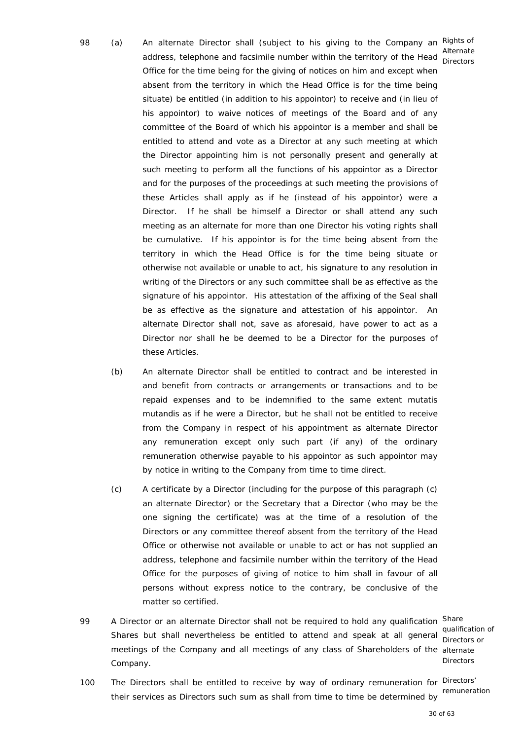- 98 (a) An alternate Director shall (subject to his giving to the Company an Rights of address, telephone and facsimile number within the territory of the Head Directors Office for the time being for the giving of notices on him and except when absent from the territory in which the Head Office is for the time being situate) be entitled (in addition to his appointor) to receive and (in lieu of his appointor) to waive notices of meetings of the Board and of any committee of the Board of which his appointor is a member and shall be entitled to attend and vote as a Director at any such meeting at which the Director appointing him is not personally present and generally at such meeting to perform all the functions of his appointor as a Director and for the purposes of the proceedings at such meeting the provisions of these Articles shall apply as if he (instead of his appointor) were a Director. If he shall be himself a Director or shall attend any such meeting as an alternate for more than one Director his voting rights shall be cumulative. If his appointor is for the time being absent from the territory in which the Head Office is for the time being situate or otherwise not available or unable to act, his signature to any resolution in writing of the Directors or any such committee shall be as effective as the signature of his appointor. His attestation of the affixing of the Seal shall be as effective as the signature and attestation of his appointor. An alternate Director shall not, save as aforesaid, have power to act as a Director nor shall he be deemed to be a Director for the purposes of these Articles.
	- (b) An alternate Director shall be entitled to contract and be interested in and benefit from contracts or arrangements or transactions and to be repaid expenses and to be indemnified to the same extent *mutatis mutandis* as if he were a Director, but he shall not be entitled to receive from the Company in respect of his appointment as alternate Director any remuneration except only such part (if any) of the ordinary remuneration otherwise payable to his appointor as such appointor may by notice in writing to the Company from time to time direct.
	- (c) A certificate by a Director (including for the purpose of this paragraph (c) an alternate Director) or the Secretary that a Director (who may be the one signing the certificate) was at the time of a resolution of the Directors or any committee thereof absent from the territory of the Head Office or otherwise not available or unable to act or has not supplied an address, telephone and facsimile number within the territory of the Head Office for the purposes of giving of notice to him shall in favour of all persons without express notice to the contrary, be conclusive of the matter so certified.
- 99 A Director or an alternate Director shall not be required to hold any qualification Share qualification of<br>Shares but shall nevertheless be entitled to attend and speak at all general Directors or meetings of the Company and all meetings of any class of Shareholders of the alternate Company.

Directors or **Directors** 

100 The Directors shall be entitled to receive by way of ordinary remuneration for Directors' their services as Directors such sum as shall from time to time be determined by remuneration

Alternate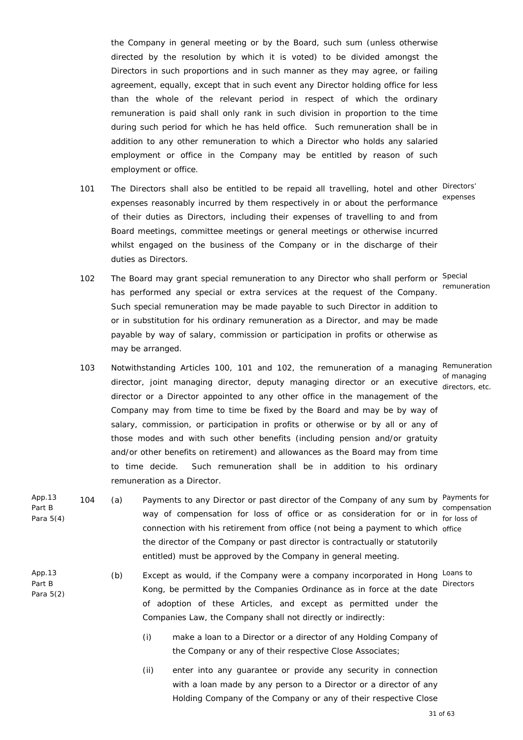the Company in general meeting or by the Board, such sum (unless otherwise directed by the resolution by which it is voted) to be divided amongst the Directors in such proportions and in such manner as they may agree, or failing agreement, equally, except that in such event any Director holding office for less than the whole of the relevant period in respect of which the ordinary remuneration is paid shall only rank in such division in proportion to the time during such period for which he has held office. Such remuneration shall be in addition to any other remuneration to which a Director who holds any salaried employment or office in the Company may be entitled by reason of such employment or office.

- 101 The Directors shall also be entitled to be repaid all travelling, hotel and other Directors' expenses reasonably incurred by them respectively in or about the performance expenses of their duties as Directors, including their expenses of travelling to and from Board meetings, committee meetings or general meetings or otherwise incurred whilst engaged on the business of the Company or in the discharge of their duties as Directors.
- 102 The Board may grant special remuneration to any Director who shall perform or Special has performed any special or extra services at the request of the Company. Such special remuneration may be made payable to such Director in addition to or in substitution for his ordinary remuneration as a Director, and may be made payable by way of salary, commission or participation in profits or otherwise as may be arranged. remuneration
- 103 Notwithstanding Articles 100, 101 and 102, the remuneration of a managing Remuneration director, joint managing director, deputy managing director or an executive director or different or an director or a Director appointed to any other office in the management of the Company may from time to time be fixed by the Board and may be by way of salary, commission, or participation in profits or otherwise or by all or any of those modes and with such other benefits (including pension and/or gratuity and/or other benefits on retirement) and allowances as the Board may from time to time decide. Such remuneration shall be in addition to his ordinary remuneration as a Director. directors, etc.
- App.13 Part B Para 5(4) 104 (a) Payments to any Director or past director of the Company of any sum by Payments for compensation for loss of office or as consideration for or in compensation<br>way of compensation for loss of office or as consideration for or in fact loss of connection with his retirement from office (not being a payment to which office the director of the Company or past director is contractually or statutorily entitled) must be approved by the Company in general meeting.
- App.13 Part B Para 5(2) (b) Except as would, if the Company were a company incorporated in Hong Loans to Kong, be permitted by the Companies Ordinance as in force at the date of adoption of these Articles, and except as permitted under the Companies Law, the Company shall not directly or indirectly:
	- (i) make a loan to a Director or a director of any Holding Company of the Company or any of their respective Close Associates;
	- (ii) enter into any guarantee or provide any security in connection with a loan made by any person to a Director or a director of any Holding Company of the Company or any of their respective Close

for loss of

Directors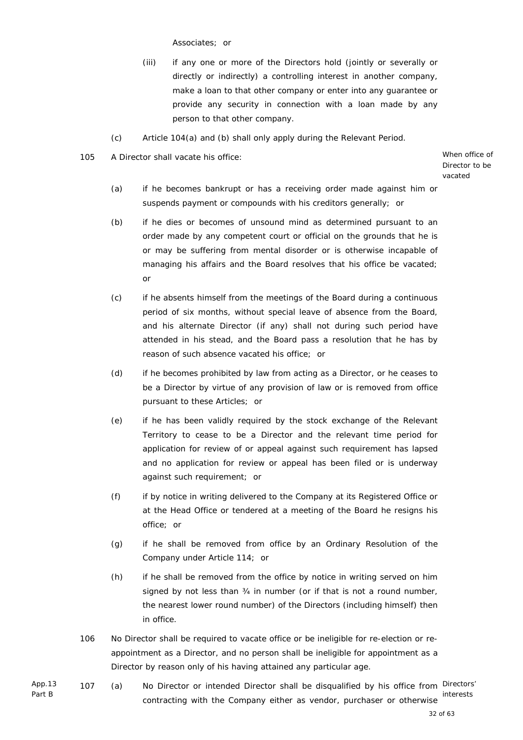Associates; or

- (iii) if any one or more of the Directors hold (jointly or severally or directly or indirectly) a controlling interest in another company, make a loan to that other company or enter into any guarantee or provide any security in connection with a loan made by any person to that other company.
- (c) Article 104(a) and (b) shall only apply during the Relevant Period.

105 A Director shall vacate his office: When office of

Director to be vacated

- (a) if he becomes bankrupt or has a receiving order made against him or suspends payment or compounds with his creditors generally; or
- (b) if he dies or becomes of unsound mind as determined pursuant to an order made by any competent court or official on the grounds that he is or may be suffering from mental disorder or is otherwise incapable of managing his affairs and the Board resolves that his office be vacated; or
- (c) if he absents himself from the meetings of the Board during a continuous period of six months, without special leave of absence from the Board, and his alternate Director (if any) shall not during such period have attended in his stead, and the Board pass a resolution that he has by reason of such absence vacated his office; or
- (d) if he becomes prohibited by law from acting as a Director, or he ceases to be a Director by virtue of any provision of law or is removed from office pursuant to these Articles; or
- (e) if he has been validly required by the stock exchange of the Relevant Territory to cease to be a Director and the relevant time period for application for review of or appeal against such requirement has lapsed and no application for review or appeal has been filed or is underway against such requirement; or
- (f) if by notice in writing delivered to the Company at its Registered Office or at the Head Office or tendered at a meeting of the Board he resigns his office; or
- (g) if he shall be removed from office by an Ordinary Resolution of the Company under Article 114; or
- (h) if he shall be removed from the office by notice in writing served on him signed by not less than 34 in number (or if that is not a round number, the nearest lower round number) of the Directors (including himself) then in office.
- 106 No Director shall be required to vacate office or be ineligible for re-election or reappointment as a Director, and no person shall be ineligible for appointment as a Director by reason only of his having attained any particular age.
- App.13 Part B 107 (a) No Director or intended Director shall be disqualified by his office from Directors' contracting with the Company either as vendor, purchaser or otherwise interests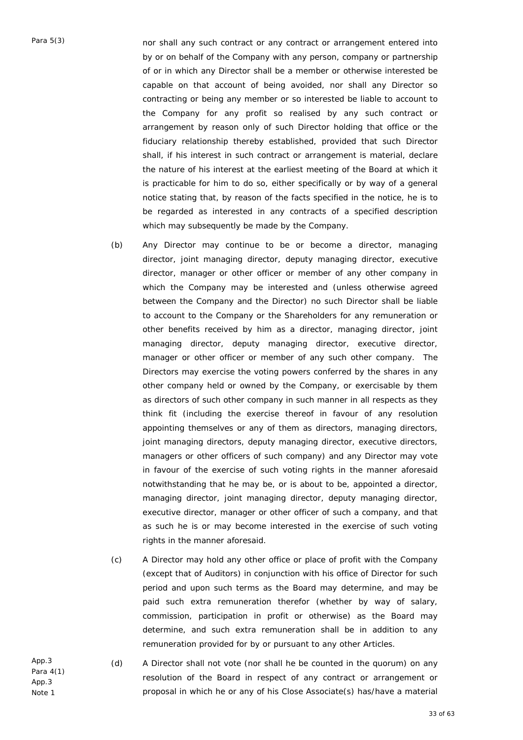Para 5(3) nor shall any such contract or any contract or arrangement entered into by or on behalf of the Company with any person, company or partnership of or in which any Director shall be a member or otherwise interested be capable on that account of being avoided, nor shall any Director so contracting or being any member or so interested be liable to account to the Company for any profit so realised by any such contract or arrangement by reason only of such Director holding that office or the fiduciary relationship thereby established, provided that such Director shall, if his interest in such contract or arrangement is material, declare the nature of his interest at the earliest meeting of the Board at which it is practicable for him to do so, either specifically or by way of a general notice stating that, by reason of the facts specified in the notice, he is to be regarded as interested in any contracts of a specified description which may subsequently be made by the Company.

- (b) Any Director may continue to be or become a director, managing director, joint managing director, deputy managing director, executive director, manager or other officer or member of any other company in which the Company may be interested and (unless otherwise agreed between the Company and the Director) no such Director shall be liable to account to the Company or the Shareholders for any remuneration or other benefits received by him as a director, managing director, joint managing director, deputy managing director, executive director, manager or other officer or member of any such other company. The Directors may exercise the voting powers conferred by the shares in any other company held or owned by the Company, or exercisable by them as directors of such other company in such manner in all respects as they think fit (including the exercise thereof in favour of any resolution appointing themselves or any of them as directors, managing directors, joint managing directors, deputy managing director, executive directors, managers or other officers of such company) and any Director may vote in favour of the exercise of such voting rights in the manner aforesaid notwithstanding that he may be, or is about to be, appointed a director, managing director, joint managing director, deputy managing director, executive director, manager or other officer of such a company, and that as such he is or may become interested in the exercise of such voting rights in the manner aforesaid.
- (c) A Director may hold any other office or place of profit with the Company (except that of Auditors) in conjunction with his office of Director for such period and upon such terms as the Board may determine, and may be paid such extra remuneration therefor (whether by way of salary, commission, participation in profit or otherwise) as the Board may determine, and such extra remuneration shall be in addition to any remuneration provided for by or pursuant to any other Articles.

App.3 Para 4(1) App.3 Note 1

 (d) A Director shall not vote (nor shall he be counted in the quorum) on any resolution of the Board in respect of any contract or arrangement or proposal in which he or any of his Close Associate(s) has/have a material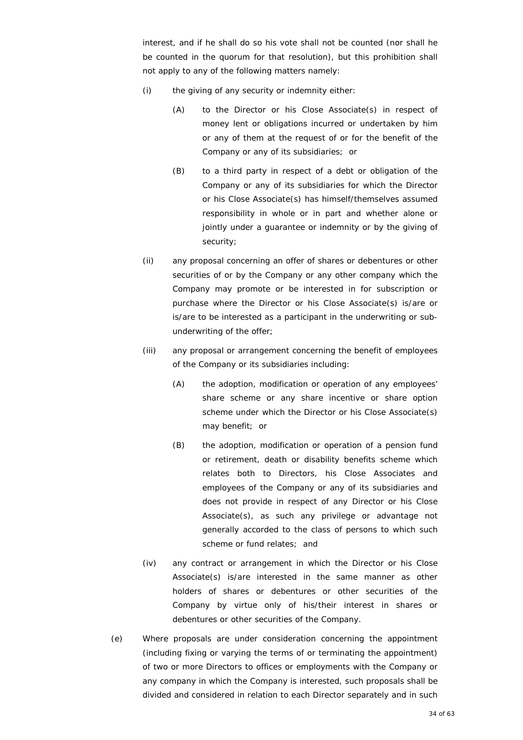interest, and if he shall do so his vote shall not be counted (nor shall he be counted in the quorum for that resolution), but this prohibition shall not apply to any of the following matters namely:

- (i) the giving of any security or indemnity either:
	- (A) to the Director or his Close Associate(s) in respect of money lent or obligations incurred or undertaken by him or any of them at the request of or for the benefit of the Company or any of its subsidiaries; or
	- (B) to a third party in respect of a debt or obligation of the Company or any of its subsidiaries for which the Director or his Close Associate(s) has himself/themselves assumed responsibility in whole or in part and whether alone or jointly under a quarantee or indemnity or by the giving of security;
- (ii) any proposal concerning an offer of shares or debentures or other securities of or by the Company or any other company which the Company may promote or be interested in for subscription or purchase where the Director or his Close Associate(s) is/are or is/are to be interested as a participant in the underwriting or subunderwriting of the offer;
- (iii) any proposal or arrangement concerning the benefit of employees of the Company or its subsidiaries including:
	- (A) the adoption, modification or operation of any employees' share scheme or any share incentive or share option scheme under which the Director or his Close Associate(s) may benefit; or
	- (B) the adoption, modification or operation of a pension fund or retirement, death or disability benefits scheme which relates both to Directors, his Close Associates and employees of the Company or any of its subsidiaries and does not provide in respect of any Director or his Close Associate(s), as such any privilege or advantage not generally accorded to the class of persons to which such scheme or fund relates; and
- (iv) any contract or arrangement in which the Director or his Close Associate(s) is/are interested in the same manner as other holders of shares or debentures or other securities of the Company by virtue only of his/their interest in shares or debentures or other securities of the Company.
- (e) Where proposals are under consideration concerning the appointment (including fixing or varying the terms of or terminating the appointment) of two or more Directors to offices or employments with the Company or any company in which the Company is interested, such proposals shall be divided and considered in relation to each Director separately and in such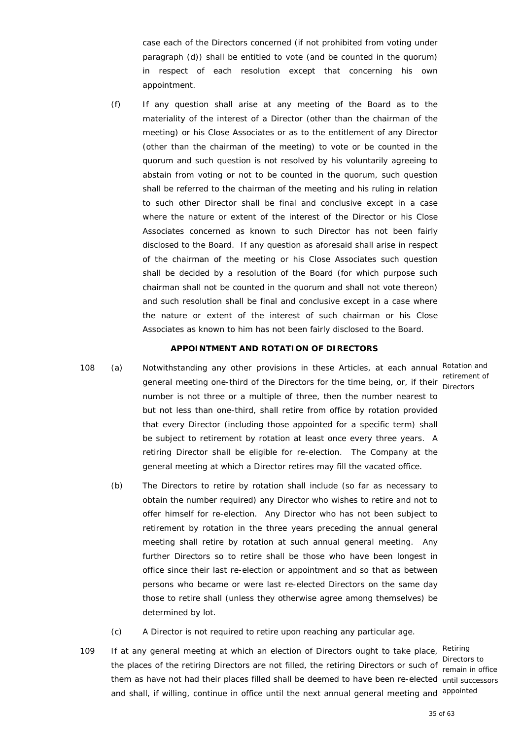case each of the Directors concerned (if not prohibited from voting under paragraph (d)) shall be entitled to vote (and be counted in the quorum) in respect of each resolution except that concerning his own appointment.

(f) If any question shall arise at any meeting of the Board as to the materiality of the interest of a Director (other than the chairman of the meeting) or his Close Associates or as to the entitlement of any Director (other than the chairman of the meeting) to vote or be counted in the quorum and such question is not resolved by his voluntarily agreeing to abstain from voting or not to be counted in the quorum, such question shall be referred to the chairman of the meeting and his ruling in relation to such other Director shall be final and conclusive except in a case where the nature or extent of the interest of the Director or his Close Associates concerned as known to such Director has not been fairly disclosed to the Board. If any question as aforesaid shall arise in respect of the chairman of the meeting or his Close Associates such question shall be decided by a resolution of the Board (for which purpose such chairman shall not be counted in the quorum and shall not vote thereon) and such resolution shall be final and conclusive except in a case where the nature or extent of the interest of such chairman or his Close Associates as known to him has not been fairly disclosed to the Board.

#### **APPOINTMENT AND ROTATION OF DIRECTORS**

- 108 (a) Notwithstanding any other provisions in these Articles, at each annual Rotation and retirement of<br>general meeting one-third of the Directors for the time being, or, if their preaters number is not three or a multiple of three, then the number nearest to but not less than one-third, shall retire from office by rotation provided that every Director (including those appointed for a specific term) shall be subject to retirement by rotation at least once every three years. A retiring Director shall be eligible for re-election. The Company at the general meeting at which a Director retires may fill the vacated office.
	- (b) The Directors to retire by rotation shall include (so far as necessary to obtain the number required) any Director who wishes to retire and not to offer himself for re-election. Any Director who has not been subject to retirement by rotation in the three years preceding the annual general meeting shall retire by rotation at such annual general meeting. Any further Directors so to retire shall be those who have been longest in office since their last re-election or appointment and so that as between persons who became or were last re-elected Directors on the same day those to retire shall (unless they otherwise agree among themselves) be determined by lot.
	- (c) A Director is not required to retire upon reaching any particular age.
- 109 If at any general meeting at which an election of Directors ought to take place, Retiring the places of the retiring Directors are not filled, the retiring Directors or such of comein in of them as have not had their places filled shall be deemed to have been re-elected until successors and shall, if willing, continue in office until the next annual general meeting and appointed

remain in office

Directors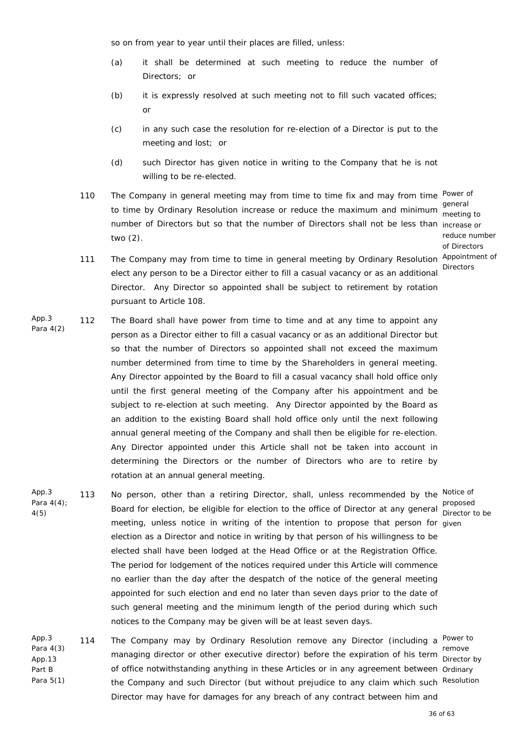so on from year to year until their places are filled, unless:

- (a) it shall be determined at such meeting to reduce the number of Directors; or
- (b) it is expressly resolved at such meeting not to fill such vacated offices; or
- (c) in any such case the resolution for re-election of a Director is put to the meeting and lost; or
- (d) such Director has given notice in writing to the Company that he is not willing to be re-elected.
- 110 The Company in general meeting may from time to time fix and may from time Power of general<br>to time by Ordinary Resolution increase or reduce the maximum and minimum seating number of Directors but so that the number of Directors shall not be less than increase or two (2).

meeting to reduce number of Directors **Directors** 

- 111 The Company may from time to time in general meeting by Ordinary Resolution Appointment of elect any person to be a Director either to fill a casual vacancy or as an additional Director. Any Director so appointed shall be subject to retirement by rotation pursuant to Article 108.
- App.3 Para 4(2) 112 The Board shall have power from time to time and at any time to appoint any person as a Director either to fill a casual vacancy or as an additional Director but so that the number of Directors so appointed shall not exceed the maximum number determined from time to time by the Shareholders in general meeting. Any Director appointed by the Board to fill a casual vacancy shall hold office only until the first general meeting of the Company after his appointment and be subject to re-election at such meeting. Any Director appointed by the Board as an addition to the existing Board shall hold office only until the next following annual general meeting of the Company and shall then be eligible for re-election. Any Director appointed under this Article shall not be taken into account in determining the Directors or the number of Directors who are to retire by rotation at an annual general meeting.
- App.3 Para 4(4); 4(5) 113 No person, other than a retiring Director, shall, unless recommended by the Notice of Board for election, be eligible for election to the office of Director at any general preposed meeting, unless notice in writing of the intention to propose that person for given election as a Director and notice in writing by that person of his willingness to be elected shall have been lodged at the Head Office or at the Registration Office. The period for lodgement of the notices required under this Article will commence no earlier than the day after the despatch of the notice of the general meeting appointed for such election and end no later than seven days prior to the date of such general meeting and the minimum length of the period during which such notices to the Company may be given will be at least seven days.
- App.3 Para 4(3) App.13 Part B Para 5(1) 114 The Company may by Ordinary Resolution remove any Director (including a <sup>Power to</sup> remove<br>managing director or other executive director) before the expiration of his term pirector of office notwithstanding anything in these Articles or in any agreement between Ordinary the Company and such Director (but without prejudice to any claim which such Resolution Director may have for damages for any breach of any contract between him and Director by

Director to be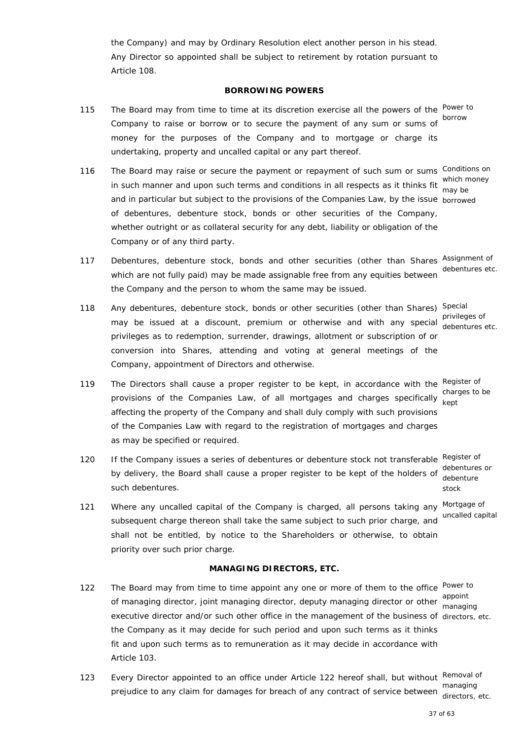the Company) and may by Ordinary Resolution elect another person in his stead. Any Director so appointed shall be subject to retirement by rotation pursuant to Article 108.

#### **BORROWING POWERS**

- 115 The Board may from time to time at its discretion exercise all the powers of the Power to Company to raise or borrow or to secure the payment of any sum or sums of borrow money for the purposes of the Company and to mortgage or charge its undertaking, property and uncalled capital or any part thereof.
- 116 The Board may raise or secure the payment or repayment of such sum or sums Conditions on which money<br>in such manner and upon such terms and conditions in all respects as it thinks fit way be and in particular but subject to the provisions of the Companies Law, by the issue borrowed of debentures, debenture stock, bonds or other securities of the Company, whether outright or as collateral security for any debt, liability or obligation of the Company or of any third party.
- 117 Debentures, debenture stock, bonds and other securities (other than Shares Assignment of which are not fully paid) may be made assignable free from any equities between the Company and the person to whom the same may be issued.
- 118 Any debentures, debenture stock, bonds or other securities (other than Shares) Special privileges of<br>may be issued at a discount, premium or otherwise and with any special debentures privileges as to redemption, surrender, drawings, allotment or subscription of or conversion into Shares, attending and voting at general meetings of the Company, appointment of Directors and otherwise.
- 119 The Directors shall cause a proper register to be kept, in accordance with the Register of provisions of the Companies Law, of all mortgages and charges specifically kept affecting the property of the Company and shall duly comply with such provisions of the Companies Law with regard to the registration of mortgages and charges as may be specified or required.
- 120 If the Company issues a series of debentures or debenture stock not transferable Register of by delivery, the Board shall cause a proper register to be kept of the holders of debentures or such debentures.
- 121 Where any uncalled capital of the Company is charged, all persons taking any Mortgage of subsequent charge thereon shall take the same subject to such prior charge, and shall not be entitled, by notice to the Shareholders or otherwise, to obtain priority over such prior charge.

## **MANAGING DIRECTORS, ETC.**

- 122 The Board may from time to time appoint any one or more of them to the office Power to appoint<br>of managing director, joint managing director, deputy managing director or other <sub>managi</sub> executive director and/or such other office in the management of the business of directors, etc. the Company as it may decide for such period and upon such terms as it thinks fit and upon such terms as to remuneration as it may decide in accordance with Article 103.
- 123 Every Director appointed to an office under Article 122 hereof shall, but without Removal of managing<br>prejudice to any claim for damages for breach of any contract of service between

managing

directors, etc.

may be

debentures etc.

debentures etc.

charges to be

debenture stock uncalled capital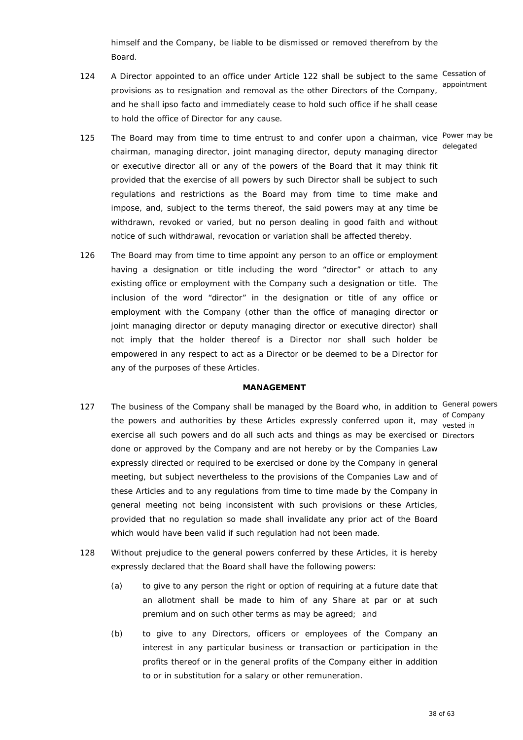himself and the Company, be liable to be dismissed or removed therefrom by the Board.

124 A Director appointed to an office under Article 122 shall be subject to the same Cessation of provisions as to resignation and removal as the other Directors of the Company, and he shall ipso facto and immediately cease to hold such office if he shall cease to hold the office of Director for any cause.

appointment

delegated

- 125 The Board may from time to time entrust to and confer upon a chairman, vice Power may be chairman, managing director, joint managing director, deputy managing director or executive director all or any of the powers of the Board that it may think fit provided that the exercise of all powers by such Director shall be subject to such regulations and restrictions as the Board may from time to time make and impose, and, subject to the terms thereof, the said powers may at any time be withdrawn, revoked or varied, but no person dealing in good faith and without notice of such withdrawal, revocation or variation shall be affected thereby.
- 126 The Board may from time to time appoint any person to an office or employment having a designation or title including the word "director" or attach to any existing office or employment with the Company such a designation or title. The inclusion of the word "director" in the designation or title of any office or employment with the Company (other than the office of managing director or joint managing director or deputy managing director or executive director) shall not imply that the holder thereof is a Director nor shall such holder be empowered in any respect to act as a Director or be deemed to be a Director for any of the purposes of these Articles.

#### **MANAGEMENT**

- 127 The business of the Company shall be managed by the Board who, in addition to General powers the powers and authorities by these Articles expressly conferred upon it, may vested in exercise all such powers and do all such acts and things as may be exercised or Directors done or approved by the Company and are not hereby or by the Companies Law expressly directed or required to be exercised or done by the Company in general meeting, but subject nevertheless to the provisions of the Companies Law and of these Articles and to any regulations from time to time made by the Company in general meeting not being inconsistent with such provisions or these Articles, provided that no regulation so made shall invalidate any prior act of the Board which would have been valid if such regulation had not been made. of Company
- 128 Without prejudice to the general powers conferred by these Articles, it is hereby expressly declared that the Board shall have the following powers:
	- (a) to give to any person the right or option of requiring at a future date that an allotment shall be made to him of any Share at par or at such premium and on such other terms as may be agreed; and
	- (b) to give to any Directors, officers or employees of the Company an interest in any particular business or transaction or participation in the profits thereof or in the general profits of the Company either in addition to or in substitution for a salary or other remuneration.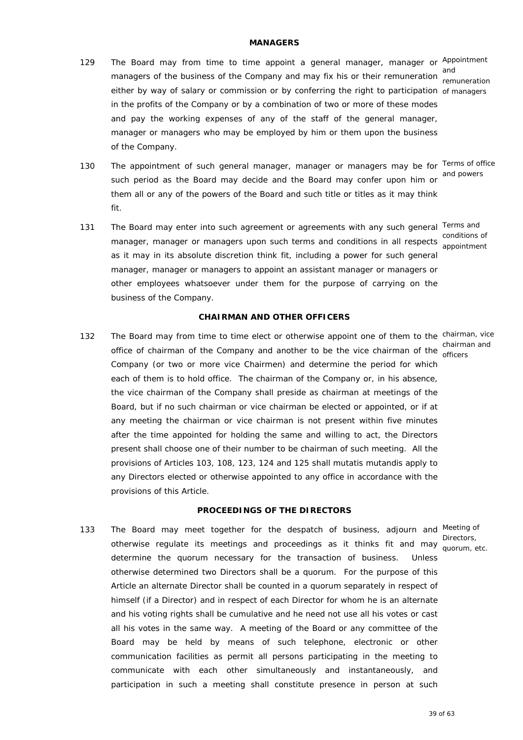## **MANAGERS**

129 The Board may from time to time appoint a general manager, manager or Appointment and<br>managers of the business of the Company and may fix his or their remuneration either by way of salary or commission or by conferring the right to participation of managers in the profits of the Company or by a combination of two or more of these modes and pay the working expenses of any of the staff of the general manager, manager or managers who may be employed by him or them upon the business of the Company.

remuneration

130 The appointment of such general manager, manager or managers may be for Terms of office such period as the Board may decide and the Board may confer upon him or and powers

131 The Board may enter into such agreement or agreements with any such general Terms and conditions of<br>manager, manager or managers upon such terms and conditions in all respects consinterant as it may in its absolute discretion think fit, including a power for such general manager, manager or managers to appoint an assistant manager or managers or other employees whatsoever under them for the purpose of carrying on the business of the Company. appointment

fit.

them all or any of the powers of the Board and such title or titles as it may think

#### **CHAIRMAN AND OTHER OFFICERS**

132 The Board may from time to time elect or otherwise appoint one of them to the chairman, vice office of chairman of the Company and another to be the vice chairman of the efficere Company (or two or more vice Chairmen) and determine the period for which each of them is to hold office. The chairman of the Company or, in his absence, the vice chairman of the Company shall preside as chairman at meetings of the Board, but if no such chairman or vice chairman be elected or appointed, or if at any meeting the chairman or vice chairman is not present within five minutes after the time appointed for holding the same and willing to act, the Directors present shall choose one of their number to be chairman of such meeting. All the provisions of Articles 103, 108, 123, 124 and 125 shall *mutatis mutandis* apply to any Directors elected or otherwise appointed to any office in accordance with the provisions of this Article.

#### **PROCEEDINGS OF THE DIRECTORS**

133 The Board may meet together for the despatch of business, adjourn and Meeting of Directors,<br>otherwise regulate its meetings and proceedings as it thinks fit and may avery a determine the quorum necessary for the transaction of business. Unless otherwise determined two Directors shall be a quorum. For the purpose of this Article an alternate Director shall be counted in a quorum separately in respect of himself (if a Director) and in respect of each Director for whom he is an alternate and his voting rights shall be cumulative and he need not use all his votes or cast all his votes in the same way. A meeting of the Board or any committee of the Board may be held by means of such telephone, electronic or other communication facilities as permit all persons participating in the meeting to communicate with each other simultaneously and instantaneously, and participation in such a meeting shall constitute presence in person at such

officers

quorum, etc.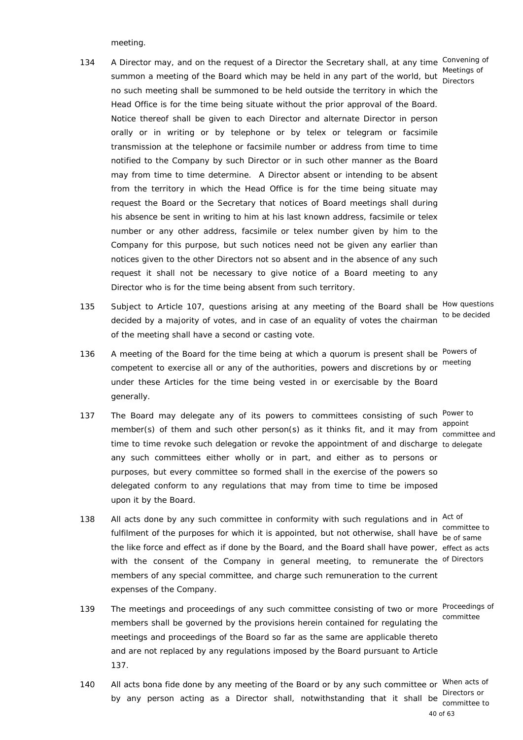meeting.

- 134 A Director may, and on the request of a Director the Secretary shall, at any time Convening of summon a meeting of the Board which may be held in any part of the world, but Meetings of no such meeting shall be summoned to be held outside the territory in which the Head Office is for the time being situate without the prior approval of the Board. Notice thereof shall be given to each Director and alternate Director in person orally or in writing or by telephone or by telex or telegram or facsimile transmission at the telephone or facsimile number or address from time to time notified to the Company by such Director or in such other manner as the Board may from time to time determine. A Director absent or intending to be absent from the territory in which the Head Office is for the time being situate may request the Board or the Secretary that notices of Board meetings shall during his absence be sent in writing to him at his last known address, facsimile or telex number or any other address, facsimile or telex number given by him to the Company for this purpose, but such notices need not be given any earlier than notices given to the other Directors not so absent and in the absence of any such request it shall not be necessary to give notice of a Board meeting to any Director who is for the time being absent from such territory. **Directors**
- 135 Subject to Article 107, questions arising at any meeting of the Board shall be How questions decided by a majority of votes, and in case of an equality of votes the chairman to be decided of the meeting shall have a second or casting vote.
- 136 A meeting of the Board for the time being at which a quorum is present shall be Powers of competent to exercise all or any of the authorities, powers and discretions by or meeting under these Articles for the time being vested in or exercisable by the Board generally.
- 137 The Board may delegate any of its powers to committees consisting of such Power to member(s) of them and such other person(s) as it thinks fit, and it may from appoint time to time revoke such delegation or revoke the appointment of and discharge to delegate any such committees either wholly or in part, and either as to persons or purposes, but every committee so formed shall in the exercise of the powers so delegated conform to any regulations that may from time to time be imposed upon it by the Board.
- 138 All acts done by any such committee in conformity with such regulations and in Act of fulfilment of the purposes for which it is appointed, but not otherwise, shall have be ef came the like force and effect as if done by the Board, and the Board shall have power, effect as acts with the consent of the Company in general meeting, to remunerate the <sup>of Directors</sup> members of any special committee, and charge such remuneration to the current expenses of the Company.
- 139 The meetings and proceedings of any such committee consisting of two or more Proceedings of members shall be governed by the provisions herein contained for regulating the committee meetings and proceedings of the Board so far as the same are applicable thereto and are not replaced by any regulations imposed by the Board pursuant to Article 137.
- 140 All acts bona fide done by any meeting of the Board or by any such committee or When acts of by any person acting as a Director shall, notwithstanding that it shall be prectors or

committee and

be of same

40 of 63 committee to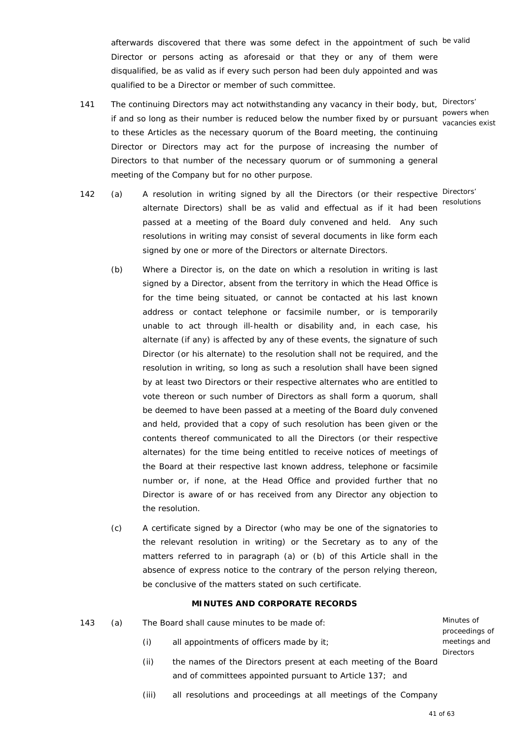afterwards discovered that there was some defect in the appointment of such be valid Director or persons acting as aforesaid or that they or any of them were disqualified, be as valid as if every such person had been duly appointed and was qualified to be a Director or member of such committee.

- 141 The continuing Directors may act notwithstanding any vacancy in their body, but, Directors' powers when<br>if and so long as their number is reduced below the number fixed by or pursuant vecessies out to these Articles as the necessary quorum of the Board meeting, the continuing Director or Directors may act for the purpose of increasing the number of Directors to that number of the necessary quorum or of summoning a general meeting of the Company but for no other purpose.
- 142 (a) A resolution in writing signed by all the Directors (or their respective Directors' alternate Directors) shall be as valid and effectual as if it had been resolutions passed at a meeting of the Board duly convened and held. Any such resolutions in writing may consist of several documents in like form each signed by one or more of the Directors or alternate Directors.
	- (b) Where a Director is, on the date on which a resolution in writing is last signed by a Director, absent from the territory in which the Head Office is for the time being situated, or cannot be contacted at his last known address or contact telephone or facsimile number, or is temporarily unable to act through ill-health or disability and, in each case, his alternate (if any) is affected by any of these events, the signature of such Director (or his alternate) to the resolution shall not be required, and the resolution in writing, so long as such a resolution shall have been signed by at least two Directors or their respective alternates who are entitled to vote thereon or such number of Directors as shall form a quorum, shall be deemed to have been passed at a meeting of the Board duly convened and held, provided that a copy of such resolution has been given or the contents thereof communicated to all the Directors (or their respective alternates) for the time being entitled to receive notices of meetings of the Board at their respective last known address, telephone or facsimile number or, if none, at the Head Office and provided further that no Director is aware of or has received from any Director any objection to the resolution.
	- (c) A certificate signed by a Director (who may be one of the signatories to the relevant resolution in writing) or the Secretary as to any of the matters referred to in paragraph (a) or (b) of this Article shall in the absence of express notice to the contrary of the person relying thereon, be conclusive of the matters stated on such certificate.

## **MINUTES AND CORPORATE RECORDS**

143 (a) The Board shall cause minutes to be made of:

Minutes of proceedings of meetings and **Directors** 

- (i) all appointments of officers made by it;
- (ii) the names of the Directors present at each meeting of the Board and of committees appointed pursuant to Article 137; and
- (iii) all resolutions and proceedings at all meetings of the Company

vacancies exist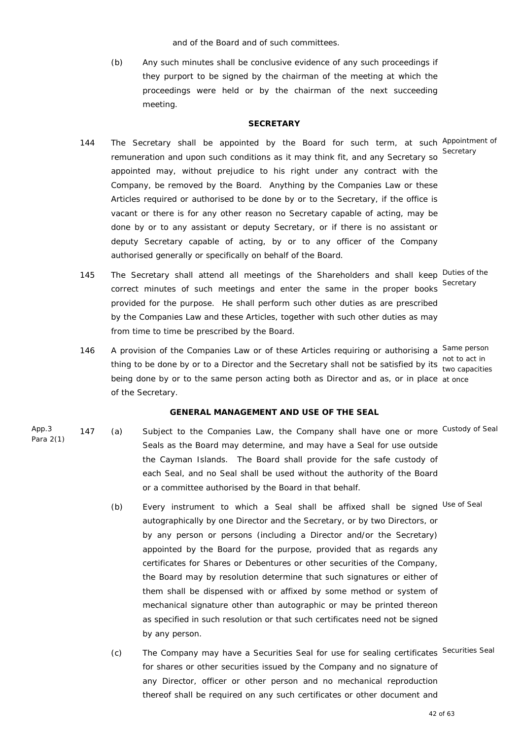and of the Board and of such committees.

 (b) Any such minutes shall be conclusive evidence of any such proceedings if they purport to be signed by the chairman of the meeting at which the proceedings were held or by the chairman of the next succeeding meeting.

#### **SECRETARY**

- 144 The Secretary shall be appointed by the Board for such term, at such Appointment of remuneration and upon such conditions as it may think fit, and any Secretary so appointed may, without prejudice to his right under any contract with the Company, be removed by the Board. Anything by the Companies Law or these Articles required or authorised to be done by or to the Secretary, if the office is vacant or there is for any other reason no Secretary capable of acting, may be done by or to any assistant or deputy Secretary, or if there is no assistant or deputy Secretary capable of acting, by or to any officer of the Company authorised generally or specifically on behalf of the Board. **Secretarv**
- 145 The Secretary shall attend all meetings of the Shareholders and shall keep Duties of the correct minutes of such meetings and enter the same in the proper books provided for the purpose. He shall perform such other duties as are prescribed by the Companies Law and these Articles, together with such other duties as may from time to time be prescribed by the Board.

**Secretary** 

146 A provision of the Companies Law or of these Articles requiring or authorising a Same person thing to be done by or to a Director and the Secretary shall not be satisfied by its the conseited being done by or to the same person acting both as Director and as, or in place at once of the Secretary. two capacities

## **GENERAL MANAGEMENT AND USE OF THE SEAL**

- App.3 Para 2(1) 147 (a) Subject to the Companies Law, the Company shall have one or more Custody of Seal Seals as the Board may determine, and may have a Seal for use outside the Cayman Islands. The Board shall provide for the safe custody of each Seal, and no Seal shall be used without the authority of the Board or a committee authorised by the Board in that behalf.
	- (b) Every instrument to which a Seal shall be affixed shall be signed Use of Seal autographically by one Director and the Secretary, or by two Directors, or by any person or persons (including a Director and/or the Secretary) appointed by the Board for the purpose, provided that as regards any certificates for Shares or Debentures or other securities of the Company, the Board may by resolution determine that such signatures or either of them shall be dispensed with or affixed by some method or system of mechanical signature other than autographic or may be printed thereon as specified in such resolution or that such certificates need not be signed by any person.
	- (c) The Company may have a Securities Seal for use for sealing certificates Securities Seal for shares or other securities issued by the Company and no signature of any Director, officer or other person and no mechanical reproduction thereof shall be required on any such certificates or other document and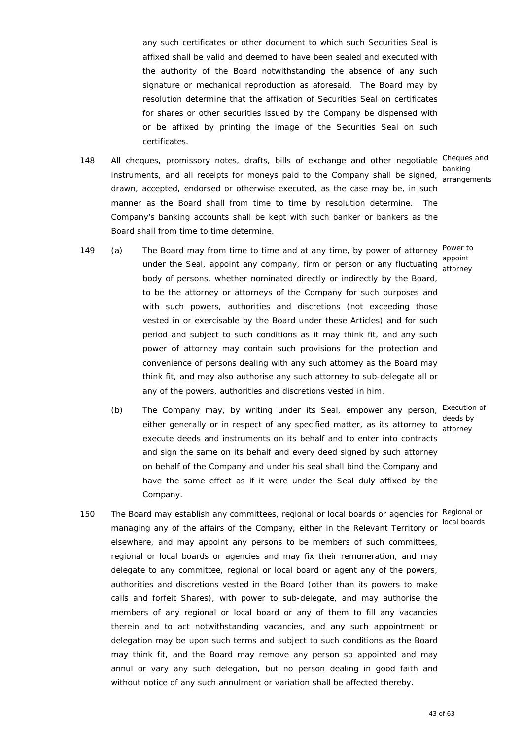any such certificates or other document to which such Securities Seal is affixed shall be valid and deemed to have been sealed and executed with the authority of the Board notwithstanding the absence of any such signature or mechanical reproduction as aforesaid. The Board may by resolution determine that the affixation of Securities Seal on certificates for shares or other securities issued by the Company be dispensed with or be affixed by printing the image of the Securities Seal on such certificates.

148 All cheques, promissory notes, drafts, bills of exchange and other negotiable Cheques and instruments, and all receipts for moneys paid to the Company shall be signed, expressed drawn, accepted, endorsed or otherwise executed, as the case may be, in such manner as the Board shall from time to time by resolution determine. The Company's banking accounts shall be kept with such banker or bankers as the Board shall from time to time determine.

arrangements

- 149 (a) The Board may from time to time and at any time, by power of attorney <sup>Power to</sup> appoint<br>under the Seal, appoint any company, firm or person or any fluctuating atternal body of persons, whether nominated directly or indirectly by the Board, to be the attorney or attorneys of the Company for such purposes and with such powers, authorities and discretions (not exceeding those vested in or exercisable by the Board under these Articles) and for such period and subject to such conditions as it may think fit, and any such power of attorney may contain such provisions for the protection and convenience of persons dealing with any such attorney as the Board may think fit, and may also authorise any such attorney to sub-delegate all or any of the powers, authorities and discretions vested in him. attorney
- (b) The Company may, by writing under its Seal, empower any person, Execution of deeds by<br>either generally or in respect of any specified matter, as its attorney to etheron. execute deeds and instruments on its behalf and to enter into contracts and sign the same on its behalf and every deed signed by such attorney on behalf of the Company and under his seal shall bind the Company and have the same effect as if it were under the Seal duly affixed by the Company.
- 150 The Board may establish any committees, regional or local boards or agencies for Regional or managing any of the affairs of the Company, either in the Relevant Territory or elsewhere, and may appoint any persons to be members of such committees, regional or local boards or agencies and may fix their remuneration, and may delegate to any committee, regional or local board or agent any of the powers, authorities and discretions vested in the Board (other than its powers to make calls and forfeit Shares), with power to sub-delegate, and may authorise the members of any regional or local board or any of them to fill any vacancies therein and to act notwithstanding vacancies, and any such appointment or delegation may be upon such terms and subject to such conditions as the Board may think fit, and the Board may remove any person so appointed and may annul or vary any such delegation, but no person dealing in good faith and without notice of any such annulment or variation shall be affected thereby.

attorney

local boards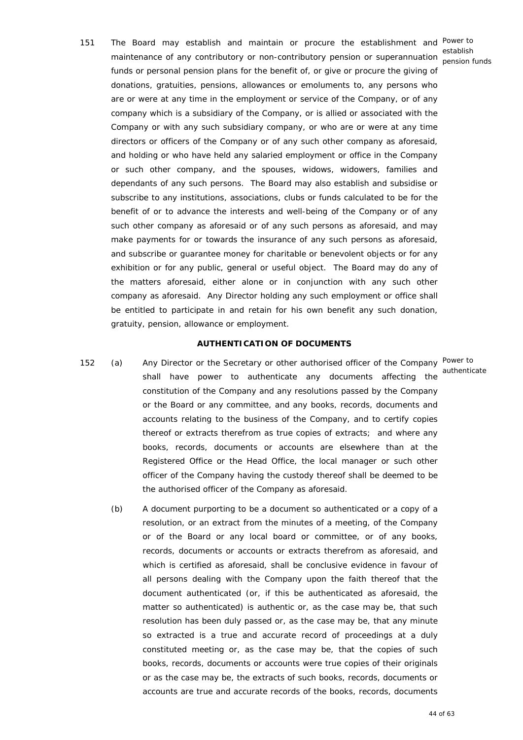151 The Board may establish and maintain or procure the establishment and Power to establish<br>maintenance of any contributory or non-contributory pension or superannuation sension for funds or personal pension plans for the benefit of, or give or procure the giving of donations, gratuities, pensions, allowances or emoluments to, any persons who are or were at any time in the employment or service of the Company, or of any company which is a subsidiary of the Company, or is allied or associated with the Company or with any such subsidiary company, or who are or were at any time directors or officers of the Company or of any such other company as aforesaid, and holding or who have held any salaried employment or office in the Company or such other company, and the spouses, widows, widowers, families and dependants of any such persons. The Board may also establish and subsidise or subscribe to any institutions, associations, clubs or funds calculated to be for the benefit of or to advance the interests and well-being of the Company or of any such other company as aforesaid or of any such persons as aforesaid, and may make payments for or towards the insurance of any such persons as aforesaid, and subscribe or guarantee money for charitable or benevolent objects or for any exhibition or for any public, general or useful object. The Board may do any of the matters aforesaid, either alone or in conjunction with any such other company as aforesaid. Any Director holding any such employment or office shall be entitled to participate in and retain for his own benefit any such donation, gratuity, pension, allowance or employment.

#### **AUTHENTICATION OF DOCUMENTS**

- 152 (a) Any Director or the Secretary or other authorised officer of the Company Power to shall have power to authenticate any documents affecting the authenticate constitution of the Company and any resolutions passed by the Company or the Board or any committee, and any books, records, documents and accounts relating to the business of the Company, and to certify copies thereof or extracts therefrom as true copies of extracts; and where any books, records, documents or accounts are elsewhere than at the Registered Office or the Head Office, the local manager or such other officer of the Company having the custody thereof shall be deemed to be the authorised officer of the Company as aforesaid.
	- (b) A document purporting to be a document so authenticated or a copy of a resolution, or an extract from the minutes of a meeting, of the Company or of the Board or any local board or committee, or of any books, records, documents or accounts or extracts therefrom as aforesaid, and which is certified as aforesaid, shall be conclusive evidence in favour of all persons dealing with the Company upon the faith thereof that the document authenticated (or, if this be authenticated as aforesaid, the matter so authenticated) is authentic or, as the case may be, that such resolution has been duly passed or, as the case may be, that any minute so extracted is a true and accurate record of proceedings at a duly constituted meeting or, as the case may be, that the copies of such books, records, documents or accounts were true copies of their originals or as the case may be, the extracts of such books, records, documents or accounts are true and accurate records of the books, records, documents

pension funds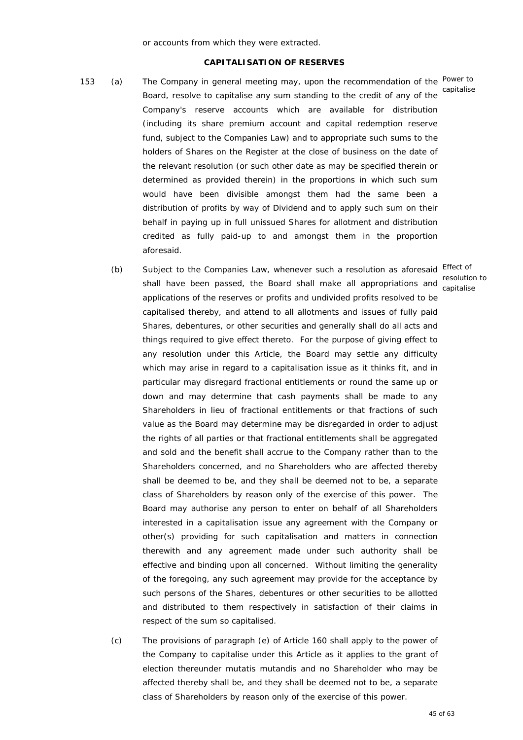or accounts from which they were extracted.

## **CAPITALISATION OF RESERVES**

- 153 (a) The Company in general meeting may, upon the recommendation of the Power to Board, resolve to capitalise any sum standing to the credit of any of the Company's reserve accounts which are available for distribution (including its share premium account and capital redemption reserve fund, subject to the Companies Law) and to appropriate such sums to the holders of Shares on the Register at the close of business on the date of the relevant resolution (or such other date as may be specified therein or determined as provided therein) in the proportions in which such sum would have been divisible amongst them had the same been a distribution of profits by way of Dividend and to apply such sum on their behalf in paying up in full unissued Shares for allotment and distribution credited as fully paid-up to and amongst them in the proportion aforesaid.
- (b) Subject to the Companies Law, whenever such a resolution as aforesaid Effect of resolution to<br>
shall have been passed, the Board shall make all appropriations and contalized applications of the reserves or profits and undivided profits resolved to be capitalised thereby, and attend to all allotments and issues of fully paid Shares, debentures, or other securities and generally shall do all acts and things required to give effect thereto. For the purpose of giving effect to any resolution under this Article, the Board may settle any difficulty which may arise in regard to a capitalisation issue as it thinks fit, and in particular may disregard fractional entitlements or round the same up or down and may determine that cash payments shall be made to any Shareholders in lieu of fractional entitlements or that fractions of such value as the Board may determine may be disregarded in order to adjust the rights of all parties or that fractional entitlements shall be aggregated and sold and the benefit shall accrue to the Company rather than to the Shareholders concerned, and no Shareholders who are affected thereby shall be deemed to be, and they shall be deemed not to be, a separate class of Shareholders by reason only of the exercise of this power. The Board may authorise any person to enter on behalf of all Shareholders interested in a capitalisation issue any agreement with the Company or other(s) providing for such capitalisation and matters in connection therewith and any agreement made under such authority shall be effective and binding upon all concerned. Without limiting the generality of the foregoing, any such agreement may provide for the acceptance by such persons of the Shares, debentures or other securities to be allotted and distributed to them respectively in satisfaction of their claims in respect of the sum so capitalised. capitalise
	- (c) The provisions of paragraph (e) of Article 160 shall apply to the power of the Company to capitalise under this Article as it applies to the grant of election thereunder *mutatis mutandis* and no Shareholder who may be affected thereby shall be, and they shall be deemed not to be, a separate class of Shareholders by reason only of the exercise of this power.

capitalise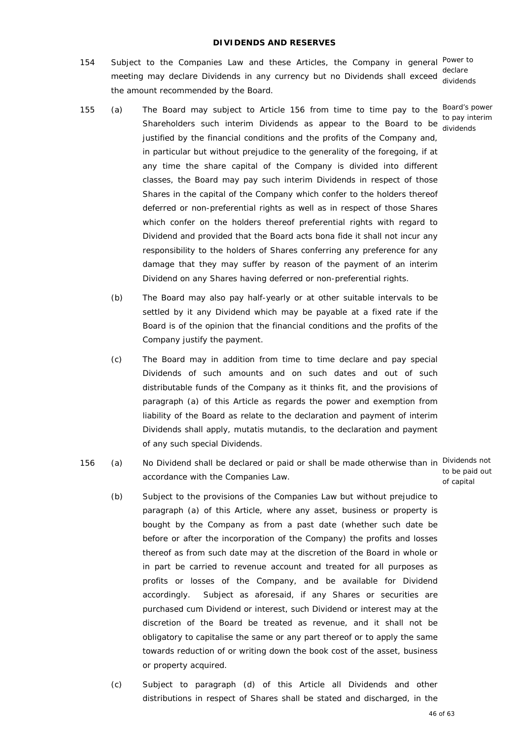## **DIVIDENDS AND RESERVES**

154 Subject to the Companies Law and these Articles, the Company in general Power to declare<br>meeting may declare Dividends in any currency but no Dividends shall exceed the amount recommended by the Board.

dividends

dividends

- 155 (a) The Board may subject to Article 156 from time to time pay to the Board's power to pay interim<br>Shareholders such interim Dividends as appear to the Board to be dividends justified by the financial conditions and the profits of the Company and, in particular but without prejudice to the generality of the foregoing, if at any time the share capital of the Company is divided into different classes, the Board may pay such interim Dividends in respect of those Shares in the capital of the Company which confer to the holders thereof deferred or non-preferential rights as well as in respect of those Shares which confer on the holders thereof preferential rights with regard to Dividend and provided that the Board acts bona fide it shall not incur any responsibility to the holders of Shares conferring any preference for any damage that they may suffer by reason of the payment of an interim Dividend on any Shares having deferred or non-preferential rights.
	- (b) The Board may also pay half-yearly or at other suitable intervals to be settled by it any Dividend which may be payable at a fixed rate if the Board is of the opinion that the financial conditions and the profits of the Company justify the payment.
	- (c) The Board may in addition from time to time declare and pay special Dividends of such amounts and on such dates and out of such distributable funds of the Company as it thinks fit, and the provisions of paragraph (a) of this Article as regards the power and exemption from liability of the Board as relate to the declaration and payment of interim Dividends shall apply, *mutatis mutandis*, to the declaration and payment of any such special Dividends.
- 156 (a) No Dividend shall be declared or paid or shall be made otherwise than in Dividends not accordance with the Companies Law.

to be paid out of capital

- (b) Subject to the provisions of the Companies Law but without prejudice to paragraph (a) of this Article, where any asset, business or property is bought by the Company as from a past date (whether such date be before or after the incorporation of the Company) the profits and losses thereof as from such date may at the discretion of the Board in whole or in part be carried to revenue account and treated for all purposes as profits or losses of the Company, and be available for Dividend accordingly. Subject as aforesaid, if any Shares or securities are purchased cum Dividend or interest, such Dividend or interest may at the discretion of the Board be treated as revenue, and it shall not be obligatory to capitalise the same or any part thereof or to apply the same towards reduction of or writing down the book cost of the asset, business or property acquired.
- (c) Subject to paragraph (d) of this Article all Dividends and other distributions in respect of Shares shall be stated and discharged, in the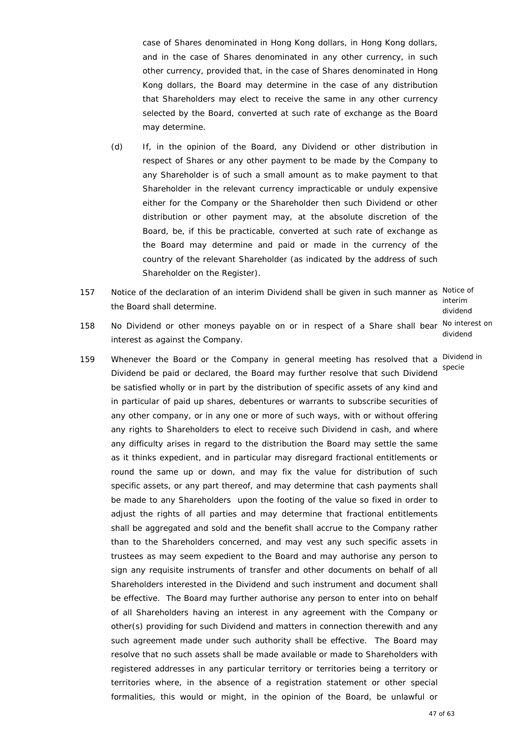case of Shares denominated in Hong Kong dollars, in Hong Kong dollars, and in the case of Shares denominated in any other currency, in such other currency, provided that, in the case of Shares denominated in Hong Kong dollars, the Board may determine in the case of any distribution that Shareholders may elect to receive the same in any other currency selected by the Board, converted at such rate of exchange as the Board may determine.

- (d) If, in the opinion of the Board, any Dividend or other distribution in respect of Shares or any other payment to be made by the Company to any Shareholder is of such a small amount as to make payment to that Shareholder in the relevant currency impracticable or unduly expensive either for the Company or the Shareholder then such Dividend or other distribution or other payment may, at the absolute discretion of the Board, be, if this be practicable, converted at such rate of exchange as the Board may determine and paid or made in the currency of the country of the relevant Shareholder (as indicated by the address of such Shareholder on the Register).
- 157 Notice of the declaration of an interim Dividend shall be given in such manner as Notice of the Board shall determine.

interim dividend dividend

- 158 No Dividend or other moneys payable on or in respect of a Share shall bear No interest on interest as against the Company.
- 159 Whenever the Board or the Company in general meeting has resolved that a Dividend in Dividend be paid or declared, the Board may further resolve that such Dividend be satisfied wholly or in part by the distribution of specific assets of any kind and in particular of paid up shares, debentures or warrants to subscribe securities of any other company, or in any one or more of such ways, with or without offering any rights to Shareholders to elect to receive such Dividend in cash, and where any difficulty arises in regard to the distribution the Board may settle the same as it thinks expedient, and in particular may disregard fractional entitlements or round the same up or down, and may fix the value for distribution of such specific assets, or any part thereof, and may determine that cash payments shall be made to any Shareholders upon the footing of the value so fixed in order to adjust the rights of all parties and may determine that fractional entitlements shall be aggregated and sold and the benefit shall accrue to the Company rather than to the Shareholders concerned, and may vest any such specific assets in trustees as may seem expedient to the Board and may authorise any person to sign any requisite instruments of transfer and other documents on behalf of all Shareholders interested in the Dividend and such instrument and document shall be effective. The Board may further authorise any person to enter into on behalf of all Shareholders having an interest in any agreement with the Company or other(s) providing for such Dividend and matters in connection therewith and any such agreement made under such authority shall be effective. The Board may resolve that no such assets shall be made available or made to Shareholders with registered addresses in any particular territory or territories being a territory or territories where, in the absence of a registration statement or other special formalities, this would or might, in the opinion of the Board, be unlawful or specie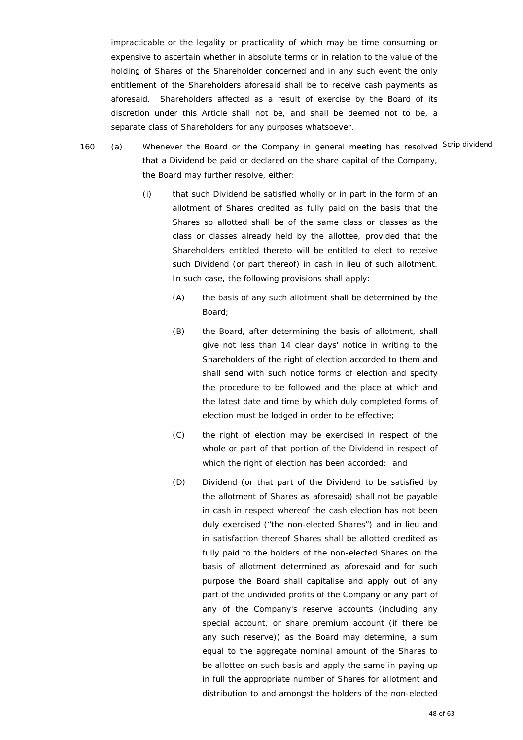impracticable or the legality or practicality of which may be time consuming or expensive to ascertain whether in absolute terms or in relation to the value of the holding of Shares of the Shareholder concerned and in any such event the only entitlement of the Shareholders aforesaid shall be to receive cash payments as aforesaid. Shareholders affected as a result of exercise by the Board of its discretion under this Article shall not be, and shall be deemed not to be, a separate class of Shareholders for any purposes whatsoever.

- 160 (a) Whenever the Board or the Company in general meeting has resolved Scrip dividend that a Dividend be paid or declared on the share capital of the Company, the Board may further resolve, either:
	- (i) that such Dividend be satisfied wholly or in part in the form of an allotment of Shares credited as fully paid on the basis that the Shares so allotted shall be of the same class or classes as the class or classes already held by the allottee, provided that the Shareholders entitled thereto will be entitled to elect to receive such Dividend (or part thereof) in cash in lieu of such allotment. In such case, the following provisions shall apply:
		- (A) the basis of any such allotment shall be determined by the Board;
		- (B) the Board, after determining the basis of allotment, shall give not less than 14 clear days' notice in writing to the Shareholders of the right of election accorded to them and shall send with such notice forms of election and specify the procedure to be followed and the place at which and the latest date and time by which duly completed forms of election must be lodged in order to be effective;
		- (C) the right of election may be exercised in respect of the whole or part of that portion of the Dividend in respect of which the right of election has been accorded; and
		- (D) Dividend (or that part of the Dividend to be satisfied by the allotment of Shares as aforesaid) shall not be payable in cash in respect whereof the cash election has not been duly exercised ("the non-elected Shares") and in lieu and in satisfaction thereof Shares shall be allotted credited as fully paid to the holders of the non-elected Shares on the basis of allotment determined as aforesaid and for such purpose the Board shall capitalise and apply out of any part of the undivided profits of the Company or any part of any of the Company's reserve accounts (including any special account, or share premium account (if there be any such reserve)) as the Board may determine, a sum equal to the aggregate nominal amount of the Shares to be allotted on such basis and apply the same in paying up in full the appropriate number of Shares for allotment and distribution to and amongst the holders of the non-elected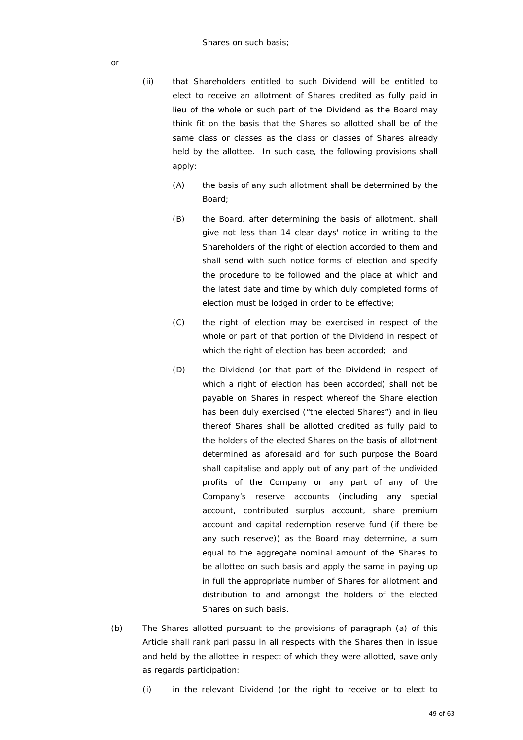- (ii) that Shareholders entitled to such Dividend will be entitled to elect to receive an allotment of Shares credited as fully paid in lieu of the whole or such part of the Dividend as the Board may think fit on the basis that the Shares so allotted shall be of the same class or classes as the class or classes of Shares already held by the allottee. In such case, the following provisions shall apply:
	- (A) the basis of any such allotment shall be determined by the Board;
	- (B) the Board, after determining the basis of allotment, shall give not less than 14 clear days' notice in writing to the Shareholders of the right of election accorded to them and shall send with such notice forms of election and specify the procedure to be followed and the place at which and the latest date and time by which duly completed forms of election must be lodged in order to be effective;
	- (C) the right of election may be exercised in respect of the whole or part of that portion of the Dividend in respect of which the right of election has been accorded; and
	- (D) the Dividend (or that part of the Dividend in respect of which a right of election has been accorded) shall not be payable on Shares in respect whereof the Share election has been duly exercised ("the elected Shares") and in lieu thereof Shares shall be allotted credited as fully paid to the holders of the elected Shares on the basis of allotment determined as aforesaid and for such purpose the Board shall capitalise and apply out of any part of the undivided profits of the Company or any part of any of the Company's reserve accounts (including any special account, contributed surplus account, share premium account and capital redemption reserve fund (if there be any such reserve)) as the Board may determine, a sum equal to the aggregate nominal amount of the Shares to be allotted on such basis and apply the same in paying up in full the appropriate number of Shares for allotment and distribution to and amongst the holders of the elected Shares on such basis.
- (b) The Shares allotted pursuant to the provisions of paragraph (a) of this Article shall rank *pari passu* in all respects with the Shares then in issue and held by the allottee in respect of which they were allotted, save only as regards participation:
	- (i) in the relevant Dividend (or the right to receive or to elect to

49 of 63

or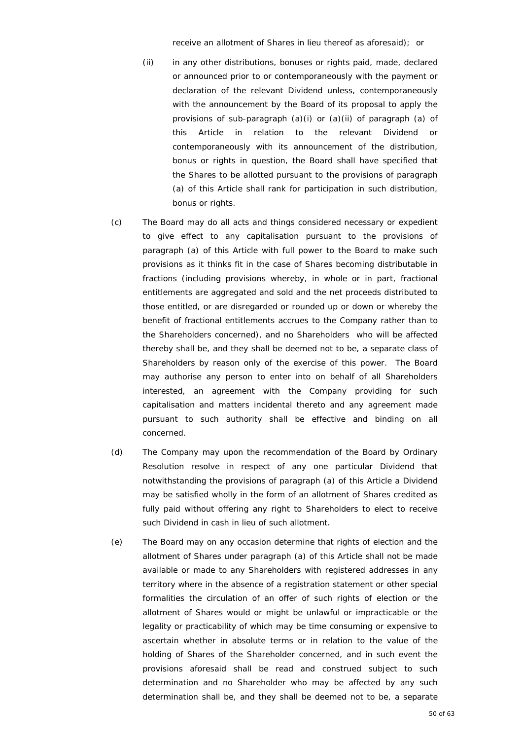receive an allotment of Shares in lieu thereof as aforesaid); or

- (ii) in any other distributions, bonuses or rights paid, made, declared or announced prior to or contemporaneously with the payment or declaration of the relevant Dividend unless, contemporaneously with the announcement by the Board of its proposal to apply the provisions of sub-paragraph (a)(i) or (a)(ii) of paragraph (a) of this Article in relation to the relevant Dividend or contemporaneously with its announcement of the distribution, bonus or rights in question, the Board shall have specified that the Shares to be allotted pursuant to the provisions of paragraph (a) of this Article shall rank for participation in such distribution, bonus or rights.
- (c) The Board may do all acts and things considered necessary or expedient to give effect to any capitalisation pursuant to the provisions of paragraph (a) of this Article with full power to the Board to make such provisions as it thinks fit in the case of Shares becoming distributable in fractions (including provisions whereby, in whole or in part, fractional entitlements are aggregated and sold and the net proceeds distributed to those entitled, or are disregarded or rounded up or down or whereby the benefit of fractional entitlements accrues to the Company rather than to the Shareholders concerned), and no Shareholders who will be affected thereby shall be, and they shall be deemed not to be, a separate class of Shareholders by reason only of the exercise of this power. The Board may authorise any person to enter into on behalf of all Shareholders interested, an agreement with the Company providing for such capitalisation and matters incidental thereto and any agreement made pursuant to such authority shall be effective and binding on all concerned.
- (d) The Company may upon the recommendation of the Board by Ordinary Resolution resolve in respect of any one particular Dividend that notwithstanding the provisions of paragraph (a) of this Article a Dividend may be satisfied wholly in the form of an allotment of Shares credited as fully paid without offering any right to Shareholders to elect to receive such Dividend in cash in lieu of such allotment.
- (e) The Board may on any occasion determine that rights of election and the allotment of Shares under paragraph (a) of this Article shall not be made available or made to any Shareholders with registered addresses in any territory where in the absence of a registration statement or other special formalities the circulation of an offer of such rights of election or the allotment of Shares would or might be unlawful or impracticable or the legality or practicability of which may be time consuming or expensive to ascertain whether in absolute terms or in relation to the value of the holding of Shares of the Shareholder concerned, and in such event the provisions aforesaid shall be read and construed subject to such determination and no Shareholder who may be affected by any such determination shall be, and they shall be deemed not to be, a separate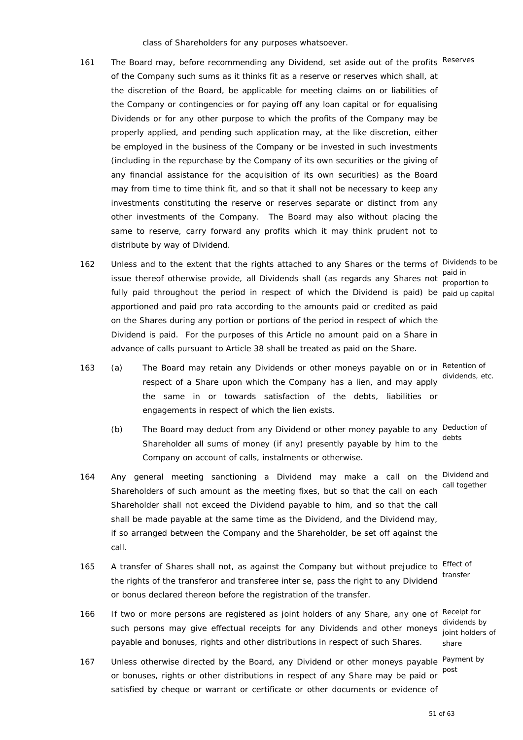class of Shareholders for any purposes whatsoever.

- 161 The Board may, before recommending any Dividend, set aside out of the profits Reserves of the Company such sums as it thinks fit as a reserve or reserves which shall, at the discretion of the Board, be applicable for meeting claims on or liabilities of the Company or contingencies or for paying off any loan capital or for equalising Dividends or for any other purpose to which the profits of the Company may be properly applied, and pending such application may, at the like discretion, either be employed in the business of the Company or be invested in such investments (including in the repurchase by the Company of its own securities or the giving of any financial assistance for the acquisition of its own securities) as the Board may from time to time think fit, and so that it shall not be necessary to keep any investments constituting the reserve or reserves separate or distinct from any other investments of the Company. The Board may also without placing the same to reserve, carry forward any profits which it may think prudent not to distribute by way of Dividend.
- 162 Unless and to the extent that the rights attached to any Shares or the terms of Dividends to be issue thereof otherwise provide, all Dividends shall (as regards any Shares not nearest fully paid throughout the period in respect of which the Dividend is paid) be paid up capital apportioned and paid pro rata according to the amounts paid or credited as paid on the Shares during any portion or portions of the period in respect of which the Dividend is paid. For the purposes of this Article no amount paid on a Share in advance of calls pursuant to Article 38 shall be treated as paid on the Share.
	- proportion to
- 163 (a) The Board may retain any Dividends or other moneys payable on or in Retention of dividends, etc.
	- the same in or towards satisfaction of the debts, liabilities or engagements in respect of which the lien exists.

respect of a Share upon which the Company has a lien, and may apply

- (b) The Board may deduct from any Dividend or other money payable to any Deduction of Shareholder all sums of money (if any) presently payable by him to the Company on account of calls, instalments or otherwise. debts
- 164 Any general meeting sanctioning a Dividend may make a call on the Dividend and Shareholders of such amount as the meeting fixes, but so that the call on each Shareholder shall not exceed the Dividend payable to him, and so that the call shall be made payable at the same time as the Dividend, and the Dividend may, if so arranged between the Company and the Shareholder, be set off against the call. call together
- 165 A transfer of Shares shall not, as against the Company but without prejudice to Effect of the rights of the transferor and transferee inter se, pass the right to any Dividend or bonus declared thereon before the registration of the transfer.
- 166 If two or more persons are registered as joint holders of any Share, any one of Receipt for such persons may give effectual receipts for any Dividends and other moneys payable and bonuses, rights and other distributions in respect of such Shares.
- 167 Unless otherwise directed by the Board, any Dividend or other moneys payable Payment by or bonuses, rights or other distributions in respect of any Share may be paid or satisfied by cheque or warrant or certificate or other documents or evidence of

transfer

dividends by joint holders of share

post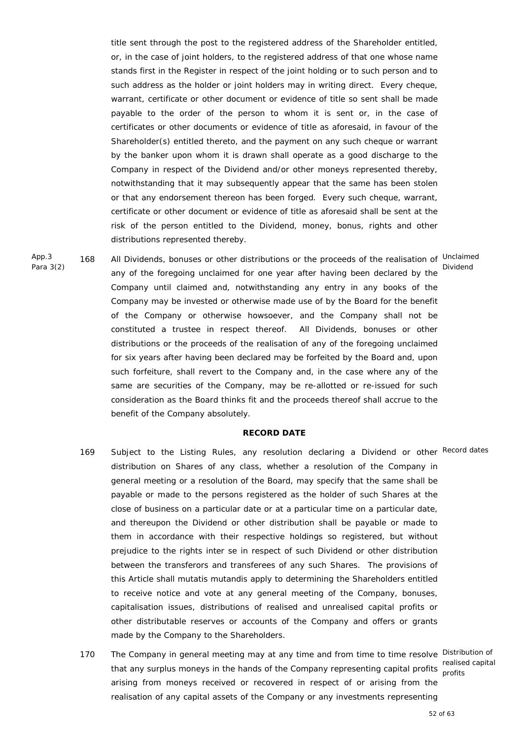title sent through the post to the registered address of the Shareholder entitled, or, in the case of joint holders, to the registered address of that one whose name stands first in the Register in respect of the joint holding or to such person and to such address as the holder or joint holders may in writing direct. Every cheque, warrant, certificate or other document or evidence of title so sent shall be made payable to the order of the person to whom it is sent or, in the case of certificates or other documents or evidence of title as aforesaid, in favour of the Shareholder(s) entitled thereto, and the payment on any such cheque or warrant by the banker upon whom it is drawn shall operate as a good discharge to the Company in respect of the Dividend and/or other moneys represented thereby, notwithstanding that it may subsequently appear that the same has been stolen or that any endorsement thereon has been forged. Every such cheque, warrant, certificate or other document or evidence of title as aforesaid shall be sent at the risk of the person entitled to the Dividend, money, bonus, rights and other distributions represented thereby.

App.3 Para 3(2)

168 All Dividends, bonuses or other distributions or the proceeds of the realisation of Unclaimed any of the foregoing unclaimed for one year after having been declared by the Company until claimed and, notwithstanding any entry in any books of the Company may be invested or otherwise made use of by the Board for the benefit of the Company or otherwise howsoever, and the Company shall not be constituted a trustee in respect thereof. All Dividends, bonuses or other distributions or the proceeds of the realisation of any of the foregoing unclaimed for six years after having been declared may be forfeited by the Board and, upon such forfeiture, shall revert to the Company and, in the case where any of the same are securities of the Company, may be re-allotted or re-issued for such consideration as the Board thinks fit and the proceeds thereof shall accrue to the benefit of the Company absolutely.

## **RECORD DATE**

- 169 Subject to the Listing Rules, any resolution declaring a Dividend or other Record dates distribution on Shares of any class, whether a resolution of the Company in general meeting or a resolution of the Board, may specify that the same shall be payable or made to the persons registered as the holder of such Shares at the close of business on a particular date or at a particular time on a particular date, and thereupon the Dividend or other distribution shall be payable or made to them in accordance with their respective holdings so registered, but without prejudice to the rights inter se in respect of such Dividend or other distribution between the transferors and transferees of any such Shares. The provisions of this Article shall *mutatis mutandis* apply to determining the Shareholders entitled to receive notice and vote at any general meeting of the Company, bonuses, capitalisation issues, distributions of realised and unrealised capital profits or other distributable reserves or accounts of the Company and offers or grants made by the Company to the Shareholders.
- 170 The Company in general meeting may at any time and from time to time resolve Distribution of that any surplus moneys in the hands of the Company representing capital profits realised capital arising from moneys received or recovered in respect of or arising from the realisation of any capital assets of the Company or any investments representing profits

Dividend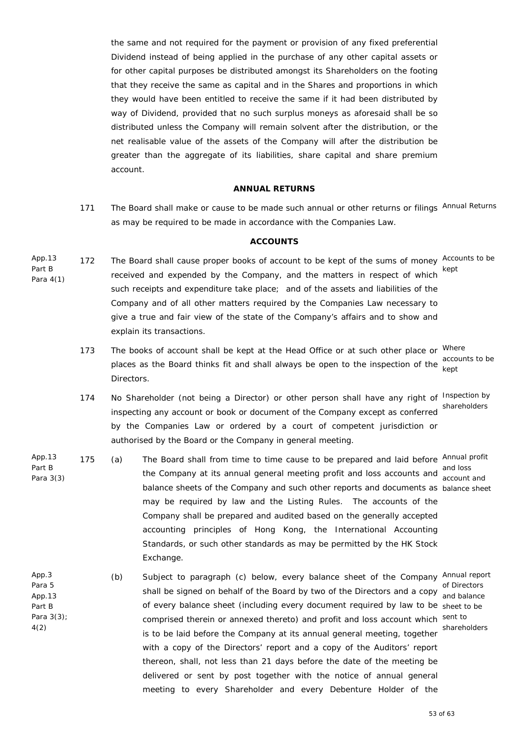the same and not required for the payment or provision of any fixed preferential Dividend instead of being applied in the purchase of any other capital assets or for other capital purposes be distributed amongst its Shareholders on the footing that they receive the same as capital and in the Shares and proportions in which they would have been entitled to receive the same if it had been distributed by way of Dividend, provided that no such surplus moneys as aforesaid shall be so distributed unless the Company will remain solvent after the distribution, or the net realisable value of the assets of the Company will after the distribution be greater than the aggregate of its liabilities, share capital and share premium account.

## **ANNUAL RETURNS**

171 The Board shall make or cause to be made such annual or other returns or filings Annual Returns as may be required to be made in accordance with the Companies Law.

#### **ACCOUNTS**

- App.13 Part B Para 4(1) 172 The Board shall cause proper books of account to be kept of the sums of money Accounts to be received and expended by the Company, and the matters in respect of which such receipts and expenditure take place; and of the assets and liabilities of the Company and of all other matters required by the Companies Law necessary to give a true and fair view of the state of the Company's affairs and to show and explain its transactions. kept
	- 173 The books of account shall be kept at the Head Office or at such other place or <sup>Where</sup> places as the Board thinks fit and shall always be open to the inspection of the kept Directors. accounts to be
	- 174 No Shareholder (not being a Director) or other person shall have any right of Inspection by inspecting any account or book or document of the Company except as conferred by the Companies Law or ordered by a court of competent jurisdiction or authorised by the Board or the Company in general meeting. shareholders
- App.13 Part B Para 3(3) 175 (a) The Board shall from time to time cause to be prepared and laid before Annual profit and loss<br>the Company at its annual general meeting profit and loss accounts and **condigate** balance sheets of the Company and such other reports and documents as balance sheet may be required by law and the Listing Rules. The accounts of the Company shall be prepared and audited based on the generally accepted accounting principles of Hong Kong, the International Accounting Standards, or such other standards as may be permitted by the HK Stock Exchange. account and
- App.3 Para 5 App.13 Part B Para 3(3); 4(2) (b) Subject to paragraph (c) below, every balance sheet of the Company Annual report of Directors<br>Shall be signed on behalf of the Board by two of the Directors and a copy and belance of every balance sheet (including every document required by law to be sheet to be comprised therein or annexed thereto) and profit and loss account which sent to is to be laid before the Company at its annual general meeting, together with a copy of the Directors' report and a copy of the Auditors' report thereon, shall, not less than 21 days before the date of the meeting be delivered or sent by post together with the notice of annual general meeting to every Shareholder and every Debenture Holder of the and balance shareholders

53 of 63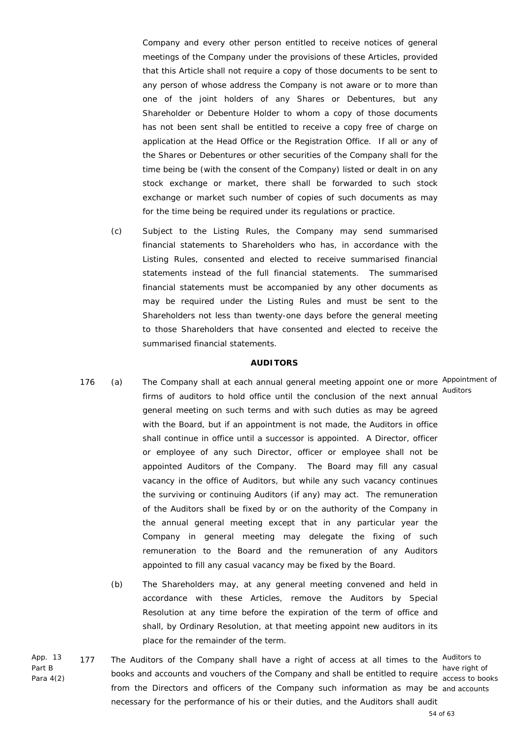Company and every other person entitled to receive notices of general meetings of the Company under the provisions of these Articles, provided that this Article shall not require a copy of those documents to be sent to any person of whose address the Company is not aware or to more than one of the joint holders of any Shares or Debentures, but any Shareholder or Debenture Holder to whom a copy of those documents has not been sent shall be entitled to receive a copy free of charge on application at the Head Office or the Registration Office. If all or any of the Shares or Debentures or other securities of the Company shall for the time being be (with the consent of the Company) listed or dealt in on any stock exchange or market, there shall be forwarded to such stock exchange or market such number of copies of such documents as may for the time being be required under its regulations or practice.

 (c) Subject to the Listing Rules, the Company may send summarised financial statements to Shareholders who has, in accordance with the Listing Rules, consented and elected to receive summarised financial statements instead of the full financial statements. The summarised financial statements must be accompanied by any other documents as may be required under the Listing Rules and must be sent to the Shareholders not less than twenty-one days before the general meeting to those Shareholders that have consented and elected to receive the summarised financial statements.

#### **AUDITORS**

- 176 (a) The Company shall at each annual general meeting appoint one or more Appointment of firms of auditors to hold office until the conclusion of the next annual Auditors general meeting on such terms and with such duties as may be agreed with the Board, but if an appointment is not made, the Auditors in office shall continue in office until a successor is appointed. A Director, officer or employee of any such Director, officer or employee shall not be appointed Auditors of the Company. The Board may fill any casual vacancy in the office of Auditors, but while any such vacancy continues the surviving or continuing Auditors (if any) may act. The remuneration of the Auditors shall be fixed by or on the authority of the Company in the annual general meeting except that in any particular year the Company in general meeting may delegate the fixing of such remuneration to the Board and the remuneration of any Auditors appointed to fill any casual vacancy may be fixed by the Board.
	- (b) The Shareholders may, at any general meeting convened and held in accordance with these Articles, remove the Auditors by Special Resolution at any time before the expiration of the term of office and shall, by Ordinary Resolution, at that meeting appoint new auditors in its place for the remainder of the term.
- App. 13 Part B Para 4(2) 177 The Auditors of the Company shall have a right of access at all times to the Auditors to have right of<br>books and accounts and vouchers of the Company and shall be entitled to require seeded to bee from the Directors and officers of the Company such information as may be and accounts necessary for the performance of his or their duties, and the Auditors shall audit access to books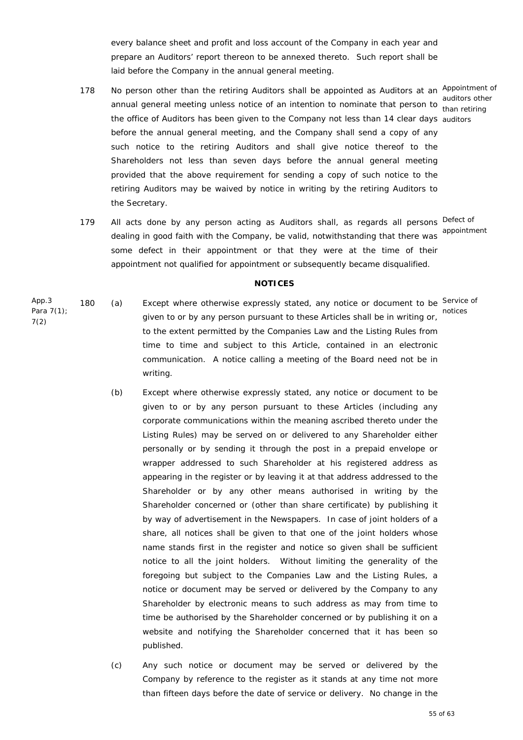every balance sheet and profit and loss account of the Company in each year and prepare an Auditors' report thereon to be annexed thereto. Such report shall be laid before the Company in the annual general meeting.

- 178 No person other than the retiring Auditors shall be appointed as Auditors at an Appointment of annual general meeting unless notice of an intention to nominate that person to auditors other the office of Auditors has been given to the Company not less than 14 clear days auditors before the annual general meeting, and the Company shall send a copy of any such notice to the retiring Auditors and shall give notice thereof to the Shareholders not less than seven days before the annual general meeting provided that the above requirement for sending a copy of such notice to the retiring Auditors may be waived by notice in writing by the retiring Auditors to the Secretary.
- 179 All acts done by any person acting as Auditors shall, as regards all persons Defect of dealing in good faith with the Company, be valid, notwithstanding that there was some defect in their appointment or that they were at the time of their appointment not qualified for appointment or subsequently became disqualified.

than retiring

appointment

#### **NOTICES**

- App.3 Para 7(1); 7(2) 180 (a) Except where otherwise expressly stated, any notice or document to be Service of given to or by any person pursuant to these Articles shall be in writing or, to the extent permitted by the Companies Law and the Listing Rules from time to time and subject to this Article, contained in an electronic communication. A notice calling a meeting of the Board need not be in writing. notices
	- (b) Except where otherwise expressly stated, any notice or document to be given to or by any person pursuant to these Articles (including any corporate communications within the meaning ascribed thereto under the Listing Rules) may be served on or delivered to any Shareholder either personally or by sending it through the post in a prepaid envelope or wrapper addressed to such Shareholder at his registered address as appearing in the register or by leaving it at that address addressed to the Shareholder or by any other means authorised in writing by the Shareholder concerned or (other than share certificate) by publishing it by way of advertisement in the Newspapers. In case of joint holders of a share, all notices shall be given to that one of the joint holders whose name stands first in the register and notice so given shall be sufficient notice to all the joint holders. Without limiting the generality of the foregoing but subject to the Companies Law and the Listing Rules, a notice or document may be served or delivered by the Company to any Shareholder by electronic means to such address as may from time to time be authorised by the Shareholder concerned or by publishing it on a website and notifying the Shareholder concerned that it has been so published.
	- (c) Any such notice or document may be served or delivered by the Company by reference to the register as it stands at any time not more than fifteen days before the date of service or delivery. No change in the

55 of 63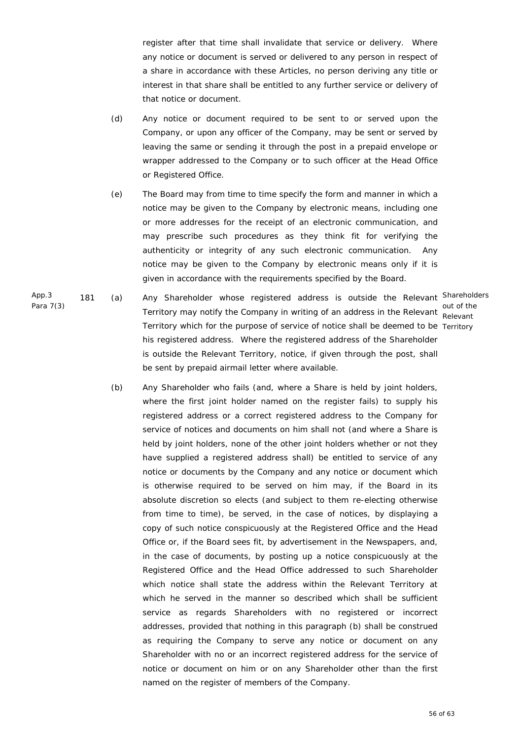register after that time shall invalidate that service or delivery. Where any notice or document is served or delivered to any person in respect of a share in accordance with these Articles, no person deriving any title or interest in that share shall be entitled to any further service or delivery of that notice or document.

- (d) Any notice or document required to be sent to or served upon the Company, or upon any officer of the Company, may be sent or served by leaving the same or sending it through the post in a prepaid envelope or wrapper addressed to the Company or to such officer at the Head Office or Registered Office.
- (e) The Board may from time to time specify the form and manner in which a notice may be given to the Company by electronic means, including one or more addresses for the receipt of an electronic communication, and may prescribe such procedures as they think fit for verifying the authenticity or integrity of any such electronic communication. Any notice may be given to the Company by electronic means only if it is given in accordance with the requirements specified by the Board.
- App.3 Para 7(3) 181 (a) Any Shareholder whose registered address is outside the Relevant Shareholders Territory may notify the Company in writing of an address in the Relevant Relevant Territory which for the purpose of service of notice shall be deemed to be Territory his registered address. Where the registered address of the Shareholder is outside the Relevant Territory, notice, if given through the post, shall be sent by prepaid airmail letter where available.

out of the

 (b) Any Shareholder who fails (and, where a Share is held by joint holders, where the first joint holder named on the register fails) to supply his registered address or a correct registered address to the Company for service of notices and documents on him shall not (and where a Share is held by joint holders, none of the other joint holders whether or not they have supplied a registered address shall) be entitled to service of any notice or documents by the Company and any notice or document which is otherwise required to be served on him may, if the Board in its absolute discretion so elects (and subject to them re-electing otherwise from time to time), be served, in the case of notices, by displaying a copy of such notice conspicuously at the Registered Office and the Head Office or, if the Board sees fit, by advertisement in the Newspapers, and, in the case of documents, by posting up a notice conspicuously at the Registered Office and the Head Office addressed to such Shareholder which notice shall state the address within the Relevant Territory at which he served in the manner so described which shall be sufficient service as regards Shareholders with no registered or incorrect addresses, provided that nothing in this paragraph (b) shall be construed as requiring the Company to serve any notice or document on any Shareholder with no or an incorrect registered address for the service of notice or document on him or on any Shareholder other than the first named on the register of members of the Company.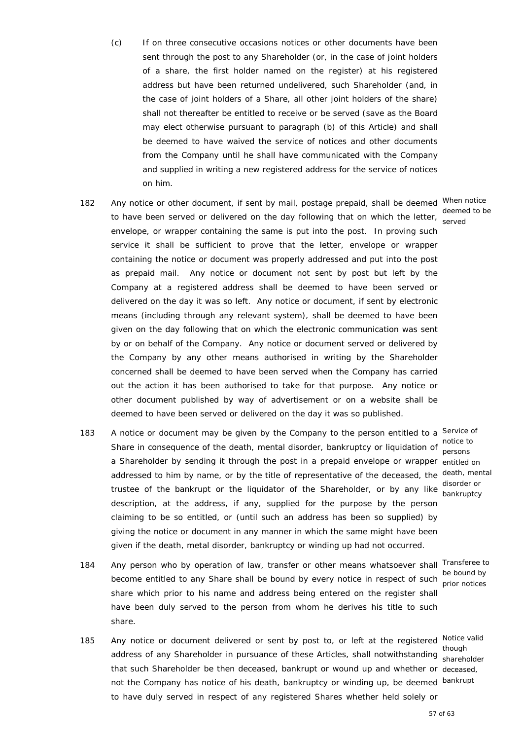- 182 Any notice or other document, if sent by mail, postage prepaid, shall be deemed When notice to have been served or delivered on the day following that on which the letter, served envelope, or wrapper containing the same is put into the post. In proving such service it shall be sufficient to prove that the letter, envelope or wrapper containing the notice or document was properly addressed and put into the post as prepaid mail. Any notice or document not sent by post but left by the Company at a registered address shall be deemed to have been served or delivered on the day it was so left. Any notice or document, if sent by electronic means (including through any relevant system), shall be deemed to have been given on the day following that on which the electronic communication was sent by or on behalf of the Company. Any notice or document served or delivered by the Company by any other means authorised in writing by the Shareholder concerned shall be deemed to have been served when the Company has carried out the action it has been authorised to take for that purpose. Any notice or other document published by way of advertisement or on a website shall be deemed to have been served or delivered on the day it was so published. deemed to be
- 183 A notice or document may be given by the Company to the person entitled to a Service of notice to<br>Share in consequence of the death, mental disorder, bankruptcy or liquidation of nergone a Shareholder by sending it through the post in a prepaid envelope or wrapper entitled on addressed to him by name, or by the title of representative of the deceased, the death, mental disorder or<br>trustee of the bankrupt or the liquidator of the Shareholder, or by any like bonkruntov description, at the address, if any, supplied for the purpose by the person claiming to be so entitled, or (until such an address has been so supplied) by giving the notice or document in any manner in which the same might have been given if the death, metal disorder, bankruptcy or winding up had not occurred. bankruptcy
- 184 Any person who by operation of law, transfer or other means whatsoever shall Transferee to be bound by<br>become entitled to any Share shall be bound by every notice in respect of such prior patiess share which prior to his name and address being entered on the register shall have been duly served to the person from whom he derives his title to such share.

persons

prior notices

185 Any notice or document delivered or sent by post to, or left at the registered Notice valid though<br>address of any Shareholder in pursuance of these Articles, shall notwithstanding that such Shareholder be then deceased, bankrupt or wound up and whether or deceased, not the Company has notice of his death, bankruptcy or winding up, be deemed bankrupt to have duly served in respect of any registered Shares whether held solely or shareholder

57 of 63

 (c) If on three consecutive occasions notices or other documents have been sent through the post to any Shareholder (or, in the case of joint holders of a share, the first holder named on the register) at his registered address but have been returned undelivered, such Shareholder (and, in the case of joint holders of a Share, all other joint holders of the share) shall not thereafter be entitled to receive or be served (save as the Board may elect otherwise pursuant to paragraph (b) of this Article) and shall be deemed to have waived the service of notices and other documents from the Company until he shall have communicated with the Company and supplied in writing a new registered address for the service of notices on him.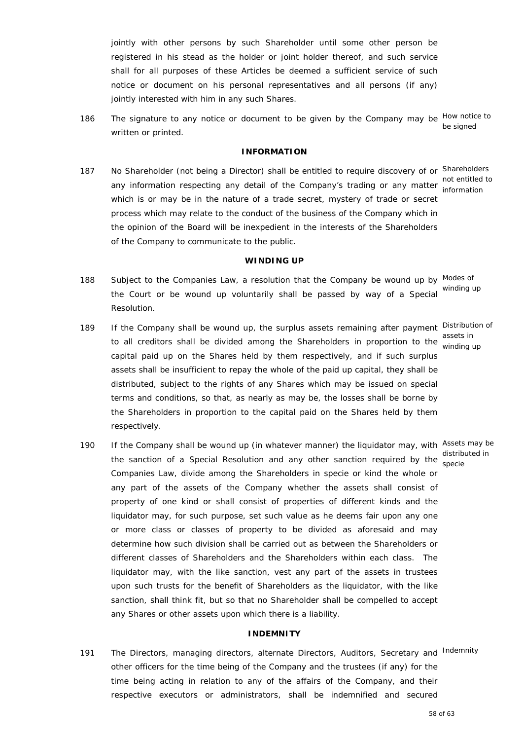jointly with other persons by such Shareholder until some other person be registered in his stead as the holder or joint holder thereof, and such service shall for all purposes of these Articles be deemed a sufficient service of such notice or document on his personal representatives and all persons (if any) jointly interested with him in any such Shares.

186 The signature to any notice or document to be given by the Company may be How notice to written or printed. be signed

#### **INFORMATION**

187 No Shareholder (not being a Director) shall be entitled to require discovery of or Shareholders any information respecting any detail of the Company's trading or any matter information respecting any detail of the Company's trading or any matter information which is or may be in the nature of a trade secret, mystery of trade or secret process which may relate to the conduct of the business of the Company which in the opinion of the Board will be inexpedient in the interests of the Shareholders of the Company to communicate to the public. information

#### **WINDING UP**

- 188 Subject to the Companies Law, a resolution that the Company be wound up by Modes of the Court or be wound up voluntarily shall be passed by way of a Special Resolution. winding up
- 189 If the Company shall be wound up, the surplus assets remaining after payment Distribution of assets in<br>to all creditors shall be divided among the Shareholders in proportion to the winding capital paid up on the Shares held by them respectively, and if such surplus assets shall be insufficient to repay the whole of the paid up capital, they shall be distributed, subject to the rights of any Shares which may be issued on special terms and conditions, so that, as nearly as may be, the losses shall be borne by the Shareholders in proportion to the capital paid on the Shares held by them respectively. winding up
- 190 If the Company shall be wound up (in whatever manner) the liquidator may, with Assets may be the sanction of a Special Resolution and any other sanction required by the encate Companies Law, divide among the Shareholders in specie or kind the whole or any part of the assets of the Company whether the assets shall consist of property of one kind or shall consist of properties of different kinds and the liquidator may, for such purpose, set such value as he deems fair upon any one or more class or classes of property to be divided as aforesaid and may determine how such division shall be carried out as between the Shareholders or different classes of Shareholders and the Shareholders within each class. The liquidator may, with the like sanction, vest any part of the assets in trustees upon such trusts for the benefit of Shareholders as the liquidator, with the like sanction, shall think fit, but so that no Shareholder shall be compelled to accept any Shares or other assets upon which there is a liability.

#### **INDEMNITY**

191 The Directors, managing directors, alternate Directors, Auditors, Secretary and Indemnity other officers for the time being of the Company and the trustees (if any) for the time being acting in relation to any of the affairs of the Company, and their respective executors or administrators, shall be indemnified and secured

specie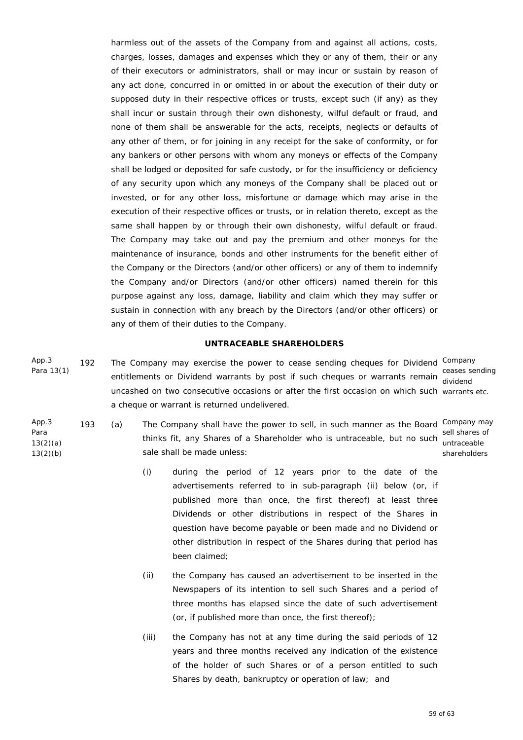harmless out of the assets of the Company from and against all actions, costs, charges, losses, damages and expenses which they or any of them, their or any of their executors or administrators, shall or may incur or sustain by reason of any act done, concurred in or omitted in or about the execution of their duty or supposed duty in their respective offices or trusts, except such (if any) as they shall incur or sustain through their own dishonesty, wilful default or fraud, and none of them shall be answerable for the acts, receipts, neglects or defaults of any other of them, or for joining in any receipt for the sake of conformity, or for any bankers or other persons with whom any moneys or effects of the Company shall be lodged or deposited for safe custody, or for the insufficiency or deficiency of any security upon which any moneys of the Company shall be placed out or invested, or for any other loss, misfortune or damage which may arise in the execution of their respective offices or trusts, or in relation thereto, except as the same shall happen by or through their own dishonesty, wilful default or fraud. The Company may take out and pay the premium and other moneys for the maintenance of insurance, bonds and other instruments for the benefit either of the Company or the Directors (and/or other officers) or any of them to indemnify the Company and/or Directors (and/or other officers) named therein for this purpose against any loss, damage, liability and claim which they may suffer or sustain in connection with any breach by the Directors (and/or other officers) or any of them of their duties to the Company.

## **UNTRACEABLE SHAREHOLDERS**

- App.3 Para 13(1) 192 The Company may exercise the power to cease sending cheques for Dividend Company entitlements or Dividend warrants by post if such cheques or warrants remain entitlements or Dividend uncashed on two consecutive occasions or after the first occasion on which such warrants etc. a cheque or warrant is returned undelivered. dividend
- App.3 Para 13(2)(a) 13(2)(b)
- 193 (a) The Company shall have the power to sell, in such manner as the Board Company may thinks fit, any Shares of a Shareholder who is untraceable, but no such sale shall be made unless: sell shares of untraceable shareholders
	- (i) during the period of 12 years prior to the date of the advertisements referred to in sub-paragraph (ii) below (or, if published more than once, the first thereof) at least three Dividends or other distributions in respect of the Shares in question have become payable or been made and no Dividend or other distribution in respect of the Shares during that period has been claimed;
	- (ii) the Company has caused an advertisement to be inserted in the Newspapers of its intention to sell such Shares and a period of three months has elapsed since the date of such advertisement (or, if published more than once, the first thereof);
	- (iii) the Company has not at any time during the said periods of 12 years and three months received any indication of the existence of the holder of such Shares or of a person entitled to such Shares by death, bankruptcy or operation of law; and

59 of 63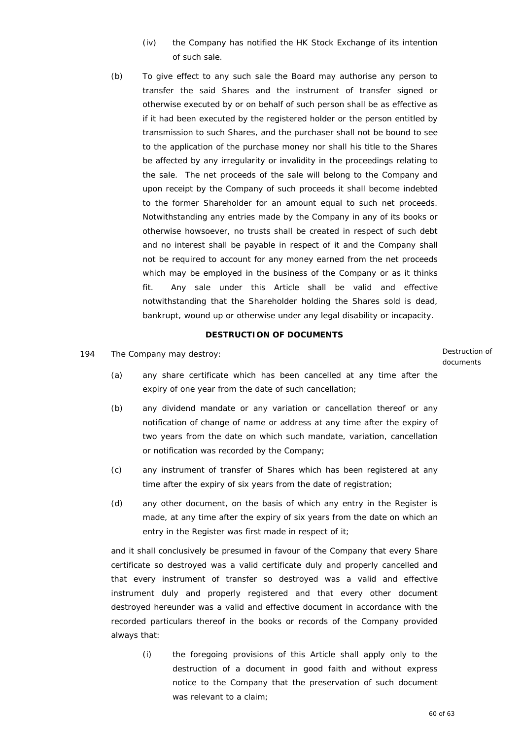- (iv) the Company has notified the HK Stock Exchange of its intention of such sale.
- (b) To give effect to any such sale the Board may authorise any person to transfer the said Shares and the instrument of transfer signed or otherwise executed by or on behalf of such person shall be as effective as if it had been executed by the registered holder or the person entitled by transmission to such Shares, and the purchaser shall not be bound to see to the application of the purchase money nor shall his title to the Shares be affected by any irregularity or invalidity in the proceedings relating to the sale. The net proceeds of the sale will belong to the Company and upon receipt by the Company of such proceeds it shall become indebted to the former Shareholder for an amount equal to such net proceeds. Notwithstanding any entries made by the Company in any of its books or otherwise howsoever, no trusts shall be created in respect of such debt and no interest shall be payable in respect of it and the Company shall not be required to account for any money earned from the net proceeds which may be employed in the business of the Company or as it thinks fit. Any sale under this Article shall be valid and effective notwithstanding that the Shareholder holding the Shares sold is dead, bankrupt, wound up or otherwise under any legal disability or incapacity.

## **DESTRUCTION OF DOCUMENTS**

194 The Company may destroy: The Company may destroy:

documents

- (a) any share certificate which has been cancelled at any time after the expiry of one year from the date of such cancellation;
- (b) any dividend mandate or any variation or cancellation thereof or any notification of change of name or address at any time after the expiry of two years from the date on which such mandate, variation, cancellation or notification was recorded by the Company;
- (c) any instrument of transfer of Shares which has been registered at any time after the expiry of six years from the date of registration;
- (d) any other document, on the basis of which any entry in the Register is made, at any time after the expiry of six years from the date on which an entry in the Register was first made in respect of it;

 and it shall conclusively be presumed in favour of the Company that every Share certificate so destroyed was a valid certificate duly and properly cancelled and that every instrument of transfer so destroyed was a valid and effective instrument duly and properly registered and that every other document destroyed hereunder was a valid and effective document in accordance with the recorded particulars thereof in the books or records of the Company provided always that:

 (i) the foregoing provisions of this Article shall apply only to the destruction of a document in good faith and without express notice to the Company that the preservation of such document was relevant to a claim;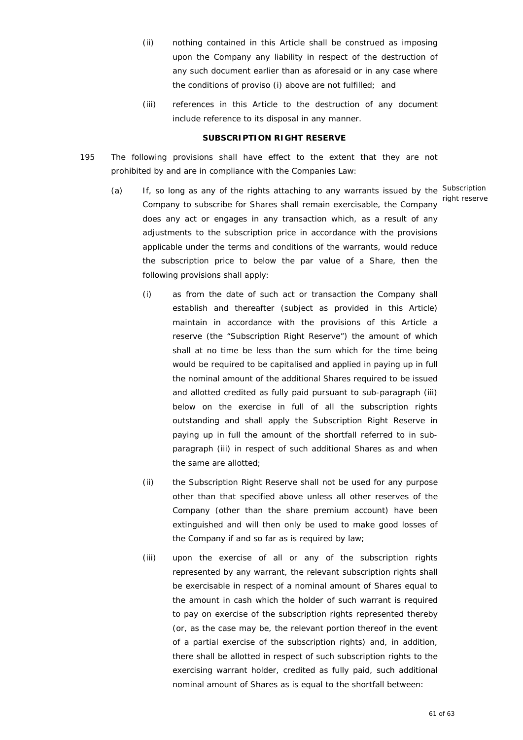- (ii) nothing contained in this Article shall be construed as imposing upon the Company any liability in respect of the destruction of any such document earlier than as aforesaid or in any case where the conditions of proviso (i) above are not fulfilled; and
- (iii) references in this Article to the destruction of any document include reference to its disposal in any manner.

#### **SUBSCRIPTION RIGHT RESERVE**

- 195 The following provisions shall have effect to the extent that they are not prohibited by and are in compliance with the Companies Law:
- (a) If, so long as any of the rights attaching to any warrants issued by the Subscription Company to subscribe for Shares shall remain exercisable, the Company does any act or engages in any transaction which, as a result of any adjustments to the subscription price in accordance with the provisions applicable under the terms and conditions of the warrants, would reduce the subscription price to below the par value of a Share, then the following provisions shall apply: right reserve
	- (i) as from the date of such act or transaction the Company shall establish and thereafter (subject as provided in this Article) maintain in accordance with the provisions of this Article a reserve (the "Subscription Right Reserve") the amount of which shall at no time be less than the sum which for the time being would be required to be capitalised and applied in paying up in full the nominal amount of the additional Shares required to be issued and allotted credited as fully paid pursuant to sub-paragraph (iii) below on the exercise in full of all the subscription rights outstanding and shall apply the Subscription Right Reserve in paying up in full the amount of the shortfall referred to in subparagraph (iii) in respect of such additional Shares as and when the same are allotted;
	- (ii) the Subscription Right Reserve shall not be used for any purpose other than that specified above unless all other reserves of the Company (other than the share premium account) have been extinguished and will then only be used to make good losses of the Company if and so far as is required by law;
	- (iii) upon the exercise of all or any of the subscription rights represented by any warrant, the relevant subscription rights shall be exercisable in respect of a nominal amount of Shares equal to the amount in cash which the holder of such warrant is required to pay on exercise of the subscription rights represented thereby (or, as the case may be, the relevant portion thereof in the event of a partial exercise of the subscription rights) and, in addition, there shall be allotted in respect of such subscription rights to the exercising warrant holder, credited as fully paid, such additional nominal amount of Shares as is equal to the shortfall between: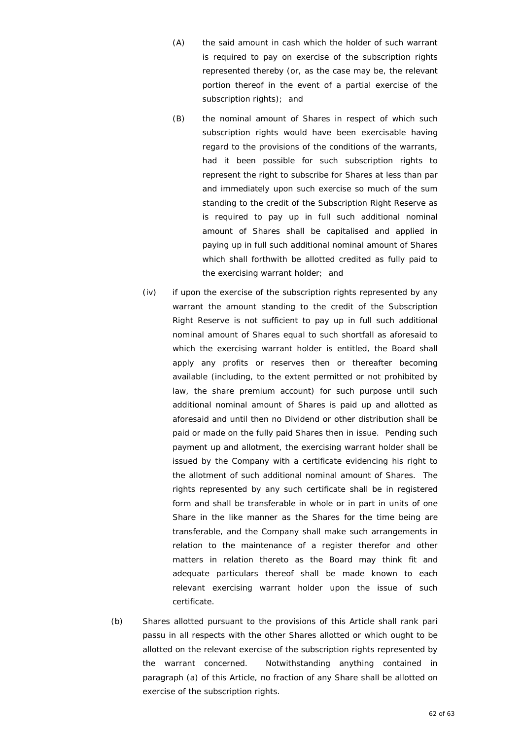- (A) the said amount in cash which the holder of such warrant is required to pay on exercise of the subscription rights represented thereby (or, as the case may be, the relevant portion thereof in the event of a partial exercise of the subscription rights); and
- (B) the nominal amount of Shares in respect of which such subscription rights would have been exercisable having regard to the provisions of the conditions of the warrants, had it been possible for such subscription rights to represent the right to subscribe for Shares at less than par and immediately upon such exercise so much of the sum standing to the credit of the Subscription Right Reserve as is required to pay up in full such additional nominal amount of Shares shall be capitalised and applied in paying up in full such additional nominal amount of Shares which shall forthwith be allotted credited as fully paid to the exercising warrant holder; and
- (iv) if upon the exercise of the subscription rights represented by any warrant the amount standing to the credit of the Subscription Right Reserve is not sufficient to pay up in full such additional nominal amount of Shares equal to such shortfall as aforesaid to which the exercising warrant holder is entitled, the Board shall apply any profits or reserves then or thereafter becoming available (including, to the extent permitted or not prohibited by law, the share premium account) for such purpose until such additional nominal amount of Shares is paid up and allotted as aforesaid and until then no Dividend or other distribution shall be paid or made on the fully paid Shares then in issue. Pending such payment up and allotment, the exercising warrant holder shall be issued by the Company with a certificate evidencing his right to the allotment of such additional nominal amount of Shares. The rights represented by any such certificate shall be in registered form and shall be transferable in whole or in part in units of one Share in the like manner as the Shares for the time being are transferable, and the Company shall make such arrangements in relation to the maintenance of a register therefor and other matters in relation thereto as the Board may think fit and adequate particulars thereof shall be made known to each relevant exercising warrant holder upon the issue of such certificate.
- (b) Shares allotted pursuant to the provisions of this Article shall rank *pari passu* in all respects with the other Shares allotted or which ought to be allotted on the relevant exercise of the subscription rights represented by the warrant concerned. Notwithstanding anything contained in paragraph (a) of this Article, no fraction of any Share shall be allotted on exercise of the subscription rights.